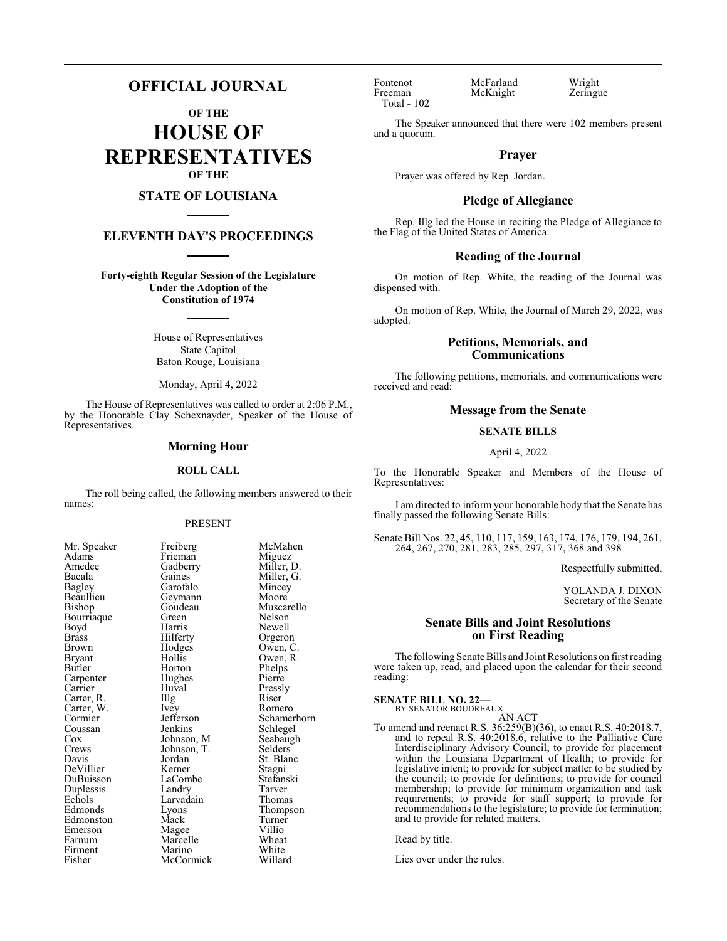# **OFFICIAL JOURNAL**

**OF THE**

**HOUSE OF REPRESENTATIVES OF THE**

# **STATE OF LOUISIANA**

# **ELEVENTH DAY'S PROCEEDINGS**

**Forty-eighth Regular Session of the Legislature Under the Adoption of the Constitution of 1974**

> House of Representatives State Capitol Baton Rouge, Louisiana

Monday, April 4, 2022

The House of Representatives was called to order at 2:06 P.M., by the Honorable Clay Schexnayder, Speaker of the House of Representatives.

#### **Morning Hour**

#### **ROLL CALL**

The roll being called, the following members answered to their names:

#### PRESENT

Miller, G.<br>Mincey

Muscarello<br>Nelson

Owen, R.<br>Phelps

Schlegel<br>Seabaugh

Stefanski<br>Tarver

Turner<br>Villio

| Mr. Speaker | <b>Freiberg</b> | McM    |
|-------------|-----------------|--------|
| Adams       | Frieman         | Migu   |
| Amedee      | Gadberry        | Mille  |
| Bacala      | Gaines          | Mille  |
| Bagley      | Garofalo        | Minc   |
| Beaullieu   | Geymann         | Moo    |
| Bishop      | Goudeau         | Musc   |
| Bourriaque  | Green           | Nelso  |
| Boyd        | Harris          | Newe   |
| Brass       | Hilferty        | Orge   |
| Brown       | Hodges          | Ower   |
| Bryant      | Hollis          | Owei   |
| Butler      | Horton          | Phelp  |
| Carpenter   | Hughes          | Pierro |
| Carrier     | Huval           | Press  |
| Carter, R.  | Illg            | Riser  |
| Carter, W.  | Ivey            | Rom    |
| Cormier     | Jefferson       | Schai  |
| Coussan     | Jenkins         | Schle  |
| Cox         | Johnson, M.     | Seaba  |
| Crews       | Johnson, T.     | Selde  |
| Davis       | Jordan          | St. B  |
| DeVillier   | Kerner          | Stagr  |
| DuBuisson   | LaCombe         | Stefa  |
| Duplessis   | Landry          | Tarve  |
| Echols      | Larvadain       | Thon   |
| Edmonds     | Lyons           | Thon   |
| Edmonston   | Mack            | Turn   |
| Emerson     | Magee           | Villio |
| Farnum      | Marcelle        | Whea   |
| Firment     | Marino          | Whit   |
| Fisher      | McCormick       | Willa  |

Speaker Freiberg McMahen<br>Ams Frieman Miguez Frieman Miguez<br>Gadberry Miller, D. Gadberry<br>Gaines Garofalo Mincey<br>Geymann Moore Geymann<br>Goudeau Green<br>Harris Harris Newell<br>Hilferty Orgeror Hilferty Orgeron<br>Hodges Owen, C Hodges Owen, C.<br>Hollis Owen, R. Horton Phelps<br>Hughes Pierre Hughes Huval Pressly<br>Illg Riser Ivey Romero<br>Jefferson Schamer Jefferson Schamerhorn<br>Jenkins Schlegel Johnson, M.<br>Johnson, T.<br>Selders Johnson, T.<br>Jordan Jordan St. Blanc<br>Kerner Stagni Kerner Stagni<br>LaCombe Stefans Landry Tarver<br>
Larvadain Thomas Larvadain<br>Lyons Eyons Thompson<br>
Mack Turner Magee Villio<br>
Marcelle Wheat Marcelle Wheat<br>
Marino White Marino White<br>
McCormick Willard McCormick

Total - 102

Fontenot McFarland Wright<br>
Freeman McKnight Zeringue McKnight

The Speaker announced that there were 102 members present and a quorum.

#### **Prayer**

Prayer was offered by Rep. Jordan.

#### **Pledge of Allegiance**

Rep. Illg led the House in reciting the Pledge of Allegiance to the Flag of the United States of America.

#### **Reading of the Journal**

On motion of Rep. White, the reading of the Journal was dispensed with.

On motion of Rep. White, the Journal of March 29, 2022, was adopted.

### **Petitions, Memorials, and Communications**

The following petitions, memorials, and communications were received and read:

### **Message from the Senate**

### **SENATE BILLS**

April 4, 2022

To the Honorable Speaker and Members of the House of Representatives:

I am directed to inform your honorable body that the Senate has finally passed the following Senate Bills:

Senate Bill Nos. 22, 45, 110, 117, 159, 163, 174, 176, 179, 194, 261, 264, 267, 270, 281, 283, 285, 297, 317, 368 and 398

Respectfully submitted,

YOLANDA J. DIXON Secretary of the Senate

#### **Senate Bills and Joint Resolutions on First Reading**

The following Senate Bills and Joint Resolutions on first reading were taken up, read, and placed upon the calendar for their second reading:

**SENATE BILL NO. 22—** BY SENATOR BOUDREAUX

AN ACT

To amend and reenact R.S. 36:259(B)(36), to enact R.S. 40:2018.7, and to repeal R.S. 40:2018.6, relative to the Palliative Care Interdisciplinary Advisory Council; to provide for placement within the Louisiana Department of Health; to provide for legislative intent; to provide for subject matter to be studied by the council; to provide for definitions; to provide for council membership; to provide for minimum organization and task requirements; to provide for staff support; to provide for recommendations to the legislature; to provide for termination; and to provide for related matters.

Read by title.

Lies over under the rules.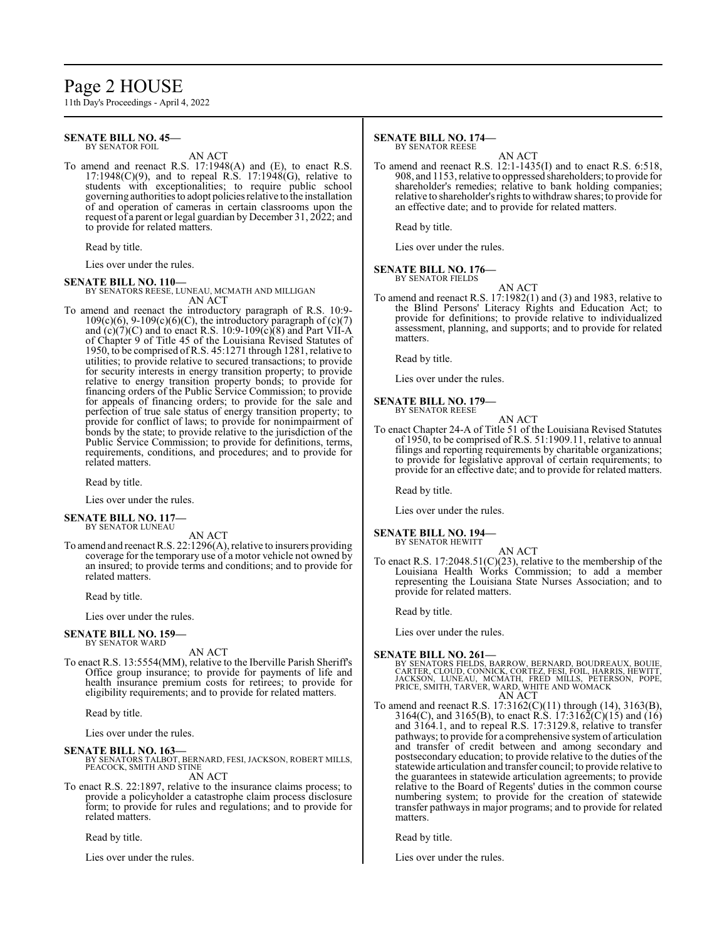# Page 2 HOUSE

11th Day's Proceedings - April 4, 2022

#### **SENATE BILL NO. 45—** BY SENATOR FOIL

AN ACT

To amend and reenact R.S. 17:1948(A) and (E), to enact R.S.  $17:1948(C)(9)$ , and to repeal R.S.  $17:1948(G)$ , relative to students with exceptionalities; to require public school governing authorities to adopt policies relative to the installation of and operation of cameras in certain classrooms upon the request of a parent or legal guardian by December 31, 2022; and to provide for related matters.

Read by title.

Lies over under the rules.

#### **SENATE BILL NO. 110—**

BY SENATORS REESE, LUNEAU, MCMATH AND MILLIGAN AN ACT

To amend and reenact the introductory paragraph of R.S. 10:9-  $109(c)(6)$ ,  $9-109(c)(6)(C)$ , the introductory paragraph of  $(c)(7)$ and  $(c)(7)(C)$  and to enact R.S. 10:9-109 $(c)(8)$  and Part VII-A of Chapter 9 of Title 45 of the Louisiana Revised Statutes of 1950, to be comprised of R.S. 45:1271 through 1281, relative to utilities; to provide relative to secured transactions; to provide for security interests in energy transition property; to provide relative to energy transition property bonds; to provide for financing orders of the Public Service Commission; to provide for appeals of financing orders; to provide for the sale and perfection of true sale status of energy transition property; to provide for conflict of laws; to provide for nonimpairment of bonds by the state; to provide relative to the jurisdiction of the Public Service Commission; to provide for definitions, terms, requirements, conditions, and procedures; and to provide for related matters.

Read by title.

Lies over under the rules.

**SENATE BILL NO. 117** BY SENATOR LUNEAU

AN ACT

To amend and reenact R.S. 22:1296(A), relative to insurers providing coverage for the temporary use of a motor vehicle not owned by an insured; to provide terms and conditions; and to provide for related matters.

Read by title.

Lies over under the rules.

#### **SENATE BILL NO. 159—** BY SENATOR WARD

AN ACT

To enact R.S. 13:5554(MM), relative to the Iberville Parish Sheriff's Office group insurance; to provide for payments of life and health insurance premium costs for retirees; to provide for eligibility requirements; and to provide for related matters.

Read by title.

Lies over under the rules.

# **SENATE BILL NO. 163—**

- BY SENATORS TALBOT, BERNARD, FESI, JACKSON, ROBERT MILLS, PEACOCK, SMITH AND STINE AN ACT
- To enact R.S. 22:1897, relative to the insurance claims process; to provide a policyholder a catastrophe claim process disclosure form; to provide for rules and regulations; and to provide for related matters.

Read by title.

Lies over under the rules.

#### **SENATE BILL NO. 174—** BY SENATOR REESE

AN ACT

To amend and reenact R.S. 12:1-1435(I) and to enact R.S. 6:518, 908, and 1153, relative to oppressed shareholders; to provide for shareholder's remedies; relative to bank holding companies; relative to shareholder's rights to withdrawshares; to provide for an effective date; and to provide for related matters.

Read by title.

Lies over under the rules.

#### **SENATE BILL NO. 176—** BY SENATOR FIELDS

AN ACT To amend and reenact R.S. 17:1982(1) and (3) and 1983, relative to the Blind Persons' Literacy Rights and Education Act; to provide for definitions; to provide relative to individualized assessment, planning, and supports; and to provide for related matters.

Read by title.

Lies over under the rules.

#### **SENATE BILL NO. 179—** BY SENATOR REESE

AN ACT To enact Chapter 24-A of Title 51 of the Louisiana Revised Statutes of 1950, to be comprised of R.S. 51:1909.11, relative to annual filings and reporting requirements by charitable organizations; to provide for legislative approval of certain requirements; to provide for an effective date; and to provide for related matters.

Read by title.

Lies over under the rules.

**SENATE BILL NO. 194—** BY SENATOR HEWITT

AN ACT

To enact R.S. 17:2048.51(C)(23), relative to the membership of the Louisiana Health Works Commission; to add a member representing the Louisiana State Nurses Association; and to provide for related matters.

Read by title.

Lies over under the rules.

#### **SENATE BILL NO. 261—**

BY SENATORS FIELDS, BARROW, BERNARD, BOUDREAUX, BOUIE,<br>CARTER, CLOUD, CONNICK, CORTEZ, FESI, FOIL, HARRIS, HEWITT,<br>JACKSON, LUNEAU, MCMATH, FRED MILLS, PETERSON, POPE,<br>PRICE, SMITH, TARVER, WARD, WHITE AND WOMACK AN ACT

To amend and reenact R.S. 17:3162(C)(11) through (14), 3163(B), 3164(C), and 3165(B), to enact R.S. 17:3162(C)(15) and (16) and 3164.1, and to repeal R.S. 17:3129.8, relative to transfer pathways; to provide for a comprehensive systemof articulation and transfer of credit between and among secondary and postsecondary education; to provide relative to the duties of the statewide articulation and transfer council; to provide relative to the guarantees in statewide articulation agreements; to provide relative to the Board of Regents' duties in the common course numbering system; to provide for the creation of statewide transfer pathways in major programs; and to provide for related matters.

Read by title.

Lies over under the rules.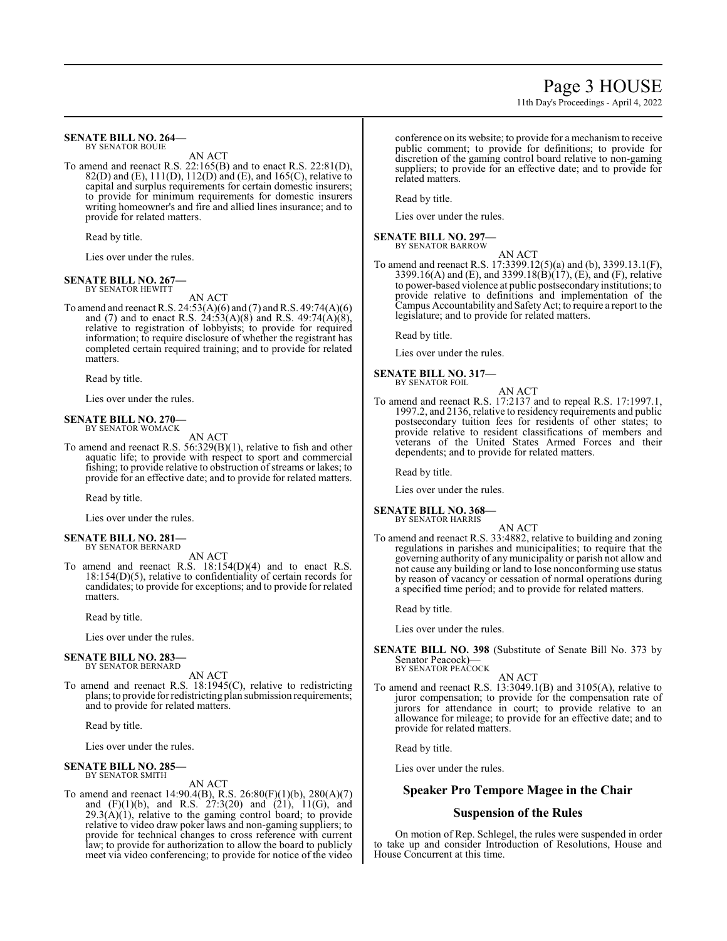#### **SENATE BILL NO. 264—** BY SENATOR BOUIE

AN ACT

To amend and reenact R.S. 22:165(B) and to enact R.S. 22:81(D), 82(D) and (E),  $111(D)$ ,  $112(D)$  and (E), and  $165(C)$ , relative to capital and surplus requirements for certain domestic insurers; to provide for minimum requirements for domestic insurers writing homeowner's and fire and allied lines insurance; and to provide for related matters.

Read by title.

Lies over under the rules.

#### **SENATE BILL NO. 267—** BY SENATOR HEWITT

AN ACT

To amend and reenact R.S.  $24:53(A)(6)$  and  $(7)$  and R.S.  $49:74(A)(6)$ and (7) and to enact R.S.  $24:53(A)(8)$  and R.S.  $49:74(A)(8)$ , relative to registration of lobbyists; to provide for required information; to require disclosure of whether the registrant has completed certain required training; and to provide for related matters.

Read by title.

Lies over under the rules.

#### **SENATE BILL NO. 270—** BY SENATOR WOMACK

AN ACT

To amend and reenact R.S. 56:329(B)(1), relative to fish and other aquatic life; to provide with respect to sport and commercial fishing; to provide relative to obstruction of streams or lakes; to provide for an effective date; and to provide for related matters.

Read by title.

Lies over under the rules.

#### **SENATE BILL NO. 281—** BY SENATOR BERNARD

AN ACT

To amend and reenact R.S. 18:154(D)(4) and to enact R.S. 18:154(D)(5), relative to confidentiality of certain records for candidates; to provide for exceptions; and to provide for related matters.

Read by title.

Lies over under the rules.

#### **SENATE BILL NO. 283—** BY SENATOR BERNARD

AN ACT

To amend and reenact R.S. 18:1945(C), relative to redistricting plans; to provide for redistricting plan submission requirements; and to provide for related matters.

Read by title.

Lies over under the rules.

#### **SENATE BILL NO. 285—** BY SENATOR SMITH

AN ACT

To amend and reenact 14:90.4(B), R.S. 26:80(F)(1)(b), 280(A)(7) and (F)(1)(b), and R.S. 27:3(20) and (21), 11(G), and  $29.3(A)(1)$ , relative to the gaming control board; to provide relative to video draw poker laws and non-gaming suppliers; to provide for technical changes to cross reference with current law; to provide for authorization to allow the board to publicly meet via video conferencing; to provide for notice of the video conference on its website; to provide for a mechanismto receive public comment; to provide for definitions; to provide for discretion of the gaming control board relative to non-gaming suppliers; to provide for an effective date; and to provide for related matters.

Read by title.

Lies over under the rules.

#### **SENATE BILL NO. 297—**

BY SENATOR BARROW

AN ACT

To amend and reenact R.S. 17:3399.12(5)(a) and (b), 3399.13.1(F), 3399.16(A) and (E), and 3399.18(B)(17), (E), and (F), relative to power-based violence at public postsecondary institutions; to provide relative to definitions and implementation of the Campus Accountability and SafetyAct; to require a report to the legislature; and to provide for related matters.

Read by title.

Lies over under the rules.

**SENATE BILL NO. 317—** BY SENATOR FOIL

AN ACT

To amend and reenact R.S. 17:2137 and to repeal R.S. 17:1997.1, 1997.2, and 2136, relative to residency requirements and public postsecondary tuition fees for residents of other states; to provide relative to resident classifications of members and veterans of the United States Armed Forces and their dependents; and to provide for related matters.

Read by title.

Lies over under the rules.

**SENATE BILL NO. 368—**

BY SENATOR HARRIS AN ACT

To amend and reenact R.S. 33:4882, relative to building and zoning regulations in parishes and municipalities; to require that the governing authority of any municipality or parish not allow and not cause any building or land to lose nonconforming use status by reason of vacancy or cessation of normal operations during a specified time period; and to provide for related matters.

Read by title.

Lies over under the rules.

- **SENATE BILL NO. 398** (Substitute of Senate Bill No. 373 by Senator Peacock)— BY SENATOR PEACOCK
	- AN ACT
- To amend and reenact R.S. 13:3049.1(B) and 3105(A), relative to juror compensation; to provide for the compensation rate of jurors for attendance in court; to provide relative to an allowance for mileage; to provide for an effective date; and to provide for related matters.

Read by title.

Lies over under the rules.

# **Speaker Pro Tempore Magee in the Chair**

## **Suspension of the Rules**

On motion of Rep. Schlegel, the rules were suspended in order to take up and consider Introduction of Resolutions, House and House Concurrent at this time.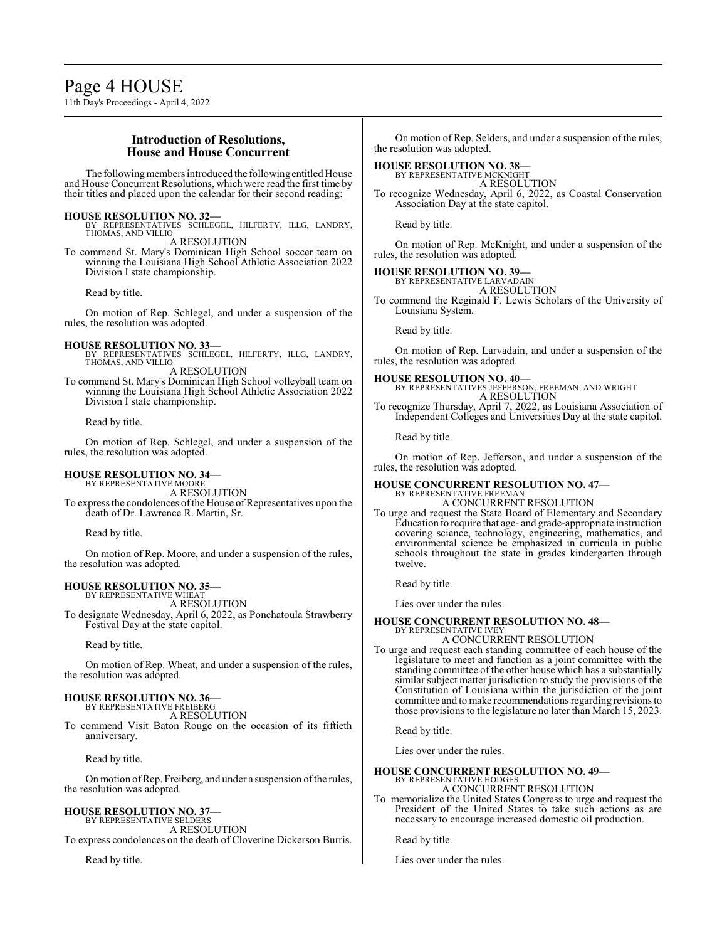Page 4 HOUSE 11th Day's Proceedings - April 4, 2022

## **Introduction of Resolutions, House and House Concurrent**

The following members introduced the following entitled House and House Concurrent Resolutions, which were read the first time by their titles and placed upon the calendar for their second reading:

**HOUSE RESOLUTION NO. 32—** BY REPRESENTATIVES SCHLEGEL, HILFERTY, ILLG, LANDRY, THOMAS, AND VILLIO A RESOLUTION

To commend St. Mary's Dominican High School soccer team on

winning the Louisiana High School Athletic Association 2022 Division I state championship.

Read by title.

On motion of Rep. Schlegel, and under a suspension of the rules, the resolution was adopted.

#### **HOUSE RESOLUTION NO. 33—**

- BY REPRESENTATIVES SCHLEGEL, HILFERTY, ILLG, LANDRY, THOMAS, AND VILLIO A RESOLUTION
- To commend St. Mary's Dominican High School volleyball team on winning the Louisiana High School Athletic Association 2022 Division I state championship.

#### Read by title.

On motion of Rep. Schlegel, and under a suspension of the rules, the resolution was adopted.

## **HOUSE RESOLUTION NO. 34—**

BY REPRESENTATIVE MOORE A RESOLUTION

To express the condolences of the House of Representatives upon the death of Dr. Lawrence R. Martin, Sr.

Read by title.

On motion of Rep. Moore, and under a suspension of the rules, the resolution was adopted.

#### **HOUSE RESOLUTION NO. 35—** BY REPRESENTATIVE WHEAT

A RESOLUTION

To designate Wednesday, April 6, 2022, as Ponchatoula Strawberry Festival Day at the state capitol.

Read by title.

On motion of Rep. Wheat, and under a suspension of the rules, the resolution was adopted.

# **HOUSE RESOLUTION NO. 36—** BY REPRESENTATIVE FREIBERG

A RESOLUTION

To commend Visit Baton Rouge on the occasion of its fiftieth anniversary.

Read by title.

On motion ofRep. Freiberg, and under a suspension ofthe rules, the resolution was adopted.

# **HOUSE RESOLUTION NO. 37—**

BY REPRESENTATIVE SELDERS A RESOLUTION To express condolences on the death of Cloverine Dickerson Burris.

Read by title.

On motion of Rep. Selders, and under a suspension of the rules, the resolution was adopted.

#### **HOUSE RESOLUTION NO. 38—**

BY REPRESENTATIVE MCKNIGHT A RESOLUTION

To recognize Wednesday, April 6, 2022, as Coastal Conservation Association Day at the state capitol.

Read by title.

On motion of Rep. McKnight, and under a suspension of the rules, the resolution was adopted.

#### **HOUSE RESOLUTION NO. 39—** BY REPRESENTATIVE LARVADAIN

A RESOLUTION

To commend the Reginald F. Lewis Scholars of the University of Louisiana System.

Read by title.

On motion of Rep. Larvadain, and under a suspension of the rules, the resolution was adopted.

**HOUSE RESOLUTION NO. 40—** BY REPRESENTATIVES JEFFERSON, FREEMAN, AND WRIGHT A RESOLUTION

To recognize Thursday, April 7, 2022, as Louisiana Association of Independent Colleges and Universities Day at the state capitol.

Read by title.

On motion of Rep. Jefferson, and under a suspension of the rules, the resolution was adopted.

#### **HOUSE CONCURRENT RESOLUTION NO. 47—** BY REPRESENTATIVE FREEMAN A CONCURRENT RESOLUTION

To urge and request the State Board of Elementary and Secondary Education to require that age- and grade-appropriate instruction covering science, technology, engineering, mathematics, and environmental science be emphasized in curricula in public schools throughout the state in grades kindergarten through twelve.

Read by title.

Lies over under the rules.

#### **HOUSE CONCURRENT RESOLUTION NO. 48—** BY REPRESENTATIVE IVEY

A CONCURRENT RESOLUTION

To urge and request each standing committee of each house of the legislature to meet and function as a joint committee with the standing committee of the other house which has a substantially similar subject matter jurisdiction to study the provisions of the Constitution of Louisiana within the jurisdiction of the joint committee and to make recommendations regarding revisions to those provisions to the legislature no later than March 15, 2023.

Read by title.

Lies over under the rules.

# **HOUSE CONCURRENT RESOLUTION NO. 49—**

BY REPRESENTATIVE HODGES A CONCURRENT RESOLUTION

To memorialize the United States Congress to urge and request the President of the United States to take such actions as are necessary to encourage increased domestic oil production.

Read by title.

Lies over under the rules.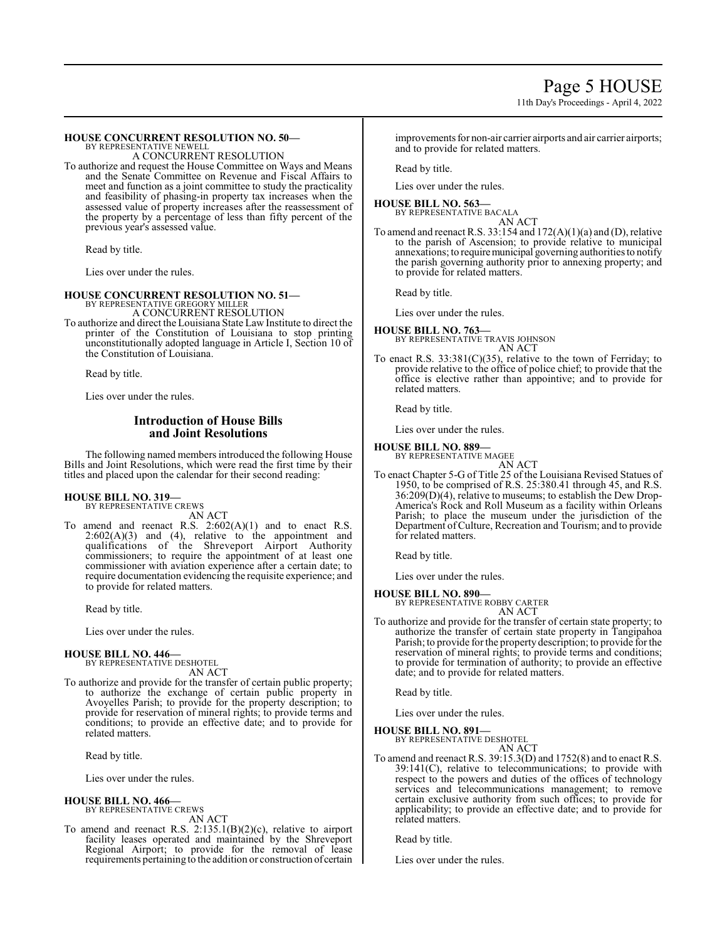11th Day's Proceedings - April 4, 2022

#### **HOUSE CONCURRENT RESOLUTION NO. 50—** BY REPRESENTATIVE NEWELL

A CONCURRENT RESOLUTION

To authorize and request the House Committee on Ways and Means and the Senate Committee on Revenue and Fiscal Affairs to meet and function as a joint committee to study the practicality and feasibility of phasing-in property tax increases when the assessed value of property increases after the reassessment of the property by a percentage of less than fifty percent of the previous year's assessed value.

Read by title.

Lies over under the rules.

#### **HOUSE CONCURRENT RESOLUTION NO. 51—**

BY REPRESENTATIVE GREGORY MILLER A CONCURRENT RESOLUTION

To authorize and direct the Louisiana State Law Institute to direct the printer of the Constitution of Louisiana to stop printing unconstitutionally adopted language in Article I, Section 10 of the Constitution of Louisiana.

Read by title.

Lies over under the rules.

## **Introduction of House Bills and Joint Resolutions**

The following named members introduced the following House Bills and Joint Resolutions, which were read the first time by their titles and placed upon the calendar for their second reading:

# **HOUSE BILL NO. 319—** BY REPRESENTATIVE CREWS

AN ACT

To amend and reenact R.S.  $2:602(A)(1)$  and to enact R.S.  $2:602(A)(3)$  and  $(4)$ , relative to the appointment and qualifications of the Shreveport Airport Authority commissioners; to require the appointment of at least one commissioner with aviation experience after a certain date; to require documentation evidencing the requisite experience; and to provide for related matters.

Read by title.

Lies over under the rules.

#### **HOUSE BILL NO. 446—**

BY REPRESENTATIVE DESHOTEL AN ACT

To authorize and provide for the transfer of certain public property; to authorize the exchange of certain public property in Avoyelles Parish; to provide for the property description; to provide for reservation of mineral rights; to provide terms and conditions; to provide an effective date; and to provide for related matters.

Read by title.

Lies over under the rules.

**HOUSE BILL NO. 466—** BY REPRESENTATIVE CREWS

AN ACT

To amend and reenact R.S. 2:135.1(B)(2)(c), relative to airport facility leases operated and maintained by the Shreveport Regional Airport; to provide for the removal of lease requirements pertaining to the addition or construction of certain improvements for non-air carrier airports and air carrier airports; and to provide for related matters.

Read by title.

Lies over under the rules.

#### **HOUSE BILL NO. 563—** BY REPRESENTATIVE BACALA

AN ACT To amend and reenact R.S.  $33:154$  and  $172(A)(1)(a)$  and (D), relative to the parish of Ascension; to provide relative to municipal annexations; to require municipal governing authorities to notify the parish governing authority prior to annexing property; and to provide for related matters.

Read by title.

Lies over under the rules.

# **HOUSE BILL NO. 763—** BY REPRESENTATIVE TRAVIS JOHNSON AN ACT

To enact R.S. 33:381(C)(35), relative to the town of Ferriday; to provide relative to the office of police chief; to provide that the office is elective rather than appointive; and to provide for related matters.

Read by title.

Lies over under the rules.

#### **HOUSE BILL NO. 889—**

BY REPRESENTATIVE MAGEE AN ACT

To enact Chapter 5-G of Title 25 of the Louisiana Revised Statues of 1950, to be comprised of R.S. 25:380.41 through 45, and R.S. 36:209(D)(4), relative to museums; to establish the Dew Drop-America's Rock and Roll Museum as a facility within Orleans Parish; to place the museum under the jurisdiction of the Department ofCulture, Recreation and Tourism; and to provide for related matters.

Read by title.

Lies over under the rules.

**HOUSE BILL NO. 890—**

BY REPRESENTATIVE ROBBY CARTER AN ACT

To authorize and provide for the transfer of certain state property; to authorize the transfer of certain state property in Tangipahoa Parish; to provide for the property description; to provide for the reservation of mineral rights; to provide terms and conditions; to provide for termination of authority; to provide an effective date; and to provide for related matters.

Read by title.

Lies over under the rules.

**HOUSE BILL NO. 891—**

BY REPRESENTATIVE DESHOTEL AN ACT

To amend and reenact R.S. 39:15.3(D) and 1752(8) and to enact R.S. 39:141(C), relative to telecommunications; to provide with respect to the powers and duties of the offices of technology services and telecommunications management; to remove certain exclusive authority from such offices; to provide for applicability; to provide an effective date; and to provide for related matters.

Read by title.

Lies over under the rules.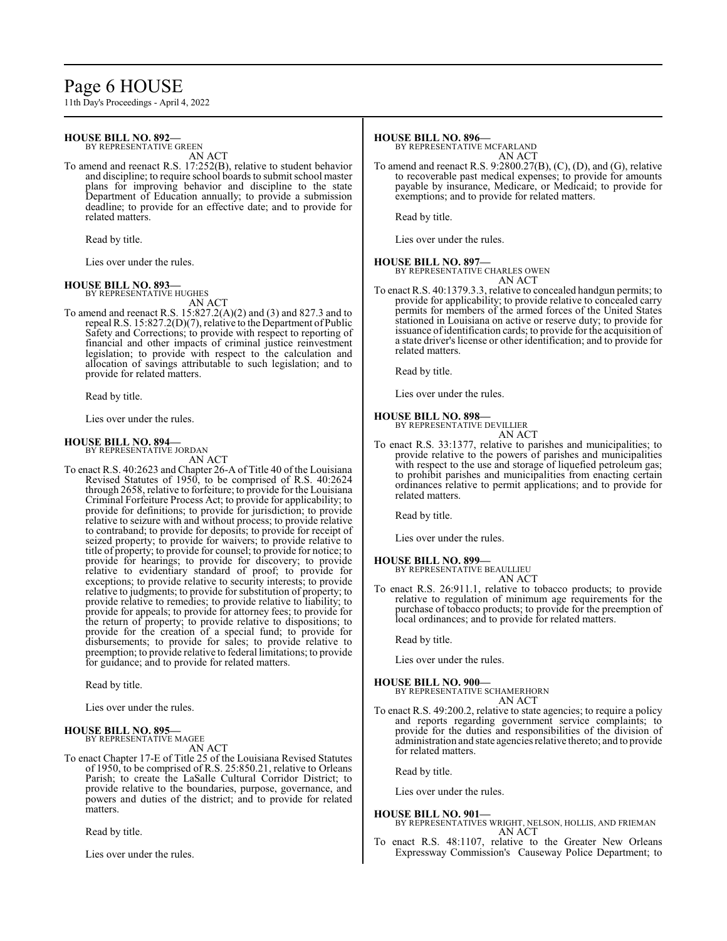# Page 6 HOUSE

11th Day's Proceedings - April 4, 2022

#### **HOUSE BILL NO. 892—** BY REPRESENTATIVE GREEN

AN ACT

To amend and reenact R.S. 17:252(B), relative to student behavior and discipline; to require school boards to submit school master plans for improving behavior and discipline to the state Department of Education annually; to provide a submission deadline; to provide for an effective date; and to provide for related matters.

Read by title.

Lies over under the rules.

#### **HOUSE BILL NO. 893—** BY REPRESENTATIVE HUGHES

AN ACT

To amend and reenact R.S. 15:827.2(A)(2) and (3) and 827.3 and to repeal R.S. 15:827.2(D)(7), relative to the Department of Public Safety and Corrections; to provide with respect to reporting of financial and other impacts of criminal justice reinvestment legislation; to provide with respect to the calculation and allocation of savings attributable to such legislation; and to provide for related matters.

Read by title.

Lies over under the rules.

#### **HOUSE BILL NO. 894—** BY REPRESENTATIVE JORDAN

AN ACT

To enact R.S. 40:2623 and Chapter 26-A of Title 40 of the Louisiana Revised Statutes of 1950, to be comprised of R.S. 40:2624 through 2658, relative to forfeiture; to provide for the Louisiana Criminal Forfeiture Process Act; to provide for applicability; to provide for definitions; to provide for jurisdiction; to provide relative to seizure with and without process; to provide relative to contraband; to provide for deposits; to provide for receipt of seized property; to provide for waivers; to provide relative to title of property; to provide for counsel; to provide for notice; to provide for hearings; to provide for discovery; to provide relative to evidentiary standard of proof; to provide for exceptions; to provide relative to security interests; to provide relative to judgments; to provide for substitution of property; to provide relative to remedies; to provide relative to liability; to provide for appeals; to provide for attorney fees; to provide for the return of property; to provide relative to dispositions; to provide for the creation of a special fund; to provide for disbursements; to provide for sales; to provide relative to preemption; to provide relative to federal limitations; to provide for guidance; and to provide for related matters.

Read by title.

Lies over under the rules.

#### **HOUSE BILL NO. 895—**

BY REPRESENTATIVE MAGEE AN ACT

To enact Chapter 17-E of Title 25 of the Louisiana Revised Statutes of 1950, to be comprised of R.S. 25:850.21, relative to Orleans Parish; to create the LaSalle Cultural Corridor District; to provide relative to the boundaries, purpose, governance, and powers and duties of the district; and to provide for related matters.

Read by title.

Lies over under the rules.

#### **HOUSE BILL NO. 896—**

BY REPRESENTATIVE MCFARLAND AN ACT

To amend and reenact R.S. 9:2800.27(B), (C), (D), and (G), relative to recoverable past medical expenses; to provide for amounts payable by insurance, Medicare, or Medicaid; to provide for exemptions; and to provide for related matters.

Read by title.

Lies over under the rules.

### **HOUSE BILL NO. 897—**

BY REPRESENTATIVE CHARLES OWEN AN ACT

To enact R.S. 40:1379.3.3, relative to concealed handgun permits; to provide for applicability; to provide relative to concealed carry permits for members of the armed forces of the United States stationed in Louisiana on active or reserve duty; to provide for issuance ofidentification cards; to provide for the acquisition of a state driver's license or other identification; and to provide for related matters.

Read by title.

Lies over under the rules.

#### **HOUSE BILL NO. 898—**

BY REPRESENTATIVE DEVILLIER

- AN ACT
- To enact R.S. 33:1377, relative to parishes and municipalities; to provide relative to the powers of parishes and municipalities with respect to the use and storage of liquefied petroleum gas; to prohibit parishes and municipalities from enacting certain ordinances relative to permit applications; and to provide for related matters.

Read by title.

Lies over under the rules.

#### **HOUSE BILL NO. 899—**

BY REPRESENTATIVE BEAULLIEU AN ACT

To enact R.S. 26:911.1, relative to tobacco products; to provide relative to regulation of minimum age requirements for the purchase of tobacco products; to provide for the preemption of local ordinances; and to provide for related matters.

Read by title.

Lies over under the rules.

#### **HOUSE BILL NO. 900—**

BY REPRESENTATIVE SCHAMERHORN AN ACT

To enact R.S. 49:200.2, relative to state agencies; to require a policy and reports regarding government service complaints; to provide for the duties and responsibilities of the division of administration and state agencies relative thereto; and to provide for related matters.

Read by title.

Lies over under the rules.

#### **HOUSE BILL NO. 901—**

- BY REPRESENTATIVES WRIGHT, NELSON, HOLLIS, AND FRIEMAN AN ACT
- To enact R.S. 48:1107, relative to the Greater New Orleans Expressway Commission's Causeway Police Department; to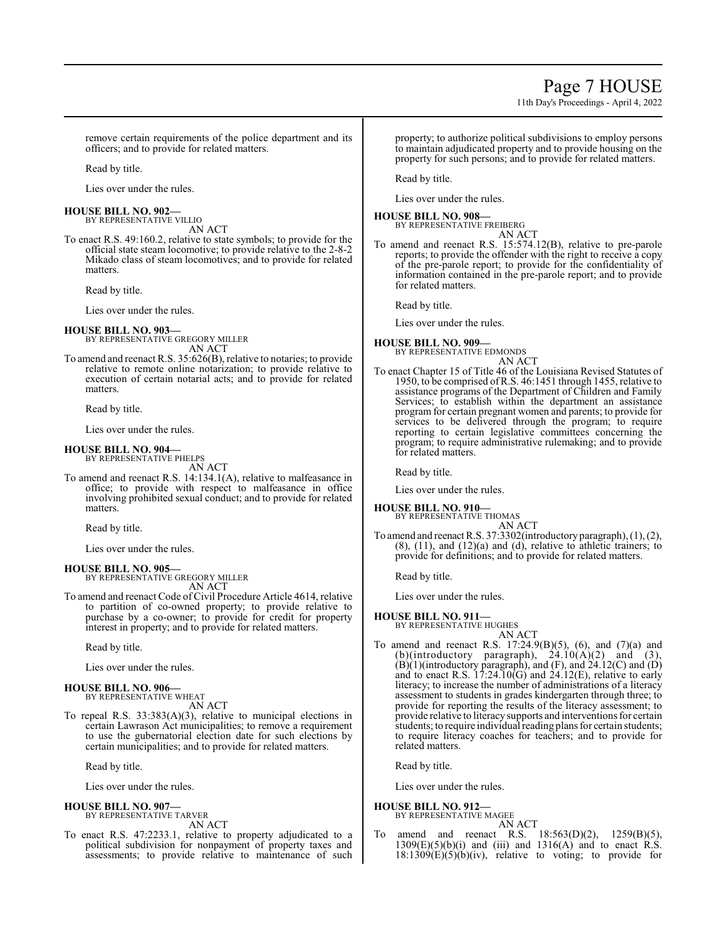# Page 7 HOUSE

11th Day's Proceedings - April 4, 2022

remove certain requirements of the police department and its officers; and to provide for related matters.

Read by title.

Lies over under the rules.

#### **HOUSE BILL NO. 902—**

BY REPRESENTATIVE VILLIO AN ACT

To enact R.S. 49:160.2, relative to state symbols; to provide for the official state steam locomotive; to provide relative to the 2-8-2 Mikado class of steam locomotives; and to provide for related matters.

Read by title.

Lies over under the rules.

**HOUSE BILL NO. 903—** BY REPRESENTATIVE GREGORY MILLER AN ACT

To amend and reenact R.S. 35:626(B), relative to notaries; to provide relative to remote online notarization; to provide relative to execution of certain notarial acts; and to provide for related matters.

Read by title.

Lies over under the rules.

#### **HOUSE BILL NO. 904—** BY REPRESENTATIVE PHELPS

AN ACT

To amend and reenact R.S. 14:134.1(A), relative to malfeasance in office; to provide with respect to malfeasance in office involving prohibited sexual conduct; and to provide for related matters.

Read by title.

Lies over under the rules.

#### **HOUSE BILL NO. 905—**

BY REPRESENTATIVE GREGORY MILLER AN ACT

To amend and reenact Code of Civil Procedure Article 4614, relative to partition of co-owned property; to provide relative to purchase by a co-owner; to provide for credit for property interest in property; and to provide for related matters.

Read by title.

Lies over under the rules.

#### **HOUSE BILL NO. 906—**

BY REPRESENTATIVE WHEAT AN ACT

To repeal R.S. 33:383(A)(3), relative to municipal elections in certain Lawrason Act municipalities; to remove a requirement to use the gubernatorial election date for such elections by certain municipalities; and to provide for related matters.

Read by title.

Lies over under the rules.

#### **HOUSE BILL NO. 907—**

BY REPRESENTATIVE TARVER AN ACT

To enact R.S. 47:2233.1, relative to property adjudicated to a political subdivision for nonpayment of property taxes and assessments; to provide relative to maintenance of such

property; to authorize political subdivisions to employ persons to maintain adjudicated property and to provide housing on the property for such persons; and to provide for related matters.

Read by title.

Lies over under the rules.

#### **HOUSE BILL NO. 908—**

BY REPRESENTATIVE FREIBERG AN ACT

To amend and reenact R.S. 15:574.12(B), relative to pre-parole reports; to provide the offender with the right to receive a copy of the pre-parole report; to provide for the confidentiality of information contained in the pre-parole report; and to provide for related matters.

Read by title.

Lies over under the rules.

#### **HOUSE BILL NO. 909—**

BY REPRESENTATIVE EDMONDS AN ACT

To enact Chapter 15 of Title 46 of the Louisiana Revised Statutes of 1950, to be comprised ofR.S. 46:1451 through 1455, relative to assistance programs of the Department of Children and Family Services; to establish within the department an assistance program for certain pregnant women and parents; to provide for services to be delivered through the program; to require reporting to certain legislative committees concerning the program; to require administrative rulemaking; and to provide for related matters.

Read by title.

Lies over under the rules.

#### **HOUSE BILL NO. 910—**

BY REPRESENTATIVE THOMAS AN ACT

To amend and reenact R.S. 37:3302(introductory paragraph), (1), (2),  $(8)$ ,  $(11)$ , and  $(12)(a)$  and  $(d)$ , relative to athletic trainers; to provide for definitions; and to provide for related matters.

Read by title.

Lies over under the rules.

#### **HOUSE BILL NO. 911—**

- BY REPRESENTATIVE HUGHES AN ACT
- To amend and reenact R.S. 17:24.9(B)(5), (6), and (7)(a) and (b)(introductory paragraph),  $24.10(A)(2)$  and (3),  $(B)(1)$ (introductory paragraph), and  $(F)$ , and  $24.12(C)$  and  $(D)$ and to enact R.S.  $17:24.10(G)$  and  $24.12(E)$ , relative to early literacy; to increase the number of administrations of a literacy assessment to students in grades kindergarten through three; to provide for reporting the results of the literacy assessment; to provide relative to literacysupports and interventions for certain students; to require individual reading plans for certain students; to require literacy coaches for teachers; and to provide for related matters.

Read by title.

Lies over under the rules.

#### **HOUSE BILL NO. 912—**

BY REPRESENTATIVE MAGEE AN ACT

To amend and reenact R.S. 18:563(D)(2), 1259(B)(5),  $1309(E)(5)(b)(i)$  and (iii) and  $1316(A)$  and to enact R.S.  $18:1309(E)(5)(b)(iv)$ , relative to voting; to provide for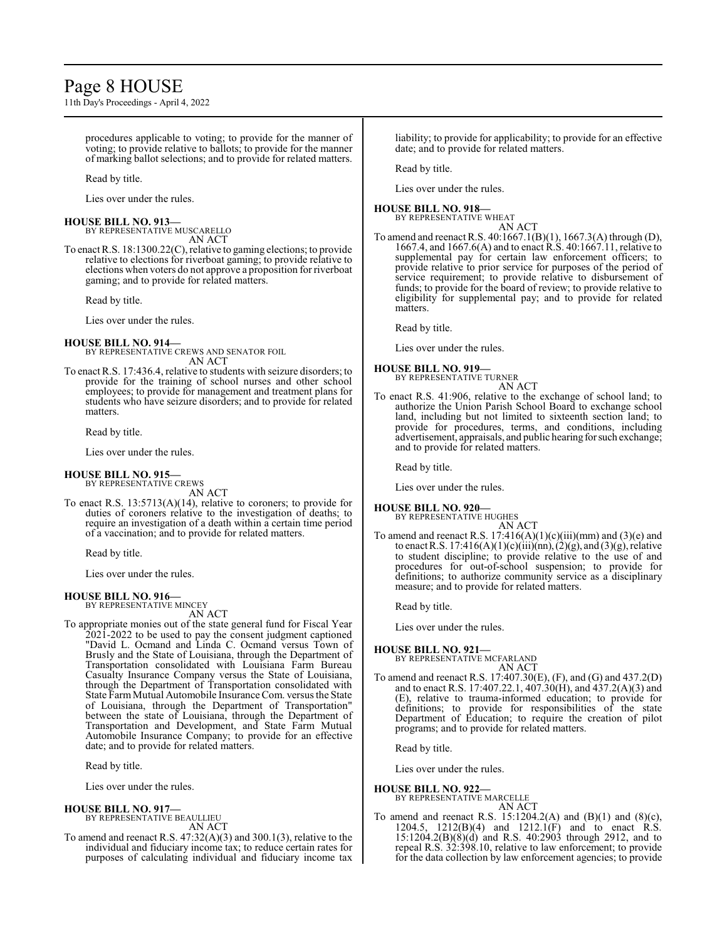# Page 8 HOUSE

11th Day's Proceedings - April 4, 2022

procedures applicable to voting; to provide for the manner of voting; to provide relative to ballots; to provide for the manner of marking ballot selections; and to provide for related matters.

Read by title.

Lies over under the rules.

#### **HOUSE BILL NO. 913—**

BY REPRESENTATIVE MUSCARELLO AN ACT

To enact R.S. 18:1300.22(C), relative to gaming elections; to provide relative to elections for riverboat gaming; to provide relative to elections when voters do not approve a proposition for riverboat gaming; and to provide for related matters.

Read by title.

Lies over under the rules.

#### **HOUSE BILL NO. 914—**

BY REPRESENTATIVE CREWS AND SENATOR FOIL AN ACT

To enact R.S. 17:436.4, relative to students with seizure disorders; to provide for the training of school nurses and other school employees; to provide for management and treatment plans for students who have seizure disorders; and to provide for related matters.

Read by title.

Lies over under the rules.

#### **HOUSE BILL NO. 915—** BY REPRESENTATIVE CREWS

AN ACT

To enact R.S. 13:5713(A)(14), relative to coroners; to provide for duties of coroners relative to the investigation of deaths; to require an investigation of a death within a certain time period of a vaccination; and to provide for related matters.

Read by title.

Lies over under the rules.

#### **HOUSE BILL NO. 916—** BY REPRESENTATIVE MINCEY

AN ACT

To appropriate monies out of the state general fund for Fiscal Year 2021-2022 to be used to pay the consent judgment captioned "David L. Ocmand and Linda C. Ocmand versus Town of Brusly and the State of Louisiana, through the Department of Transportation consolidated with Louisiana Farm Bureau Casualty Insurance Company versus the State of Louisiana, through the Department of Transportation consolidated with State Farm Mutual Automobile Insurance Com. versus the State of Louisiana, through the Department of Transportation" between the state of Louisiana, through the Department of Transportation and Development, and State Farm Mutual Automobile Insurance Company; to provide for an effective date; and to provide for related matters.

Read by title.

Lies over under the rules.

# **HOUSE BILL NO. 917—**

BY REPRESENTATIVE BEAULLIEU

- AN ACT
- To amend and reenact R.S. 47:32(A)(3) and 300.1(3), relative to the individual and fiduciary income tax; to reduce certain rates for purposes of calculating individual and fiduciary income tax

liability; to provide for applicability; to provide for an effective date; and to provide for related matters.

Read by title.

Lies over under the rules.

# **HOUSE BILL NO. 918—**

BY REPRESENTATIVE WHEAT AN ACT

To amend and reenact R.S. 40:1667.1(B)(1), 1667.3(A) through (D), 1667.4, and 1667.6(A) and to enact R.S. 40:1667.11, relative to supplemental pay for certain law enforcement officers; to provide relative to prior service for purposes of the period of service requirement; to provide relative to disbursement of funds; to provide for the board of review; to provide relative to eligibility for supplemental pay; and to provide for related matters.

Read by title.

Lies over under the rules.

### **HOUSE BILL NO. 919—**

BY REPRESENTATIVE TURNER AN ACT

To enact R.S. 41:906, relative to the exchange of school land; to authorize the Union Parish School Board to exchange school land, including but not limited to sixteenth section land; to provide for procedures, terms, and conditions, including advertisement, appraisals, and public hearing for such exchange; and to provide for related matters.

Read by title.

Lies over under the rules.

### **HOUSE BILL NO. 920—**

BY REPRESENTATIVE HUGHES AN ACT

To amend and reenact R.S.  $17:416(A)(1)(c)(iii)(mm)$  and  $(3)(e)$  and to enact R.S. 17:416(A)(1)(c)(iii)(nn),(2)(g), and (3)(g), relative to student discipline; to provide relative to the use of and procedures for out-of-school suspension; to provide for definitions; to authorize community service as a disciplinary measure; and to provide for related matters.

Read by title.

Lies over under the rules.

#### **HOUSE BILL NO. 921—**

BY REPRESENTATIVE MCFARLAND AN ACT

To amend and reenact R.S. 17:407.30(E), (F), and (G) and 437.2(D) and to enact R.S. 17:407.22.1, 407.30(H), and 437.2(A)(3) and (E), relative to trauma-informed education; to provide for definitions; to provide for responsibilities of the state Department of Education; to require the creation of pilot programs; and to provide for related matters.

Read by title.

Lies over under the rules.

**HOUSE BILL NO. 922—**

BY REPRESENTATIVE MARCELLE AN ACT

To amend and reenact R.S. 15:1204.2(A) and (B)(1) and (8)(c), 1204.5, 1212(B)(4) and 1212.1(F) and to enact  $\hat{R}$ .S. 15:1204.2(B)(8)(d) and R.S. 40:2903 through 2912, and to repeal R.S. 32:398.10, relative to law enforcement; to provide for the data collection by law enforcement agencies; to provide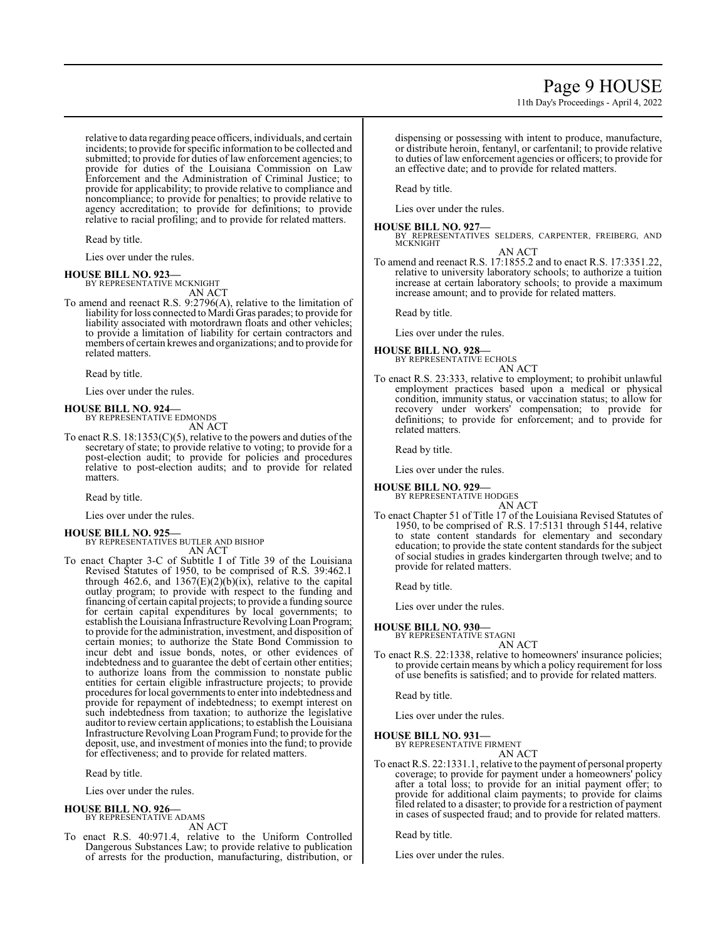11th Day's Proceedings - April 4, 2022

relative to data regarding peace officers, individuals, and certain incidents; to provide for specific information to be collected and submitted; to provide for duties of law enforcement agencies; to provide for duties of the Louisiana Commission on Law Enforcement and the Administration of Criminal Justice; to provide for applicability; to provide relative to compliance and noncompliance; to provide for penalties; to provide relative to agency accreditation; to provide for definitions; to provide relative to racial profiling; and to provide for related matters.

Read by title.

Lies over under the rules.

**HOUSE BILL NO. 923—** BY REPRESENTATIVE MCKNIGHT AN ACT

To amend and reenact R.S. 9:2796(A), relative to the limitation of liability for loss connected to Mardi Gras parades; to provide for liability associated with motordrawn floats and other vehicles; to provide a limitation of liability for certain contractors and members of certain krewes and organizations; and to provide for related matters.

Read by title.

Lies over under the rules.

**HOUSE BILL NO. 924—**

BY REPRESENTATIVE EDMONDS AN ACT

To enact R.S. 18:1353(C)(5), relative to the powers and duties of the secretary of state; to provide relative to voting; to provide for a post-election audit; to provide for policies and procedures relative to post-election audits; and to provide for related matters.

Read by title.

Lies over under the rules.

#### **HOUSE BILL NO. 925—**

BY REPRESENTATIVES BUTLER AND BISHOP AN ACT

To enact Chapter 3-C of Subtitle I of Title 39 of the Louisiana Revised Statutes of 1950, to be comprised of R.S. 39:462.1 through 462.6, and 1367(E)(2)(b)(ix), relative to the capital outlay program; to provide with respect to the funding and financing of certain capital projects; to provide a funding source for certain capital expenditures by local governments; to establish the Louisiana Infrastructure Revolving Loan Program; to provide for the administration, investment, and disposition of certain monies; to authorize the State Bond Commission to incur debt and issue bonds, notes, or other evidences of indebtedness and to guarantee the debt of certain other entities; to authorize loans from the commission to nonstate public entities for certain eligible infrastructure projects; to provide procedures for local governments to enter into indebtedness and provide for repayment of indebtedness; to exempt interest on such indebtedness from taxation; to authorize the legislative auditor to review certain applications; to establish the Louisiana Infrastructure RevolvingLoan ProgramFund; to provide for the deposit, use, and investment of monies into the fund; to provide for effectiveness; and to provide for related matters.

Read by title.

Lies over under the rules.

# **HOUSE BILL NO. 926—**

BY REPRESENTATIVE ADAMS

- AN ACT
- To enact R.S. 40:971.4, relative to the Uniform Controlled Dangerous Substances Law; to provide relative to publication of arrests for the production, manufacturing, distribution, or

dispensing or possessing with intent to produce, manufacture, or distribute heroin, fentanyl, or carfentanil; to provide relative to duties of law enforcement agencies or officers; to provide for an effective date; and to provide for related matters.

Read by title.

Lies over under the rules.

#### **HOUSE BILL NO. 927—**

BY REPRESENTATIVES SELDERS, CARPENTER, FREIBERG, AND MCKNIGHT

AN ACT

To amend and reenact R.S. 17:1855.2 and to enact R.S. 17:3351.22, relative to university laboratory schools; to authorize a tuition increase at certain laboratory schools; to provide a maximum increase amount; and to provide for related matters.

Read by title.

Lies over under the rules.

#### **HOUSE BILL NO. 928—** BY REPRESENTATIVE ECHOLS

AN ACT

To enact R.S. 23:333, relative to employment; to prohibit unlawful employment practices based upon a medical or physical condition, immunity status, or vaccination status; to allow for recovery under workers' compensation; to provide for definitions; to provide for enforcement; and to provide for related matters.

Read by title.

Lies over under the rules.

**HOUSE BILL NO. 929—**

BY REPRESENTATIVE HODGES AN ACT

To enact Chapter 51 of Title 17 of the Louisiana Revised Statutes of 1950, to be comprised of R.S. 17:5131 through 5144, relative to state content standards for elementary and secondary education; to provide the state content standards for the subject of social studies in grades kindergarten through twelve; and to provide for related matters.

Read by title.

Lies over under the rules.

# **HOUSE BILL NO. 930—**

BY REPRESENTATIVE STAGNI AN ACT

To enact R.S. 22:1338, relative to homeowners' insurance policies; to provide certain means by which a policy requirement for loss of use benefits is satisfied; and to provide for related matters.

Read by title.

Lies over under the rules.

### **HOUSE BILL NO. 931—**

BY REPRESENTATIVE FIRMENT AN ACT

To enact R.S. 22:1331.1, relative to the payment of personal property coverage; to provide for payment under a homeowners' policy after a total loss; to provide for an initial payment offer; to provide for additional claim payments; to provide for claims filed related to a disaster; to provide for a restriction of payment in cases of suspected fraud; and to provide for related matters.

Read by title.

Lies over under the rules.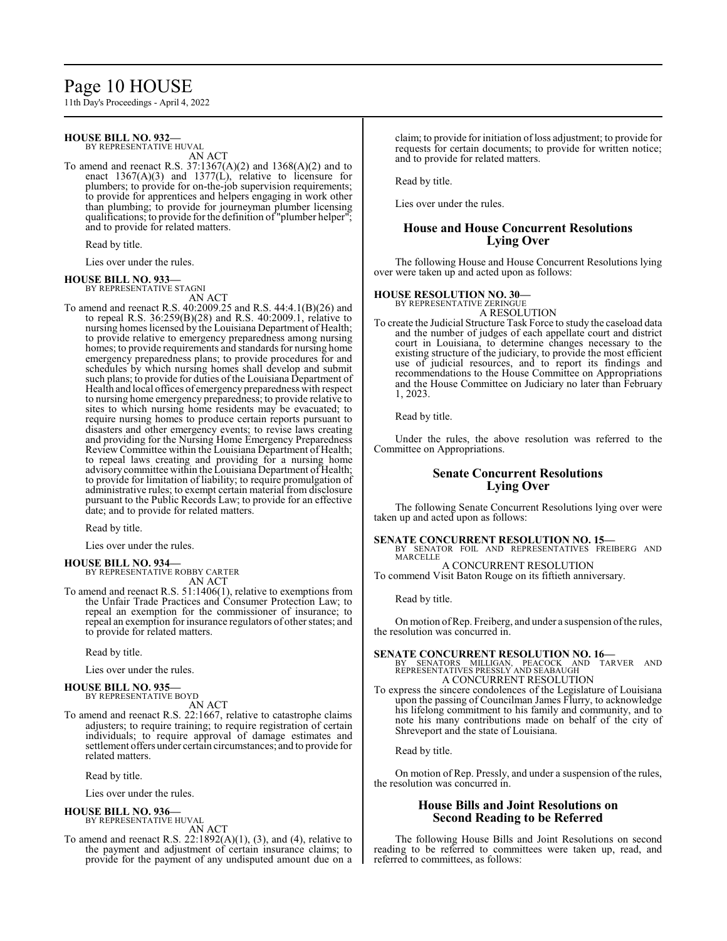# Page 10 HOUSE

11th Day's Proceedings - April 4, 2022

# **HOUSE BILL NO. 932—**

BY REPRESENTATIVE HUVAL

AN ACT To amend and reenact R.S. 37:1367(A)(2) and 1368(A)(2) and to enact  $1367(A)(3)$  and  $1377(L)$ , relative to licensure for plumbers; to provide for on-the-job supervision requirements; to provide for apprentices and helpers engaging in work other than plumbing; to provide for journeyman plumber licensing qualifications; to provide for the definition of "plumber helper"; and to provide for related matters.

Read by title.

Lies over under the rules.

#### **HOUSE BILL NO. 933—**

BY REPRESENTATIVE STAGNI

AN ACT To amend and reenact R.S. 40:2009.25 and R.S. 44:4.1(B)(26) and to repeal R.S.  $36:259(B)(28)$  and R.S.  $40:2009.1$ , relative to nursing homes licensed by the Louisiana Department of Health; to provide relative to emergency preparedness among nursing homes; to provide requirements and standards for nursing home emergency preparedness plans; to provide procedures for and schedules by which nursing homes shall develop and submit such plans; to provide for duties of the Louisiana Department of Health and local offices of emergency preparedness with respect to nursing home emergency preparedness; to provide relative to sites to which nursing home residents may be evacuated; to require nursing homes to produce certain reports pursuant to disasters and other emergency events; to revise laws creating and providing for the Nursing Home Emergency Preparedness Review Committee within the Louisiana Department of Health; to repeal laws creating and providing for a nursing home advisory committee within the Louisiana Department of Health; to provide for limitation of liability; to require promulgation of administrative rules; to exempt certain material from disclosure pursuant to the Public Records Law; to provide for an effective date; and to provide for related matters.

Read by title.

Lies over under the rules.

#### **HOUSE BILL NO. 934—** BY REPRESENTATIVE ROBBY CARTER

AN ACT

To amend and reenact R.S. 51:1406(1), relative to exemptions from the Unfair Trade Practices and Consumer Protection Law; to repeal an exemption for the commissioner of insurance; to repeal an exemption for insurance regulators of other states; and to provide for related matters.

Read by title.

Lies over under the rules.

#### **HOUSE BILL NO. 935—** BY REPRESENTATIVE BOYD

AN ACT

To amend and reenact R.S. 22:1667, relative to catastrophe claims adjusters; to require training; to require registration of certain individuals; to require approval of damage estimates and settlement offers under certain circumstances; and to provide for related matters.

Read by title.

Lies over under the rules.

#### **HOUSE BILL NO. 936—**

BY REPRESENTATIVE HUVAL AN ACT

To amend and reenact R.S. 22:1892(A)(1), (3), and (4), relative to the payment and adjustment of certain insurance claims; to provide for the payment of any undisputed amount due on a claim; to provide for initiation ofloss adjustment; to provide for requests for certain documents; to provide for written notice; and to provide for related matters.

Read by title.

Lies over under the rules.

# **House and House Concurrent Resolutions Lying Over**

The following House and House Concurrent Resolutions lying over were taken up and acted upon as follows:

### **HOUSE RESOLUTION NO. 30—**

BY REPRESENTATIVE ZERINGUE A RESOLUTION

To create the Judicial Structure Task Force to study the caseload data and the number of judges of each appellate court and district court in Louisiana, to determine changes necessary to the existing structure of the judiciary, to provide the most efficient use of judicial resources, and to report its findings and recommendations to the House Committee on Appropriations and the House Committee on Judiciary no later than February 1, 2023.

Read by title.

Under the rules, the above resolution was referred to the Committee on Appropriations.

# **Senate Concurrent Resolutions Lying Over**

The following Senate Concurrent Resolutions lying over were taken up and acted upon as follows:

**SENATE CONCURRENT RESOLUTION NO. 15—**<br>BY SENATOR FOIL AND REPRESENTATIVES FREIBERG AND MARCELLE A CONCURRENT RESOLUTION

To commend Visit Baton Rouge on its fiftieth anniversary.

Read by title.

On motion of Rep. Freiberg, and under a suspension of the rules, the resolution was concurred in.

**SENATE CONCURRENT RESOLUTION NO. 16—**<br>BY SENATORS MILLIGAN, PEACOCK AND TARVER AND<br>REPRESENTATIVES PRESSLY AND SEABAUGH A CONCURRENT RESOLUTION

To express the sincere condolences of the Legislature of Louisiana upon the passing of Councilman James Flurry, to acknowledge his lifelong commitment to his family and community, and to note his many contributions made on behalf of the city of Shreveport and the state of Louisiana.

Read by title.

On motion of Rep. Pressly, and under a suspension of the rules, the resolution was concurred in.

### **House Bills and Joint Resolutions on Second Reading to be Referred**

The following House Bills and Joint Resolutions on second reading to be referred to committees were taken up, read, and referred to committees, as follows: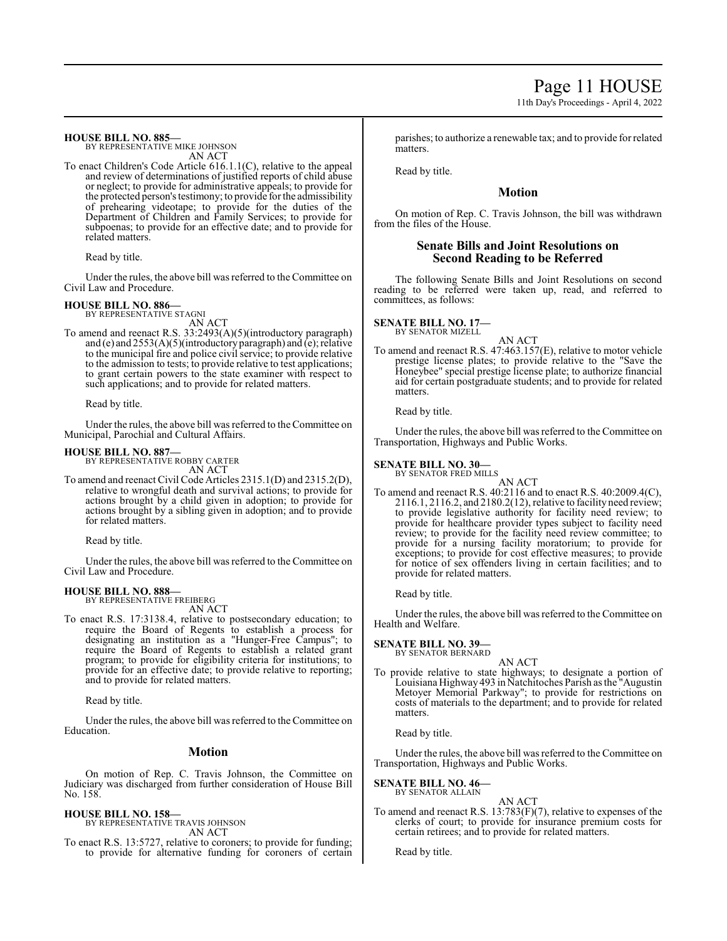11th Day's Proceedings - April 4, 2022

**HOUSE BILL NO. 885—**

BY REPRESENTATIVE MIKE JOHNSON AN ACT

To enact Children's Code Article 616.1.1(C), relative to the appeal and review of determinations of justified reports of child abuse or neglect; to provide for administrative appeals; to provide for the protected person's testimony; to provide for the admissibility of prehearing videotape; to provide for the duties of the Department of Children and Family Services; to provide for subpoenas; to provide for an effective date; and to provide for related matters.

Read by title.

Under the rules, the above bill was referred to the Committee on Civil Law and Procedure.

### **HOUSE BILL NO. 886—**

BY REPRESENTATIVE STAGNI AN ACT

To amend and reenact R.S. 33:2493(A)(5)(introductory paragraph) and (e) and 2553(A)(5)(introductory paragraph) and (e); relative to the municipal fire and police civil service; to provide relative to the admission to tests; to provide relative to test applications; to grant certain powers to the state examiner with respect to such applications; and to provide for related matters.

Read by title.

Under the rules, the above bill was referred to the Committee on Municipal, Parochial and Cultural Affairs.

### **HOUSE BILL NO. 887—**

BY REPRESENTATIVE ROBBY CARTER AN ACT

To amend and reenact Civil Code Articles 2315.1(D) and 2315.2(D), relative to wrongful death and survival actions; to provide for actions brought by a child given in adoption; to provide for actions brought by a sibling given in adoption; and to provide for related matters.

Read by title.

Under the rules, the above bill was referred to the Committee on Civil Law and Procedure.

### **HOUSE BILL NO. 888—**

BY REPRESENTATIVE FREIBERG AN ACT

To enact R.S. 17:3138.4, relative to postsecondary education; to require the Board of Regents to establish a process for designating an institution as a "Hunger-Free Campus"; to require the Board of Regents to establish a related grant program; to provide for eligibility criteria for institutions; to provide for an effective date; to provide relative to reporting; and to provide for related matters.

Read by title.

Under the rules, the above bill was referred to theCommittee on Education.

### **Motion**

On motion of Rep. C. Travis Johnson, the Committee on Judiciary was discharged from further consideration of House Bill No. 158.

**HOUSE BILL NO. 158—**

BY REPRESENTATIVE TRAVIS JOHNSON AN ACT

To enact R.S. 13:5727, relative to coroners; to provide for funding; to provide for alternative funding for coroners of certain parishes; to authorize a renewable tax; and to provide for related matters.

Read by title.

# **Motion**

On motion of Rep. C. Travis Johnson, the bill was withdrawn from the files of the House.

# **Senate Bills and Joint Resolutions on Second Reading to be Referred**

The following Senate Bills and Joint Resolutions on second reading to be referred were taken up, read, and referred to committees, as follows:

#### **SENATE BILL NO. 17—** BY SENATOR MIZELL

AN ACT To amend and reenact R.S. 47:463.157(E), relative to motor vehicle prestige license plates; to provide relative to the "Save the Honeybee" special prestige license plate; to authorize financial aid for certain postgraduate students; and to provide for related matters.

Read by title.

Under the rules, the above bill was referred to the Committee on Transportation, Highways and Public Works.

#### **SENATE BILL NO. 30—** BY SENATOR FRED MILLS

AN ACT

To amend and reenact R.S. 40:2116 and to enact R.S. 40:2009.4(C), 2116.1, 2116.2, and 2180.2(12), relative to facility need review; to provide legislative authority for facility need review; to provide for healthcare provider types subject to facility need review; to provide for the facility need review committee; to provide for a nursing facility moratorium; to provide for exceptions; to provide for cost effective measures; to provide for notice of sex offenders living in certain facilities; and to provide for related matters.

Read by title.

Under the rules, the above bill was referred to the Committee on Health and Welfare.

# **SENATE BILL NO. 39—** BY SENATOR BERNARD

AN ACT To provide relative to state highways; to designate a portion of Louisiana Highway 493 in Natchitoches Parish as the "Augustin Metoyer Memorial Parkway"; to provide for restrictions on costs of materials to the department; and to provide for related matters.

Read by title.

Under the rules, the above bill was referred to the Committee on Transportation, Highways and Public Works.

### **SENATE BILL NO. 46—**

BY SENATOR ALLAIN AN ACT

To amend and reenact R.S. 13:783(F)(7), relative to expenses of the clerks of court; to provide for insurance premium costs for certain retirees; and to provide for related matters.

Read by title.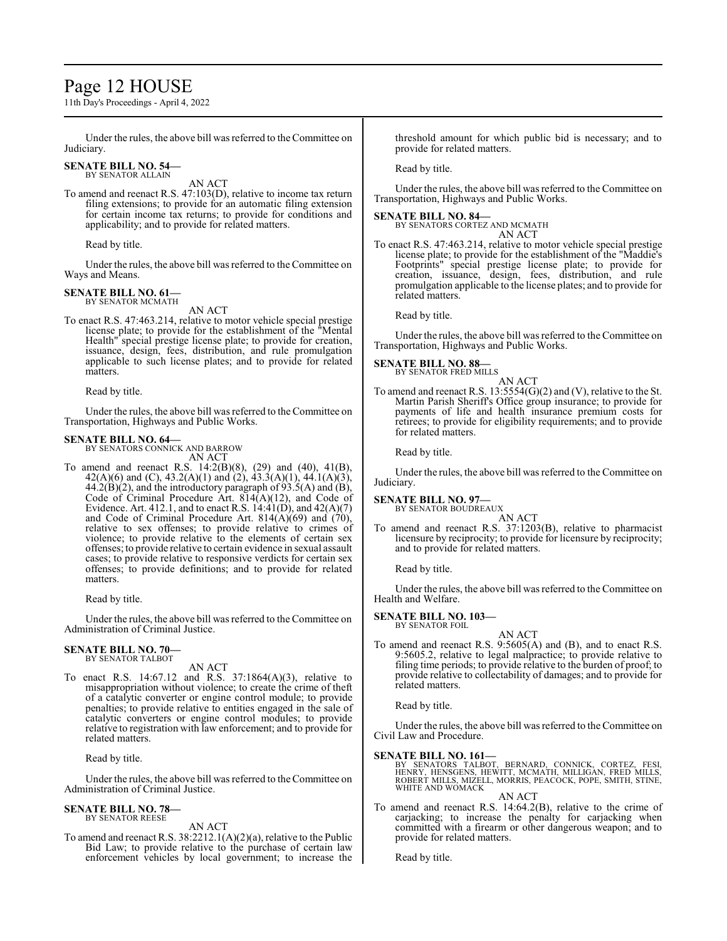# Page 12 HOUSE

11th Day's Proceedings - April 4, 2022

Under the rules, the above bill was referred to the Committee on Judiciary.

#### **SENATE BILL NO. 54—** BY SENATOR ALLAIN

AN ACT

To amend and reenact R.S. 47:103(D), relative to income tax return filing extensions; to provide for an automatic filing extension for certain income tax returns; to provide for conditions and applicability; and to provide for related matters.

Read by title.

Under the rules, the above bill was referred to the Committee on Ways and Means.

#### **SENATE BILL NO. 61—** BY SENATOR MCMATH

AN ACT

To enact R.S. 47:463.214, relative to motor vehicle special prestige license plate; to provide for the establishment of the "Mental Health" special prestige license plate; to provide for creation, issuance, design, fees, distribution, and rule promulgation applicable to such license plates; and to provide for related matters.

Read by title.

Under the rules, the above bill was referred to the Committee on Transportation, Highways and Public Works.

#### **SENATE BILL NO. 64—**

BY SENATORS CONNICK AND BARROW AN ACT

To amend and reenact R.S. 14:2(B)(8), (29) and (40), 41(B), 42(A)(6) and (C), 43.2(A)(1) and (2), 43.3(A)(1), 44.1(A)(3),  $44.2(B)(2)$ , and the introductory paragraph of  $93.5(A)$  and  $(B)$ , Code of Criminal Procedure Art. 814(A)(12), and Code of Evidence. Art. 412.1, and to enact R.S.  $14:41(D)$ , and  $42(A)(7)$ and Code of Criminal Procedure Art.  $814(A)(69)$  and  $(70)$ , relative to sex offenses; to provide relative to crimes of violence; to provide relative to the elements of certain sex offenses; to provide relative to certain evidence in sexual assault cases; to provide relative to responsive verdicts for certain sex offenses; to provide definitions; and to provide for related matters.

Read by title.

Under the rules, the above bill was referred to the Committee on Administration of Criminal Justice.

#### **SENATE BILL NO. 70—** BY SENATOR TALBOT

AN ACT

To enact R.S. 14:67.12 and R.S. 37:1864(A)(3), relative to misappropriation without violence; to create the crime of theft of a catalytic converter or engine control module; to provide penalties; to provide relative to entities engaged in the sale of catalytic converters or engine control modules; to provide relative to registration with law enforcement; and to provide for related matters.

Read by title.

Under the rules, the above bill was referred to theCommittee on Administration of Criminal Justice.

#### **SENATE BILL NO. 78—** BY SENATOR REESE

AN ACT

To amend and reenact R.S. 38:2212.1(A)(2)(a), relative to the Public Bid Law; to provide relative to the purchase of certain law enforcement vehicles by local government; to increase the threshold amount for which public bid is necessary; and to provide for related matters.

Read by title.

Under the rules, the above bill was referred to the Committee on Transportation, Highways and Public Works.

#### **SENATE BILL NO. 84—**

BY SENATORS CORTEZ AND MCMATH AN ACT

To enact R.S. 47:463.214, relative to motor vehicle special prestige license plate; to provide for the establishment of the "Maddie's Footprints" special prestige license plate; to provide for creation, issuance, design, fees, distribution, and rule promulgation applicable to the license plates; and to provide for related matters.

Read by title.

Under the rules, the above bill was referred to the Committee on Transportation, Highways and Public Works.

## **SENATE BILL NO. 88—**

BY SENATOR FRED MILLS AN ACT

To amend and reenact R.S.  $13:5554(G)(2)$  and (V), relative to the St. Martin Parish Sheriff's Office group insurance; to provide for payments of life and health insurance premium costs for retirees; to provide for eligibility requirements; and to provide for related matters.

Read by title.

Under the rules, the above bill was referred to the Committee on Judiciary.

#### **SENATE BILL NO. 97—**

BY SENATOR BOUDREAUX AN ACT

To amend and reenact R.S. 37:1203(B), relative to pharmacist licensure by reciprocity; to provide for licensure by reciprocity; and to provide for related matters.

Read by title.

Under the rules, the above bill was referred to the Committee on Health and Welfare.

### **SENATE BILL NO. 103—**

- BY SENATOR FOIL
- AN ACT To amend and reenact R.S. 9:5605(A) and (B), and to enact R.S. 9:5605.2, relative to legal malpractice; to provide relative to filing time periods; to provide relative to the burden of proof; to provide relative to collectability of damages; and to provide for related matters.

Read by title.

Under the rules, the above bill was referred to the Committee on Civil Law and Procedure.

**SENATE BILL NO. 161—**<br>BY SENATORS TALBOT, BERNARD, CONNICK, CORTEZ, FESI,<br>HENRY, HENSGENS, HEWITT, MCMATH, MILLIGAN, FRED MILLS,<br>ROBERT MILLS, MIZELL, MORRIS, PEACOCK, POPE, SMITH, STINE,<br>WHITE AND WOMACK

AN ACT

To amend and reenact R.S. 14:64.2(B), relative to the crime of carjacking; to increase the penalty for carjacking when committed with a firearm or other dangerous weapon; and to provide for related matters.

Read by title.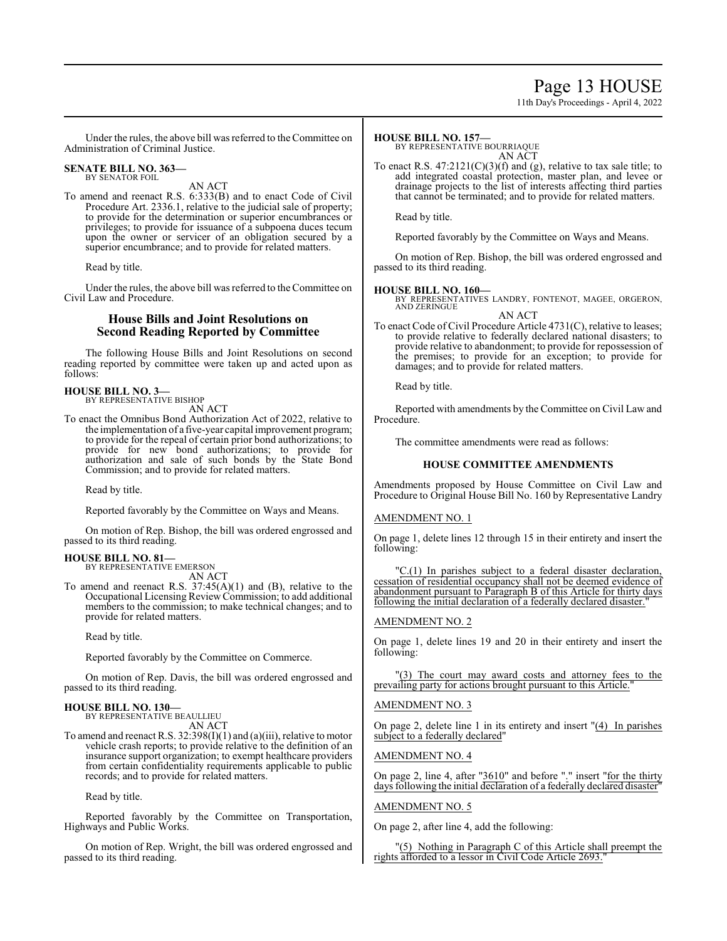# Page 13 HOUSE

11th Day's Proceedings - April 4, 2022

Under the rules, the above bill was referred to the Committee on Administration of Criminal Justice.

#### **SENATE BILL NO. 363—** BY SENATOR FOIL

AN ACT

To amend and reenact R.S. 6:333(B) and to enact Code of Civil Procedure Art. 2336.1, relative to the judicial sale of property; to provide for the determination or superior encumbrances or privileges; to provide for issuance of a subpoena duces tecum upon the owner or servicer of an obligation secured by a superior encumbrance; and to provide for related matters.

Read by title.

Under the rules, the above bill was referred to the Committee on Civil Law and Procedure.

### **House Bills and Joint Resolutions on Second Reading Reported by Committee**

The following House Bills and Joint Resolutions on second reading reported by committee were taken up and acted upon as follows:

#### **HOUSE BILL NO. 3—** BY REPRESENTATIVE BISHOP

AN ACT

To enact the Omnibus Bond Authorization Act of 2022, relative to the implementation of a five-year capital improvement program; to provide for the repeal of certain prior bond authorizations; to provide for new bond authorizations; to provide for authorization and sale of such bonds by the State Bond Commission; and to provide for related matters.

Read by title.

Reported favorably by the Committee on Ways and Means.

On motion of Rep. Bishop, the bill was ordered engrossed and passed to its third reading.

#### **HOUSE BILL NO. 81—**

BY REPRESENTATIVE EMERSON AN ACT

To amend and reenact R.S. 37:45(A)(1) and (B), relative to the Occupational Licensing Review Commission; to add additional members to the commission; to make technical changes; and to provide for related matters.

Read by title.

Reported favorably by the Committee on Commerce.

On motion of Rep. Davis, the bill was ordered engrossed and passed to its third reading.

# **HOUSE BILL NO. 130—**

BY REPRESENTATIVE BEAULLIEU AN ACT

To amend and reenact R.S.  $32:398(I)(1)$  and (a)(iii), relative to motor vehicle crash reports; to provide relative to the definition of an insurance support organization; to exempt healthcare providers from certain confidentiality requirements applicable to public records; and to provide for related matters.

#### Read by title.

Reported favorably by the Committee on Transportation, Highways and Public Works.

On motion of Rep. Wright, the bill was ordered engrossed and passed to its third reading.

#### **HOUSE BILL NO. 157—**

BY REPRESENTATIVE BOURRIAQUE AN ACT

To enact R.S.  $47:2121(C)(3)(f)$  and (g), relative to tax sale title; to add integrated coastal protection, master plan, and levee or drainage projects to the list of interests affecting third parties that cannot be terminated; and to provide for related matters.

Read by title.

Reported favorably by the Committee on Ways and Means.

On motion of Rep. Bishop, the bill was ordered engrossed and passed to its third reading.

### **HOUSE BILL NO. 160—**

BY REPRESENTATIVES LANDRY, FONTENOT, MAGEE, ORGERON, AND ZERINGUE AN ACT

To enact Code of Civil Procedure Article 4731(C), relative to leases; to provide relative to federally declared national disasters; to provide relative to abandonment; to provide for repossession of the premises; to provide for an exception; to provide for damages; and to provide for related matters.

Read by title.

Reported with amendments by the Committee on Civil Law and Procedure.

The committee amendments were read as follows:

#### **HOUSE COMMITTEE AMENDMENTS**

Amendments proposed by House Committee on Civil Law and Procedure to Original House Bill No. 160 by Representative Landry

#### AMENDMENT NO. 1

On page 1, delete lines 12 through 15 in their entirety and insert the following:

"C.(1) In parishes subject to a federal disaster declaration, cessation of residential occupancy shall not be deemed evidence of abandonment pursuant to Paragraph B of this Article for thirty days following the initial declaration of a federally declared disaster.

### AMENDMENT NO. 2

On page 1, delete lines 19 and 20 in their entirety and insert the following:

(3) The court may award costs and attorney fees to the prevailing party for actions brought pursuant to this Article."

#### AMENDMENT NO. 3

On page 2, delete line 1 in its entirety and insert "(4) In parishes subject to a federally declared"

#### AMENDMENT NO. 4

On page 2, line 4, after "3610" and before "." insert "for the thirty days following the initial declaration of a federally declared disaster"

#### AMENDMENT NO. 5

On page 2, after line 4, add the following:

Nothing in Paragraph  $C$  of this Article shall preempt the rights afforded to a lessor in Civil Code Article 2693.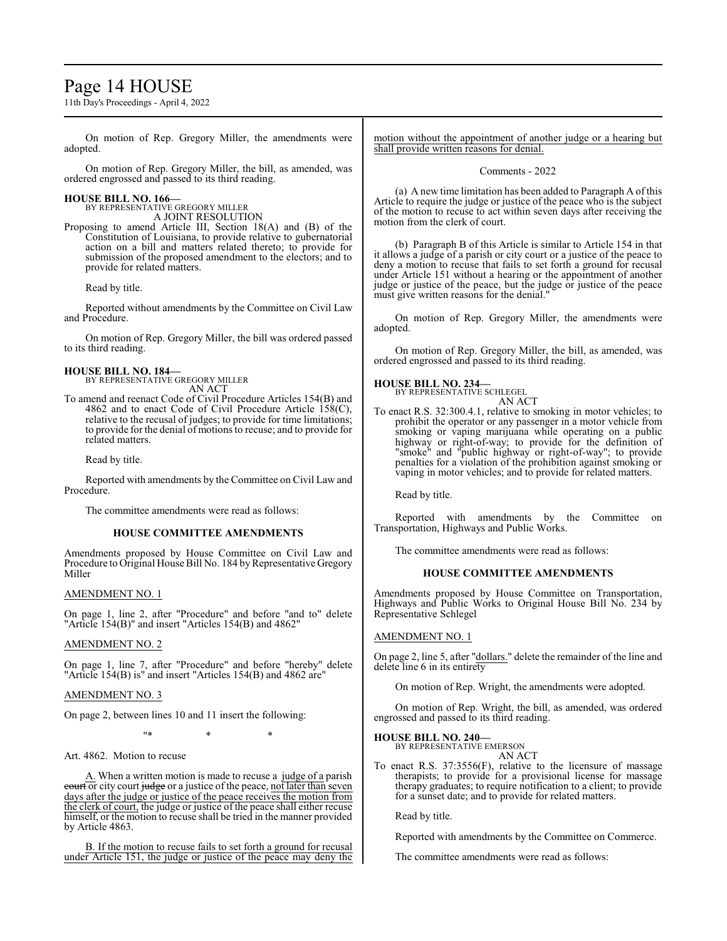# Page 14 HOUSE

11th Day's Proceedings - April 4, 2022

On motion of Rep. Gregory Miller, the amendments were adopted.

On motion of Rep. Gregory Miller, the bill, as amended, was ordered engrossed and passed to its third reading.

# **HOUSE BILL NO. 166—** BY REPRESENTATIVE GREGORY MILLER

A JOINT RESOLUTION

Proposing to amend Article III, Section 18(A) and (B) of the Constitution of Louisiana, to provide relative to gubernatorial action on a bill and matters related thereto; to provide for submission of the proposed amendment to the electors; and to provide for related matters.

Read by title.

Reported without amendments by the Committee on Civil Law and Procedure.

On motion of Rep. Gregory Miller, the bill was ordered passed to its third reading.

# **HOUSE BILL NO. 184—**

BY REPRESENTATIVE GREGORY MILLER AN ACT

To amend and reenact Code of Civil Procedure Articles 154(B) and 4862 and to enact Code of Civil Procedure Article  $158(C)$ , relative to the recusal of judges; to provide for time limitations; to provide for the denial of motions to recuse; and to provide for related matters.

Read by title.

Reported with amendments by the Committee on Civil Law and Procedure.

The committee amendments were read as follows:

### **HOUSE COMMITTEE AMENDMENTS**

Amendments proposed by House Committee on Civil Law and Procedure to Original House Bill No. 184 by Representative Gregory Miller

AMENDMENT NO. 1

On page 1, line 2, after "Procedure" and before "and to" delete "Article 154(B)" and insert "Articles 154(B) and 4862"

### AMENDMENT NO. 2

On page 1, line 7, after "Procedure" and before "hereby" delete "Article 154(B) is" and insert "Articles 154(B) and 4862 are"

### AMENDMENT NO. 3

On page 2, between lines 10 and 11 insert the following:

\* \* \* \* \*

Art. 4862. Motion to recuse

A. When a written motion is made to recuse a judge of a parish court or city court judge or a justice of the peace, not later than seven days after the judge or justice of the peace receives the motion from the clerk of court, the judge or justice of the peace shall either recuse himself, or the motion to recuse shall be tried in the manner provided by Article 4863.

B. If the motion to recuse fails to set forth a ground for recusal under Article 151, the judge or justice of the peace may deny the motion without the appointment of another judge or a hearing but shall provide written reasons for denial.

### Comments - 2022

(a) A new time limitation has been added to Paragraph A of this Article to require the judge or justice of the peace who is the subject of the motion to recuse to act within seven days after receiving the motion from the clerk of court.

(b) Paragraph B of this Article is similar to Article 154 in that it allows a judge of a parish or city court or a justice of the peace to deny a motion to recuse that fails to set forth a ground for recusal under Article 151 without a hearing or the appointment of another judge or justice of the peace, but the judge or justice of the peace must give written reasons for the denial."

On motion of Rep. Gregory Miller, the amendments were adopted.

On motion of Rep. Gregory Miller, the bill, as amended, was ordered engrossed and passed to its third reading.

## **HOUSE BILL NO. 234—**



To enact R.S. 32:300.4.1, relative to smoking in motor vehicles; to prohibit the operator or any passenger in a motor vehicle from smoking or vaping marijuana while operating on a public highway or right-of-way; to provide for the definition of "smoke" and "public highway or right-of-way"; to provide penalties for a violation of the prohibition against smoking or vaping in motor vehicles; and to provide for related matters.

Read by title.

Reported with amendments by the Committee on Transportation, Highways and Public Works.

The committee amendments were read as follows:

### **HOUSE COMMITTEE AMENDMENTS**

Amendments proposed by House Committee on Transportation, Highways and Public Works to Original House Bill No. 234 by Representative Schlegel

### AMENDMENT NO. 1

On page 2, line 5, after "dollars." delete the remainder of the line and delete line 6 in its entirety

On motion of Rep. Wright, the amendments were adopted.

On motion of Rep. Wright, the bill, as amended, was ordered engrossed and passed to its third reading.

## **HOUSE BILL NO. 240—**

BY REPRESENTATIVE EMERSON AN ACT

To enact R.S. 37:3556(F), relative to the licensure of massage therapists; to provide for a provisional license for massage therapy graduates; to require notification to a client; to provide for a sunset date; and to provide for related matters.

Read by title.

Reported with amendments by the Committee on Commerce.

The committee amendments were read as follows: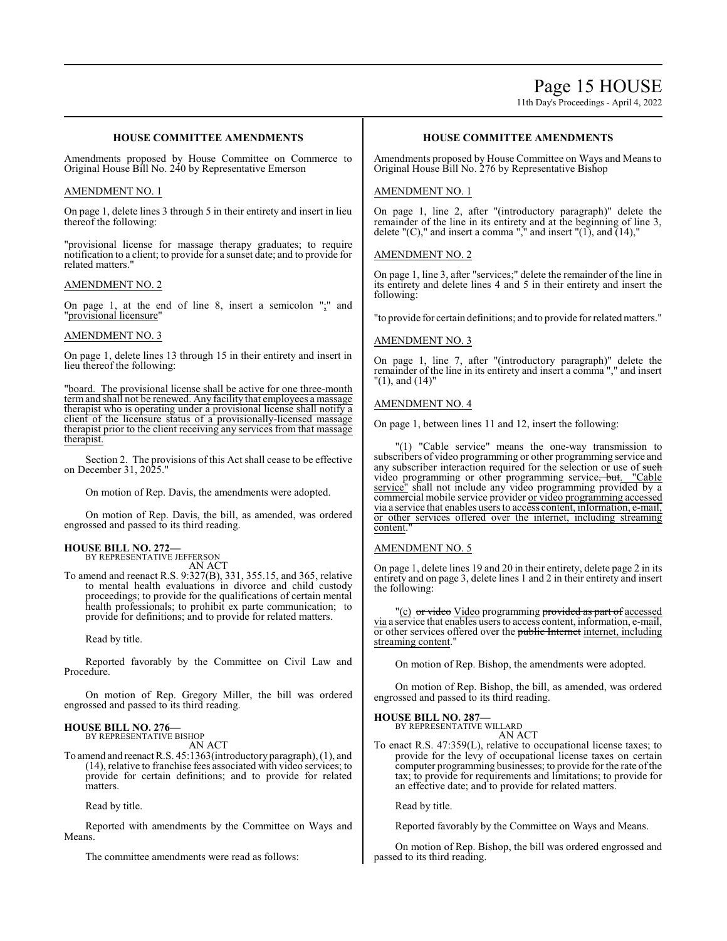# Page 15 HOUSE

11th Day's Proceedings - April 4, 2022

## **HOUSE COMMITTEE AMENDMENTS**

Amendments proposed by House Committee on Commerce to Original House Bill No. 240 by Representative Emerson

#### AMENDMENT NO. 1

On page 1, delete lines 3 through 5 in their entirety and insert in lieu thereof the following:

"provisional license for massage therapy graduates; to require notification to a client; to provide for a sunset date; and to provide for related matters."

#### AMENDMENT NO. 2

On page 1, at the end of line 8, insert a semicolon ";" and "provisional licensure"

#### AMENDMENT NO. 3

On page 1, delete lines 13 through 15 in their entirety and insert in lieu thereof the following:

"board. The provisional license shall be active for one three-month term and shall not be renewed. Any facility that employees a massage therapist who is operating under a provisional license shall notify a client of the licensure status of a provisionally-licensed massage therapist prior to the client receiving any services from that massage therapist.

Section 2. The provisions of this Act shall cease to be effective on December 31, 2025."

On motion of Rep. Davis, the amendments were adopted.

On motion of Rep. Davis, the bill, as amended, was ordered engrossed and passed to its third reading.

#### **HOUSE BILL NO. 272—** BY REPRESENTATIVE JEFFERSON

AN ACT

To amend and reenact R.S. 9:327(B), 331, 355.15, and 365, relative to mental health evaluations in divorce and child custody proceedings; to provide for the qualifications of certain mental health professionals; to prohibit ex parte communication; to provide for definitions; and to provide for related matters.

Read by title.

Reported favorably by the Committee on Civil Law and Procedure.

On motion of Rep. Gregory Miller, the bill was ordered engrossed and passed to its third reading.

#### **HOUSE BILL NO. 276—**

BY REPRESENTATIVE BISHOP AN ACT

To amend and reenact R.S. 45:1363(introductory paragraph), (1), and (14), relative to franchise fees associated with video services; to provide for certain definitions; and to provide for related matters.

Read by title.

Reported with amendments by the Committee on Ways and Means.

The committee amendments were read as follows:

### **HOUSE COMMITTEE AMENDMENTS**

Amendments proposed by House Committee on Ways and Means to Original House Bill No. 276 by Representative Bishop

#### AMENDMENT NO. 1

On page 1, line 2, after "(introductory paragraph)" delete the remainder of the line in its entirety and at the beginning of line 3, delete "(C)," and insert a comma "," and insert "(1), and  $(14)$ ,"

#### AMENDMENT NO. 2

On page 1, line 3, after "services;" delete the remainder of the line in its entirety and delete lines 4 and 5 in their entirety and insert the following:

"to provide for certain definitions; and to provide for relatedmatters."

#### AMENDMENT NO. 3

On page 1, line 7, after "(introductory paragraph)" delete the remainder of the line in its entirety and insert a comma "," and insert "(1), and (14)"

#### AMENDMENT NO. 4

On page 1, between lines 11 and 12, insert the following:

"(1) "Cable service" means the one-way transmission to subscribers of video programming or other programming service and any subscriber interaction required for the selection or use of such video programming or other programming service<del>, but</del>. "Cable service" shall not include any video programming provided by a commercial mobile service provider or video programming accessed via a service that enables users to access content, information, e-mail, or other services offered over the internet, including streaming content.

#### AMENDMENT NO. 5

On page 1, delete lines 19 and 20 in their entirety, delete page 2 in its entirety and on page 3, delete lines 1 and 2 in their entirety and insert the following:

"(c) <del>or video</del> Video programming <del>provided as part of</del> accessed via a service that enables users to access content, information, e-mail, or other services offered over the public Internet internet, including streaming content."

On motion of Rep. Bishop, the amendments were adopted.

On motion of Rep. Bishop, the bill, as amended, was ordered engrossed and passed to its third reading.

#### **HOUSE BILL NO. 287—**

BY REPRESENTATIVE WILLARD AN ACT

To enact R.S. 47:359(L), relative to occupational license taxes; to provide for the levy of occupational license taxes on certain computer programming businesses; to provide for the rate of the tax; to provide for requirements and limitations; to provide for an effective date; and to provide for related matters.

Read by title.

Reported favorably by the Committee on Ways and Means.

On motion of Rep. Bishop, the bill was ordered engrossed and passed to its third reading.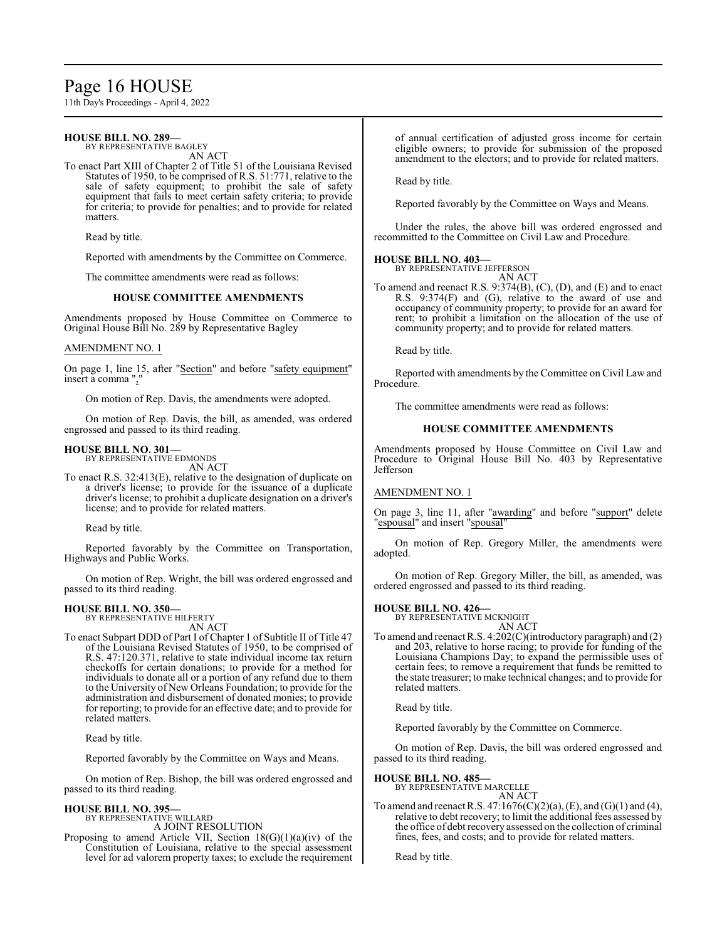# Page 16 HOUSE

11th Day's Proceedings - April 4, 2022

#### **HOUSE BILL NO. 289—** BY REPRESENTATIVE BAGLEY

AN ACT

To enact Part XIII of Chapter 2 of Title 51 of the Louisiana Revised Statutes of 1950, to be comprised of R.S. 51:771, relative to the sale of safety equipment; to prohibit the sale of safety equipment that fails to meet certain safety criteria; to provide for criteria; to provide for penalties; and to provide for related matters.

Read by title.

Reported with amendments by the Committee on Commerce.

The committee amendments were read as follows:

#### **HOUSE COMMITTEE AMENDMENTS**

Amendments proposed by House Committee on Commerce to Original House Bill No. 289 by Representative Bagley

#### AMENDMENT NO. 1

On page 1, line 15, after "Section" and before "safety equipment" insert a comma ".

On motion of Rep. Davis, the amendments were adopted.

On motion of Rep. Davis, the bill, as amended, was ordered engrossed and passed to its third reading.

#### **HOUSE BILL NO. 301—**

BY REPRESENTATIVE EDMONDS AN ACT

To enact R.S. 32:413(E), relative to the designation of duplicate on a driver's license; to provide for the issuance of a duplicate driver's license; to prohibit a duplicate designation on a driver's license; and to provide for related matters.

Read by title.

Reported favorably by the Committee on Transportation, Highways and Public Works.

On motion of Rep. Wright, the bill was ordered engrossed and passed to its third reading.

# **HOUSE BILL NO. 350—** BY REPRESENTATIVE HILFERTY

- AN ACT
- To enact Subpart DDD of Part I of Chapter 1 of Subtitle II of Title 47 of the Louisiana Revised Statutes of 1950, to be comprised of R.S. 47:120.371, relative to state individual income tax return checkoffs for certain donations; to provide for a method for individuals to donate all or a portion of any refund due to them to the University of New Orleans Foundation; to provide for the administration and disbursement of donated monies; to provide for reporting; to provide for an effective date; and to provide for related matters.

Read by title.

Reported favorably by the Committee on Ways and Means.

On motion of Rep. Bishop, the bill was ordered engrossed and passed to its third reading.

#### **HOUSE BILL NO. 395—**

BY REPRESENTATIVE WILLARD A JOINT RESOLUTION

Proposing to amend Article VII, Section  $18(G)(1)(a)(iv)$  of the Constitution of Louisiana, relative to the special assessment level for ad valorem property taxes; to exclude the requirement of annual certification of adjusted gross income for certain eligible owners; to provide for submission of the proposed amendment to the electors; and to provide for related matters.

Read by title.

Reported favorably by the Committee on Ways and Means.

Under the rules, the above bill was ordered engrossed and recommitted to the Committee on Civil Law and Procedure.

# **HOUSE BILL NO. 403—** BY REPRESENTATIVE JEFFERSON

AN ACT

To amend and reenact R.S. 9:374(B), (C), (D), and (E) and to enact R.S. 9:374(F) and (G), relative to the award of use and occupancy of community property; to provide for an award for rent; to prohibit a limitation on the allocation of the use of community property; and to provide for related matters.

Read by title.

Reported with amendments by the Committee on Civil Law and Procedure.

The committee amendments were read as follows:

#### **HOUSE COMMITTEE AMENDMENTS**

Amendments proposed by House Committee on Civil Law and Procedure to Original House Bill No. 403 by Representative Jefferson

#### AMENDMENT NO. 1

On page 3, line 11, after "awarding" and before "support" delete "espousal" and insert "spousal"

On motion of Rep. Gregory Miller, the amendments were adopted.

On motion of Rep. Gregory Miller, the bill, as amended, was ordered engrossed and passed to its third reading.

# **HOUSE BILL NO. 426—** BY REPRESENTATIVE MCKNIGHT

AN ACT

To amend and reenact R.S. 4:202(C)(introductory paragraph) and (2) and 203, relative to horse racing; to provide for funding of the Louisiana Champions Day; to expand the permissible uses of certain fees; to remove a requirement that funds be remitted to the state treasurer; to make technical changes; and to provide for related matters.

Read by title.

Reported favorably by the Committee on Commerce.

On motion of Rep. Davis, the bill was ordered engrossed and passed to its third reading.

#### **HOUSE BILL NO. 485—**

BY REPRESENTATIVE MARCELLE AN ACT

To amend and reenact R.S.  $47:1676(C)(2)(a)$ , (E), and (G)(1) and (4), relative to debt recovery; to limit the additional fees assessed by the office of debt recovery assessed on the collection of criminal fines, fees, and costs; and to provide for related matters.

Read by title.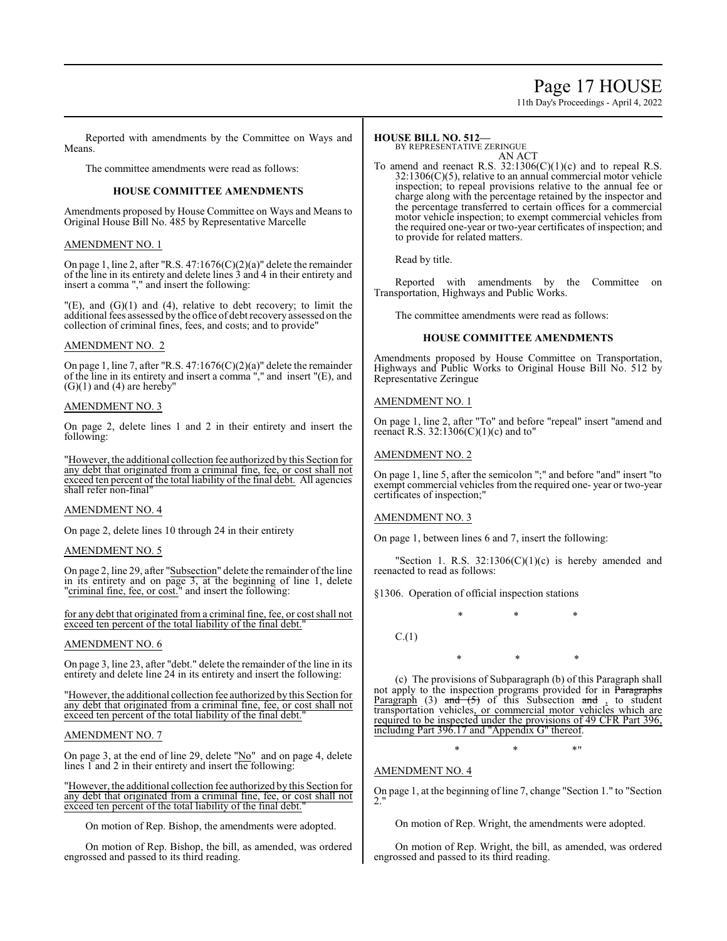# Page 17 HOUSE

11th Day's Proceedings - April 4, 2022

Reported with amendments by the Committee on Ways and Means.

The committee amendments were read as follows:

#### **HOUSE COMMITTEE AMENDMENTS**

Amendments proposed by House Committee on Ways and Means to Original House Bill No. 485 by Representative Marcelle

#### AMENDMENT NO. 1

On page 1, line 2, after "R.S. 47:1676(C)(2)(a)" delete the remainder of the line in its entirety and delete lines 3 and 4 in their entirety and insert a comma "," and insert the following:

 $'(E)$ , and  $(G)(1)$  and  $(4)$ , relative to debt recovery; to limit the additional fees assessed by the office of debt recovery assessed on the collection of criminal fines, fees, and costs; and to provide"

#### AMENDMENT NO. 2

On page 1, line 7, after "R.S. 47:1676(C)(2)(a)" delete the remainder of the line in its entirety and insert a comma "," and insert "(E), and  $(G)(1)$  and  $(4)$  are hereby"

#### AMENDMENT NO. 3

On page 2, delete lines 1 and 2 in their entirety and insert the following:

"However, the additional collection fee authorized by this Section for any debt that originated from a criminal fine, fee, or cost shall not exceed ten percent of the total liability of the final debt. All agencies shall refer non-final"

#### AMENDMENT NO. 4

On page 2, delete lines 10 through 24 in their entirety

#### AMENDMENT NO. 5

On page 2, line 29, after "Subsection" delete the remainder of the line in its entirety and on page 3, at the beginning of line 1, delete "criminal fine, fee, or cost." and insert the following:

for any debt that originated from a criminal fine, fee, or cost shall not exceed ten percent of the total liability of the final debt."

### AMENDMENT NO. 6

On page 3, line 23, after "debt." delete the remainder of the line in its entirety and delete line 24 in its entirety and insert the following:

"However, the additional collection fee authorized by this Section for any debt that originated from a criminal fine, fee, or cost shall not exceed ten percent of the total liability of the final debt.

### AMENDMENT NO. 7

On page 3, at the end of line 29, delete "No" and on page 4, delete lines 1 and 2 in their entirety and insert the following:

"However, the additional collection fee authorized by this Section for any debt that originated from a criminal fine, fee, or cost shall not exceed ten percent of the total liability of the final debt."

On motion of Rep. Bishop, the amendments were adopted.

On motion of Rep. Bishop, the bill, as amended, was ordered engrossed and passed to its third reading.

#### **HOUSE BILL NO. 512—**

BY REPRESENTATIVE ZERINGUE

AN ACT To amend and reenact R.S.  $32:1306(C)(1)(c)$  and to repeal R.S.  $32:1306(C)(5)$ , relative to an annual commercial motor vehicle inspection; to repeal provisions relative to the annual fee or charge along with the percentage retained by the inspector and the percentage transferred to certain offices for a commercial motor vehicle inspection; to exempt commercial vehicles from the required one-year or two-year certificates of inspection; and to provide for related matters.

Read by title.

Reported with amendments by the Committee on Transportation, Highways and Public Works.

The committee amendments were read as follows:

#### **HOUSE COMMITTEE AMENDMENTS**

Amendments proposed by House Committee on Transportation, Highways and Public Works to Original House Bill No. 512 by Representative Zeringue

#### AMENDMENT NO. 1

On page 1, line 2, after "To" and before "repeal" insert "amend and reenact R.S.  $32:1306(C)(1)(c)$  and to"

#### AMENDMENT NO. 2

On page 1, line 5, after the semicolon ";" and before "and" insert "to exempt commercial vehicles from the required one- year or two-year certificates of inspection;"

### AMENDMENT NO. 3

On page 1, between lines 6 and 7, insert the following:

"Section 1. R.S.  $32:1306(C)(1)(c)$  is hereby amended and reenacted to read as follows:

\* \* \*

§1306. Operation of official inspection stations

 $C.(1)$ 

\* \* \*

(c) The provisions of Subparagraph (b) of this Paragraph shall not apply to the inspection programs provided for in Paragraphs Paragraph (3) and  $(5)$  of this Subsection and , to student transportation vehicles, or commercial motor vehicles which are required to be inspected under the provisions of 49 CFR Part 396, including Part 396.17 and "Appendix G" thereof.

 $*$  \*  $*$  \*

AMENDMENT NO. 4

On page 1, at the beginning of line 7, change "Section 1." to "Section 2."

On motion of Rep. Wright, the amendments were adopted.

On motion of Rep. Wright, the bill, as amended, was ordered engrossed and passed to its third reading.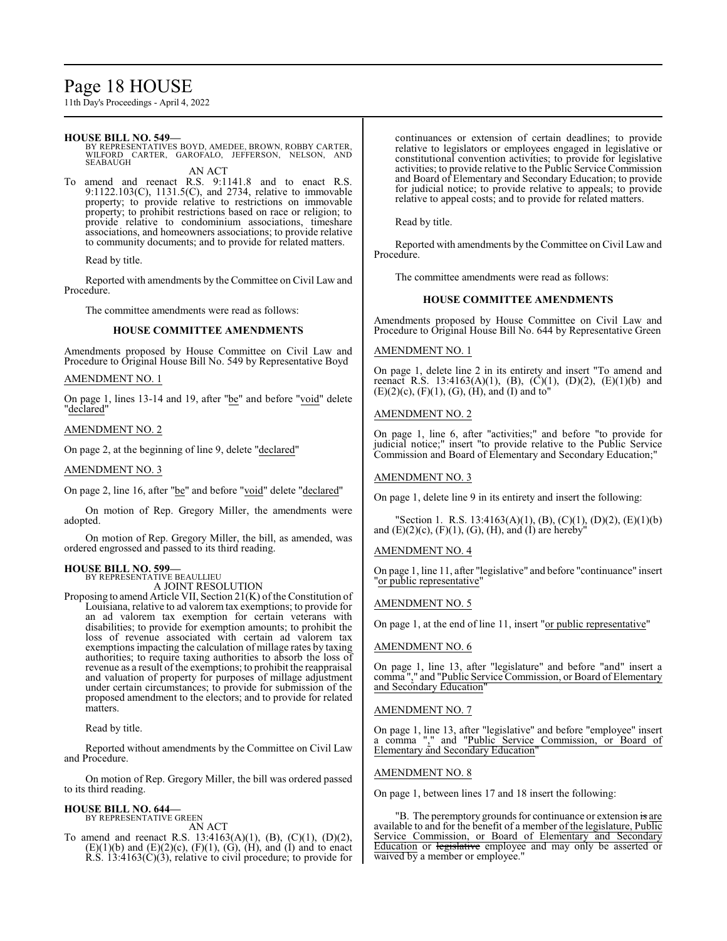# Page 18 HOUSE

11th Day's Proceedings - April 4, 2022

#### **HOUSE BILL NO. 549—**

BY REPRESENTATIVES BOYD, AMEDEE, BROWN, ROBBY CARTER, WILFORD CARTER, GAROFALO, JEFFERSON, NELSON, AND **SEABAUGH** AN ACT

To amend and reenact R.S. 9:1141.8 and to enact R.S. 9:1122.103(C), 1131.5(C), and 2734, relative to immovable property; to provide relative to restrictions on immovable property; to prohibit restrictions based on race or religion; to provide relative to condominium associations, timeshare associations, and homeowners associations; to provide relative to community documents; and to provide for related matters.

Read by title.

Reported with amendments by the Committee on Civil Law and Procedure.

The committee amendments were read as follows:

#### **HOUSE COMMITTEE AMENDMENTS**

Amendments proposed by House Committee on Civil Law and Procedure to Original House Bill No. 549 by Representative Boyd

#### AMENDMENT NO. 1

On page 1, lines 13-14 and 19, after "be" and before "void" delete "declared"

#### AMENDMENT NO. 2

On page 2, at the beginning of line 9, delete "declared"

AMENDMENT NO. 3

On page 2, line 16, after "be" and before "void" delete "declared"

On motion of Rep. Gregory Miller, the amendments were adopted.

On motion of Rep. Gregory Miller, the bill, as amended, was ordered engrossed and passed to its third reading.

#### **HOUSE BILL NO. 599—**

BY REPRESENTATIVE BEAULLIEU A JOINT RESOLUTION

Proposing to amend Article VII, Section 21(K) of the Constitution of Louisiana, relative to ad valorem tax exemptions; to provide for an ad valorem tax exemption for certain veterans with disabilities; to provide for exemption amounts; to prohibit the loss of revenue associated with certain ad valorem tax exemptions impacting the calculation of millage rates by taxing authorities; to require taxing authorities to absorb the loss of revenue as a result of the exemptions; to prohibit the reappraisal and valuation of property for purposes of millage adjustment under certain circumstances; to provide for submission of the proposed amendment to the electors; and to provide for related matters.

Read by title.

Reported without amendments by the Committee on Civil Law and Procedure.

On motion of Rep. Gregory Miller, the bill was ordered passed to its third reading.

#### **HOUSE BILL NO. 644—** BY REPRESENTATIVE GREEN

AN ACT

To amend and reenact R.S. 13:4163(A)(1), (B), (C)(1), (D)(2),  $(E)(1)(b)$  and  $(E)(2)(c)$ ,  $(F)(1)$ ,  $(G)$ ,  $(H)$ , and  $(I)$  and to enact R.S. 13:4163(C)(3), relative to civil procedure; to provide for continuances or extension of certain deadlines; to provide relative to legislators or employees engaged in legislative or constitutional convention activities; to provide for legislative activities; to provide relative to the Public Service Commission and Board of Elementary and Secondary Education; to provide for judicial notice; to provide relative to appeals; to provide relative to appeal costs; and to provide for related matters.

Read by title.

Reported with amendments by the Committee on Civil Law and Procedure.

The committee amendments were read as follows:

#### **HOUSE COMMITTEE AMENDMENTS**

Amendments proposed by House Committee on Civil Law and Procedure to Original House Bill No. 644 by Representative Green

### AMENDMENT NO. 1

On page 1, delete line 2 in its entirety and insert "To amend and reenact R.S. 13:4163(A)(1), (B), (C)(1), (D)(2), (E)(1)(b) and  $(E)(2)(c)$ ,  $(F)(1)$ ,  $(G)$ ,  $(H)$ , and  $(I)$  and to"

#### AMENDMENT NO. 2

On page 1, line 6, after "activities;" and before "to provide for judicial notice;" insert "to provide relative to the Public Service Commission and Board of Elementary and Secondary Education;"

#### AMENDMENT NO. 3

On page 1, delete line 9 in its entirety and insert the following:

"Section 1. R.S. 13:4163(A)(1), (B), (C)(1), (D)(2), (E)(1)(b) and  $(E)(2)(c)$ ,  $(F)(1)$ ,  $(G)$ ,  $(H)$ , and  $(I)$  are hereby"

#### AMENDMENT NO. 4

On page 1, line 11, after "legislative" and before "continuance" insert "or public representative"

#### AMENDMENT NO. 5

On page 1, at the end of line 11, insert "or public representative"

#### AMENDMENT NO. 6

On page 1, line 13, after "legislature" and before "and" insert a comma "," and "Public Service Commission, or Board of Elementary and Secondary Education"

#### AMENDMENT NO. 7

On page 1, line 13, after "legislative" and before "employee" insert a comma "," and "Public Service Commission, or Board of Elementary and Secondary Education"

#### AMENDMENT NO. 8

On page 1, between lines 17 and 18 insert the following:

"B. The peremptory grounds for continuance or extension is are available to and for the benefit of a member of the legislature, Public Service Commission, or Board of Elementary and Secondary Education or legislative employee and may only be asserted or waived by a member or employee."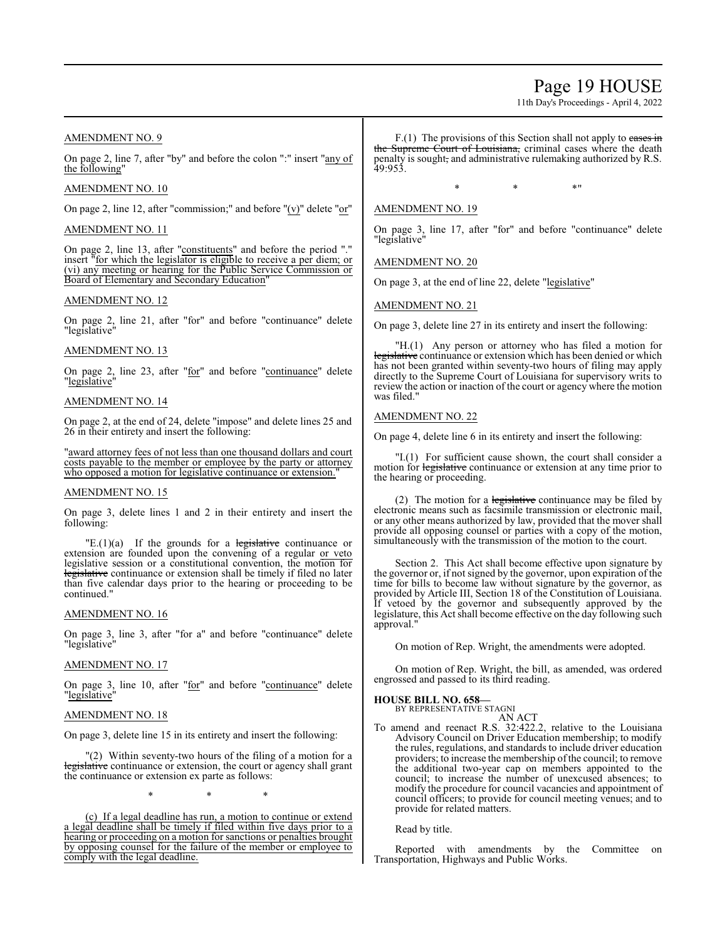# Page 19 HOUSE

11th Day's Proceedings - April 4, 2022

### AMENDMENT NO. 9

On page 2, line 7, after "by" and before the colon ":" insert "any of the following"

#### AMENDMENT NO. 10

On page 2, line 12, after "commission;" and before " $(v)$ " delete " $or$ "

#### AMENDMENT NO. 11

On page 2, line 13, after "constituents" and before the period "." insert "for which the legislator is eligible to receive a per diem; or (vi) any meeting or hearing for the Public Service Commission or Board of Elementary and Secondary Education

#### AMENDMENT NO. 12

On page 2, line 21, after "for" and before "continuance" delete "legislative"

#### AMENDMENT NO. 13

On page  $2$ , line  $23$ , after " $\underline{for}$ " and before "continuance" delete "legislative"

#### AMENDMENT NO. 14

On page 2, at the end of 24, delete "impose" and delete lines 25 and 26 in their entirety and insert the following:

'award attorney fees of not less than one thousand dollars and court costs payable to the member or employee by the party or attorney who opposed a motion for legislative continuance or extension.

#### AMENDMENT NO. 15

On page 3, delete lines 1 and 2 in their entirety and insert the following:

 $"E(1)(a)$  If the grounds for a legislative continuance or extension are founded upon the convening of a regular or veto legislative session or a constitutional convention, the motion for legislative continuance or extension shall be timely if filed no later than five calendar days prior to the hearing or proceeding to be continued."

#### AMENDMENT NO. 16

On page 3, line 3, after "for a" and before "continuance" delete "legislative"

### AMENDMENT NO. 17

On page 3, line 10, after "for" and before "continuance" delete "legislative"

#### AMENDMENT NO. 18

On page 3, delete line 15 in its entirety and insert the following:

"(2) Within seventy-two hours of the filing of a motion for a legislative continuance or extension, the court or agency shall grant the continuance or extension ex parte as follows:

\* \* \*

(c) If a legal deadline has run, a motion to continue or extend a legal deadline shall be timely if filed within five days prior to a hearing or proceeding on a motion for sanctions or penalties brought by opposing counsel for the failure of the member or employee to comply with the legal deadline.

 $F(1)$  The provisions of this Section shall not apply to cases in the Supreme Court of Louisiana, criminal cases where the death penalty is sought, and administrative rulemaking authorized by R.S. 49:953.

 $*$  \*  $*$  \*

#### AMENDMENT NO. 19

On page 3, line 17, after "for" and before "continuance" delete "legislative"

AMENDMENT NO. 20

On page 3, at the end of line 22, delete "legislative"

#### AMENDMENT NO. 21

On page 3, delete line 27 in its entirety and insert the following:

"H.(1) Any person or attorney who has filed a motion for legislative continuance or extension which has been denied or which has not been granted within seventy-two hours of filing may apply directly to the Supreme Court of Louisiana for supervisory writs to review the action or inaction of the court or agency where the motion was filed."

#### AMENDMENT NO. 22

On page 4, delete line 6 in its entirety and insert the following:

"I.(1) For sufficient cause shown, the court shall consider a motion for legislative continuance or extension at any time prior to the hearing or proceeding.

(2) The motion for a  $\frac{legislative}{}$  continuance may be filed by electronic means such as facsimile transmission or electronic mail, or any other means authorized by law, provided that the mover shall provide all opposing counsel or parties with a copy of the motion, simultaneously with the transmission of the motion to the court.

Section 2. This Act shall become effective upon signature by the governor or, if not signed by the governor, upon expiration of the time for bills to become law without signature by the governor, as provided by Article III, Section 18 of the Constitution of Louisiana. If vetoed by the governor and subsequently approved by the legislature, this Act shall become effective on the day following such approval."

On motion of Rep. Wright, the amendments were adopted.

On motion of Rep. Wright, the bill, as amended, was ordered engrossed and passed to its third reading.

#### **HOUSE BILL NO. 658—**

BY REPRESENTATIVE STAGNI AN ACT

To amend and reenact R.S. 32:422.2, relative to the Louisiana Advisory Council on Driver Education membership; to modify the rules, regulations, and standards to include driver education providers; to increase the membership of the council; to remove the additional two-year cap on members appointed to the council; to increase the number of unexcused absences; to modify the procedure for council vacancies and appointment of council officers; to provide for council meeting venues; and to provide for related matters.

Read by title.

Reported with amendments by the Committee on Transportation, Highways and Public Works.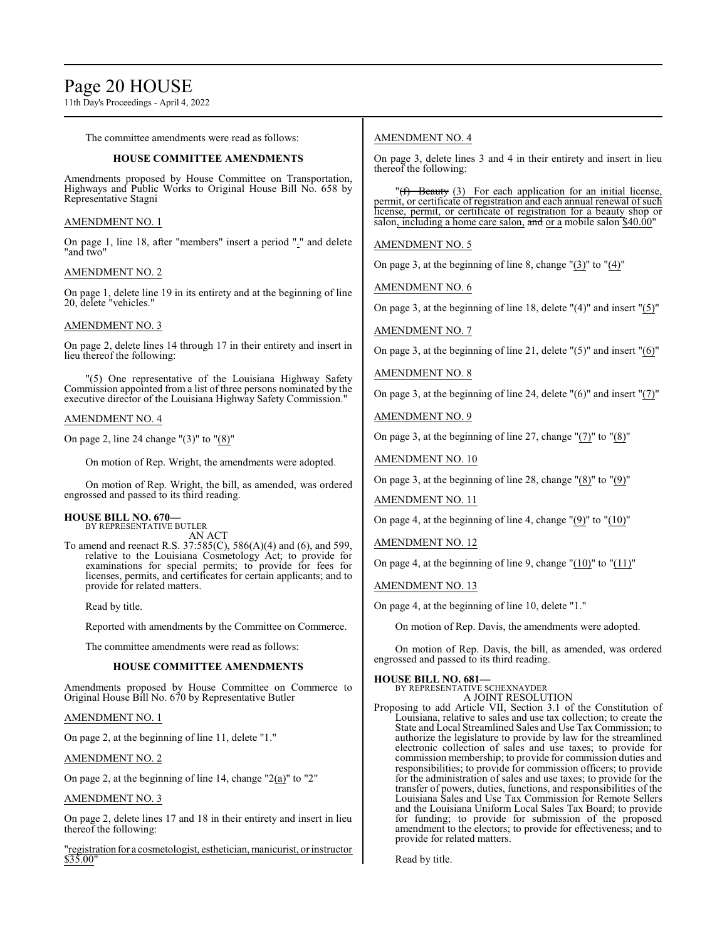# Page 20 HOUSE

11th Day's Proceedings - April 4, 2022

The committee amendments were read as follows:

### **HOUSE COMMITTEE AMENDMENTS**

Amendments proposed by House Committee on Transportation, Highways and Public Works to Original House Bill No. 658 by Representative Stagni

### AMENDMENT NO. 1

On page 1, line 18, after "members" insert a period "." and delete "and two"

### AMENDMENT NO. 2

On page 1, delete line 19 in its entirety and at the beginning of line 20, delete "vehicles."

### AMENDMENT NO. 3

On page 2, delete lines 14 through 17 in their entirety and insert in lieu thereof the following:

"(5) One representative of the Louisiana Highway Safety Commission appointed from a list of three persons nominated by the executive director of the Louisiana Highway Safety Commission."

### AMENDMENT NO. 4

On page 2, line 24 change "(3)" to "(8)"

On motion of Rep. Wright, the amendments were adopted.

On motion of Rep. Wright, the bill, as amended, was ordered engrossed and passed to its third reading.

#### **HOUSE BILL NO. 670—** BY REPRESENTATIVE BUTLER

AN ACT

To amend and reenact R.S. 37:585(C), 586(A)(4) and (6), and 599, relative to the Louisiana Cosmetology Act; to provide for examinations for special permits; to provide for fees for licenses, permits, and certificates for certain applicants; and to provide for related matters.

Read by title.

Reported with amendments by the Committee on Commerce.

The committee amendments were read as follows:

### **HOUSE COMMITTEE AMENDMENTS**

Amendments proposed by House Committee on Commerce to Original House Bill No. 670 by Representative Butler

### AMENDMENT NO. 1

On page 2, at the beginning of line 11, delete "1."

### AMENDMENT NO. 2

On page 2, at the beginning of line 14, change "2(a)" to "2"

### AMENDMENT NO. 3

On page 2, delete lines 17 and 18 in their entirety and insert in lieu thereof the following:

"registration for a cosmetologist, esthetician, manicurist, or instructor \$35.00"

# AMENDMENT NO. 4

On page 3, delete lines 3 and 4 in their entirety and insert in lieu thereof the following:

"(f) Beauty (3) For each application for an initial license, permit, or certificate of registration and each annual renewal of such license, permit, or certificate of registration for a beauty shop or salon, including a home care salon, and or a mobile salon \$40.00"

## AMENDMENT NO. 5

On page 3, at the beginning of line 8, change "(3)" to "(4)"

AMENDMENT NO. 6

On page 3, at the beginning of line 18, delete "(4)" and insert "(5)"

## AMENDMENT NO. 7

On page 3, at the beginning of line 21, delete "(5)" and insert "(6)"

## AMENDMENT NO. 8

On page 3, at the beginning of line 24, delete "(6)" and insert "(7)"

AMENDMENT NO. 9

On page 3, at the beginning of line 27, change "(7)" to "(8)"

AMENDMENT NO. 10

On page 3, at the beginning of line 28, change "(8)" to "(9)"

AMENDMENT NO. 11

On page 4, at the beginning of line 4, change "(9)" to "(10)"

# AMENDMENT NO. 12

On page 4, at the beginning of line 9, change " $(10)$ " to " $(11)$ "

AMENDMENT NO. 13

On page 4, at the beginning of line 10, delete "1."

On motion of Rep. Davis, the amendments were adopted.

On motion of Rep. Davis, the bill, as amended, was ordered engrossed and passed to its third reading.

### **HOUSE BILL NO. 681—**

BY REPRESENTATIVE SCHEXNAYDER A JOINT RESOLUTION

Proposing to add Article VII, Section 3.1 of the Constitution of Louisiana, relative to sales and use tax collection; to create the State and Local Streamlined Sales and Use Tax Commission; to authorize the legislature to provide by law for the streamlined electronic collection of sales and use taxes; to provide for commission membership; to provide for commission duties and responsibilities; to provide for commission officers; to provide for the administration of sales and use taxes; to provide for the transfer of powers, duties, functions, and responsibilities of the Louisiana Sales and Use Tax Commission for Remote Sellers and the Louisiana Uniform Local Sales Tax Board; to provide for funding; to provide for submission of the proposed amendment to the electors; to provide for effectiveness; and to provide for related matters.

Read by title.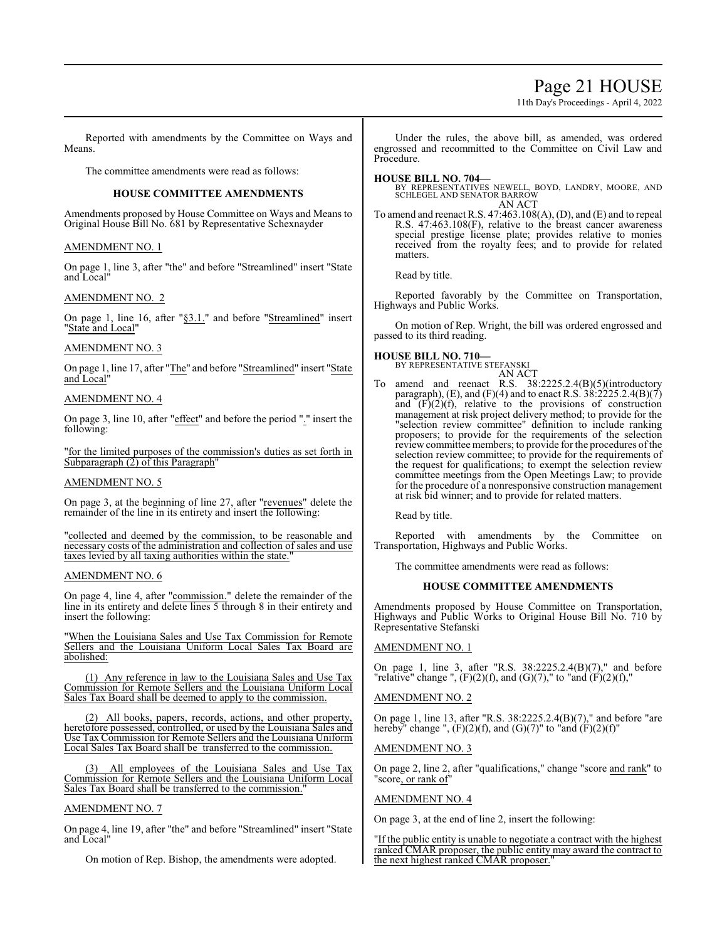# Page 21 HOUSE

11th Day's Proceedings - April 4, 2022

Reported with amendments by the Committee on Ways and Means.

The committee amendments were read as follows:

#### **HOUSE COMMITTEE AMENDMENTS**

Amendments proposed by House Committee on Ways and Means to Original House Bill No. 681 by Representative Schexnayder

#### AMENDMENT NO. 1

On page 1, line 3, after "the" and before "Streamlined" insert "State and Local"

#### AMENDMENT NO. 2

On page 1, line 16, after "§3.1." and before "Streamlined" insert "State and Local"

#### AMENDMENT NO. 3

On page 1, line 17, after "The" and before "Streamlined" insert "State and Local"

### AMENDMENT NO. 4

On page 3, line 10, after "effect" and before the period "." insert the following:

"for the limited purposes of the commission's duties as set forth in Subparagraph (2) of this Paragraph"

#### AMENDMENT NO. 5

On page 3, at the beginning of line 27, after "revenues" delete the remainder of the line in its entirety and insert the following:

"collected and deemed by the commission, to be reasonable and necessary costs of the administration and collection of sales and use taxes levied by all taxing authorities within the state."

#### AMENDMENT NO. 6

On page 4, line 4, after "commission." delete the remainder of the line in its entirety and delete lines 5 through 8 in their entirety and insert the following:

"When the Louisiana Sales and Use Tax Commission for Remote Sellers and the Louisiana Uniform Local Sales Tax Board are abolished:

(1) Any reference in law to the Louisiana Sales and Use Tax Commission for Remote Sellers and the Louisiana Uniform Local Sales Tax Board shall be deemed to apply to the commission.

(2) All books, papers, records, actions, and other property, heretofore possessed, controlled, or used by the Louisiana Sales and Use Tax Commission for Remote Sellers and the Louisiana Uniform Local Sales Tax Board shall be transferred to the commission.

All employees of the Louisiana Sales and Use Tax Commission for Remote Sellers and the Louisiana Uniform Local Sales Tax Board shall be transferred to the commission.

#### AMENDMENT NO. 7

On page 4, line 19, after "the" and before "Streamlined" insert "State and Local"

On motion of Rep. Bishop, the amendments were adopted.

Under the rules, the above bill, as amended, was ordered engrossed and recommitted to the Committee on Civil Law and Procedure.

#### **HOUSE BILL NO. 704—**

BY REPRESENTATIVES NEWELL, BOYD, LANDRY, MOORE, AND SCHLEGEL AND SENATOR BARROW AN ACT

To amend and reenact R.S. 47:463.108(A), (D), and (E) and to repeal R.S. 47:463.108(F), relative to the breast cancer awareness special prestige license plate; provides relative to monies received from the royalty fees; and to provide for related matters.

Read by title.

Reported favorably by the Committee on Transportation, Highways and Public Works.

On motion of Rep. Wright, the bill was ordered engrossed and passed to its third reading.

# **HOUSE BILL NO. 710—**

BY REPRESENTATIVE STEFANSKI

AN ACT To amend and reenact R.S. 38:2225.2.4(B)(5)(introductory paragraph), (E), and (F)(4) and to enact R.S.  $38:2225.2.4(B)(7)$ and  $(F)(2)(f)$ , relative to the provisions of construction management at risk project delivery method; to provide for the "selection review committee" definition to include ranking proposers; to provide for the requirements of the selection review committee members; to provide for the procedures of the selection review committee; to provide for the requirements of the request for qualifications; to exempt the selection review committee meetings from the Open Meetings Law; to provide for the procedure of a nonresponsive construction management at risk bid winner; and to provide for related matters.

Read by title.

Reported with amendments by the Committee on Transportation, Highways and Public Works.

The committee amendments were read as follows:

### **HOUSE COMMITTEE AMENDMENTS**

Amendments proposed by House Committee on Transportation, Highways and Public Works to Original House Bill No. 710 by Representative Stefanski

### AMENDMENT NO. 1

On page 1, line 3, after "R.S. 38:2225.2.4(B)(7)," and before "relative" change ",  $(F)(2)(f)$ , and  $(G)(7)$ ," to "and  $(F)(2)(f)$ ,"

### AMENDMENT NO. 2

On page 1, line 13, after "R.S. 38:2225.2.4(B)(7)," and before "are hereby" change ",  $(F)(2)(f)$ , and  $(G)(7)$ " to "and  $(F)(2)(f)$ "

#### AMENDMENT NO. 3

On page 2, line 2, after "qualifications," change "score and rank" to 'score, or rank of

AMENDMENT NO. 4

On page 3, at the end of line 2, insert the following:

"If the public entity is unable to negotiate a contract with the highest ranked CMAR proposer, the public entity may award the contract to the next highest ranked CMAR proposer."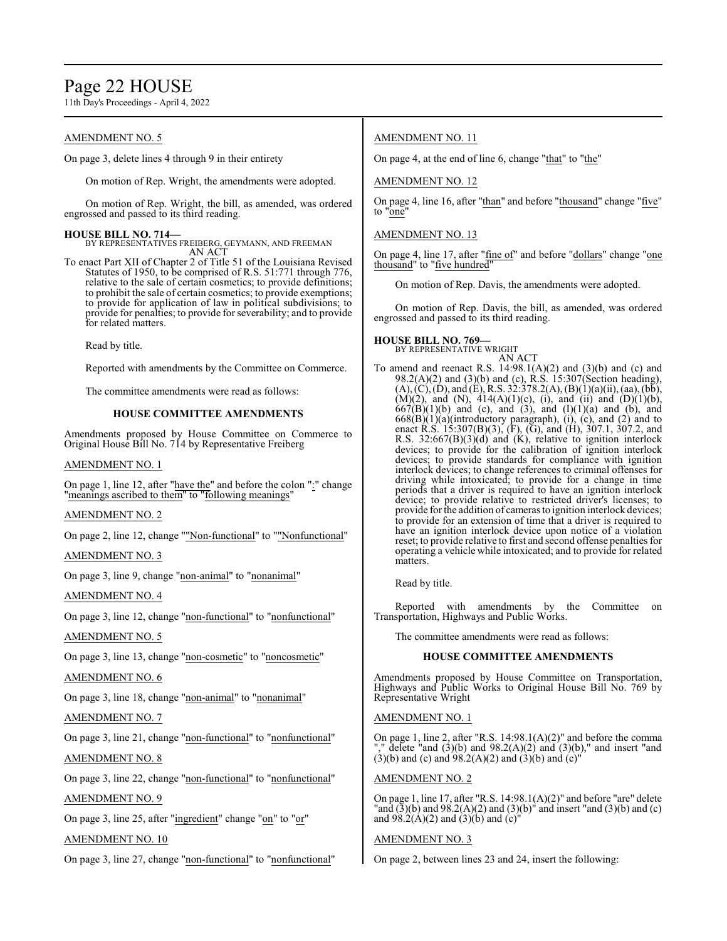# Page 22 HOUSE

11th Day's Proceedings - April 4, 2022

## AMENDMENT NO. 5

On page 3, delete lines 4 through 9 in their entirety

On motion of Rep. Wright, the amendments were adopted.

On motion of Rep. Wright, the bill, as amended, was ordered engrossed and passed to its third reading.

**HOUSE BILL NO. 714—** BY REPRESENTATIVES FREIBERG, GEYMANN, AND FREEMAN AN ACT

To enact Part XII of Chapter 2 of Title 51 of the Louisiana Revised Statutes of 1950, to be comprised of R.S. 51:771 through 776, relative to the sale of certain cosmetics; to provide definitions; to prohibit the sale of certain cosmetics; to provide exemptions; to provide for application of law in political subdivisions; to provide for penalties; to provide forseverability; and to provide for related matters.

Read by title.

Reported with amendments by the Committee on Commerce.

The committee amendments were read as follows:

### **HOUSE COMMITTEE AMENDMENTS**

Amendments proposed by House Committee on Commerce to Original House Bill No. 714 by Representative Freiberg

## AMENDMENT NO. 1

On page 1, line 12, after "have the" and before the colon ":" change "meanings ascribed to them" to "following meanings"

### AMENDMENT NO. 2

On page 2, line 12, change ""Non-functional" to ""Nonfunctional"

### AMENDMENT NO. 3

On page 3, line 9, change "non-animal" to "nonanimal"

AMENDMENT NO. 4

On page 3, line 12, change "non-functional" to "nonfunctional"

### AMENDMENT NO. 5

On page 3, line 13, change "non-cosmetic" to "noncosmetic"

### AMENDMENT NO. 6

On page 3, line 18, change "non-animal" to "nonanimal"

# AMENDMENT NO. 7

On page 3, line 21, change "non-functional" to "nonfunctional"

# AMENDMENT NO. 8

On page 3, line 22, change "non-functional" to "nonfunctional"

AMENDMENT NO. 9

On page 3, line 25, after "ingredient" change "on" to "or"

AMENDMENT NO. 10

On page 3, line 27, change "non-functional" to "nonfunctional"

# AMENDMENT NO. 11

On page 4, at the end of line 6, change "that" to "the"

### AMENDMENT NO. 12

On page 4, line 16, after "than" and before "thousand" change "five" to "one"

## AMENDMENT NO. 13

On page 4, line 17, after "fine of" and before "dollars" change "one thousand" to "five hundred"

On motion of Rep. Davis, the amendments were adopted.

On motion of Rep. Davis, the bill, as amended, was ordered engrossed and passed to its third reading.

# **HOUSE BILL NO. 769—** BY REPRESENTATIVE WRIGHT

### AN ACT

To amend and reenact R.S.  $14:98.1(A)(2)$  and  $(3)(b)$  and  $(c)$  and 98.2(A)(2) and (3)(b) and (c), R.S. 15:307(Section heading),  $(A), (C), (D),$  and  $(E),$  R.S. 32:378.2(A),  $(B)(1)(a)(ii)$ , (aa), (bb), (M)(2), and (N),  $414(A)(1)(c)$ , (i), and (ii) and (D)(1)(b),  $667(B)(1)(b)$  and (c), and (3), and  $(1)(1)(a)$  and  $(b)$ , and  $668(B)(1)(a)$ (introductory paragraph), (i), (c), and (2) and to enact R.S. 15:307(B)(3), (F), (G), and (H), 307.1, 307.2, and R.S. 32:667(B)(3)(d) and (K), relative to ignition interlock devices; to provide for the calibration of ignition interlock devices; to provide standards for compliance with ignition interlock devices; to change references to criminal offenses for driving while intoxicated; to provide for a change in time periods that a driver is required to have an ignition interlock device; to provide relative to restricted driver's licenses; to provide for the addition of cameras to ignition interlock devices; to provide for an extension of time that a driver is required to have an ignition interlock device upon notice of a violation reset; to provide relative to first and second offense penalties for operating a vehicle while intoxicated; and to provide for related matters.

Read by title.

Reported with amendments by the Committee on Transportation, Highways and Public Works.

The committee amendments were read as follows:

### **HOUSE COMMITTEE AMENDMENTS**

Amendments proposed by House Committee on Transportation, Highways and Public Works to Original House Bill No. 769 by Representative Wright

### AMENDMENT NO. 1

On page 1, line 2, after "R.S. 14:98.1(A)(2)" and before the comma "," delete "and (3)(b) and 98.2(A)(2) and (3)(b)," and insert "and  $(3)(b)$  and  $(c)$  and  $(98.2(A)(2)$  and  $(3)(b)$  and  $(c)$ "

### AMENDMENT NO. 2

On page 1, line 17, after "R.S. 14:98.1(A)(2)" and before "are" delete "and  $(3)(b)$  and  $98.2(A)(2)$  and  $(3)(b)$ " and insert "and  $(3)(b)$  and  $(c)$ and 98.2(A)(2) and (3)(b) and (c)"

### AMENDMENT NO. 3

On page 2, between lines 23 and 24, insert the following: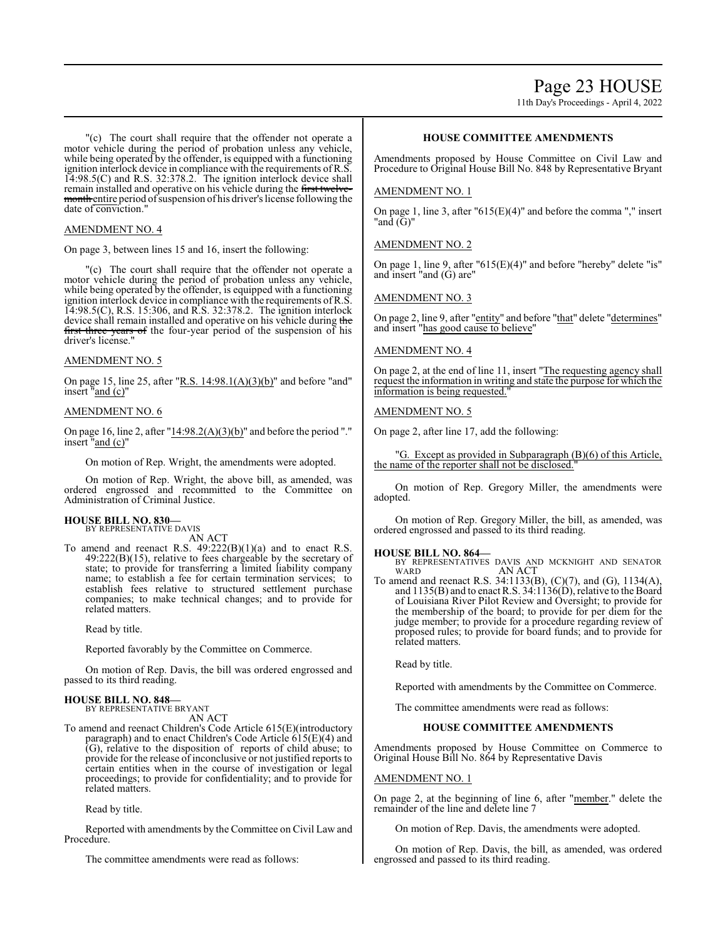11th Day's Proceedings - April 4, 2022

"(c) The court shall require that the offender not operate a motor vehicle during the period of probation unless any vehicle, while being operated by the offender, is equipped with a functioning ignition interlock device in compliance with the requirements ofR.S. 14:98.5(C) and R.S. 32:378.2. The ignition interlock device shall remain installed and operative on his vehicle during the first twelvemonth entire period of suspension of his driver's license following the date of conviction."

### AMENDMENT NO. 4

On page 3, between lines 15 and 16, insert the following:

"(c) The court shall require that the offender not operate a motor vehicle during the period of probation unless any vehicle, while being operated by the offender, is equipped with a functioning ignition interlock device in compliance with the requirements of R.S. 14:98.5(C), R.S. 15:306, and R.S. 32:378.2. The ignition interlock device shall remain installed and operative on his vehicle during the first three years of the four-year period of the suspension of his driver's license.

#### AMENDMENT NO. 5

On page 15, line 25, after "R.S.  $14:98.1(A)(3)(b)$ " and before "and" insert "and (c)"

#### AMENDMENT NO. 6

On page 16, line 2, after "14:98.2(A)(3)(b)" and before the period "." insert "and (c)"

On motion of Rep. Wright, the amendments were adopted.

On motion of Rep. Wright, the above bill, as amended, was ordered engrossed and recommitted to the Committee on Administration of Criminal Justice.

# **HOUSE BILL NO. 830—** BY REPRESENTATIVE DAVIS

AN ACT

To amend and reenact R.S. 49:222(B)(1)(a) and to enact R.S.  $49:222(B)(15)$ , relative to fees chargeable by the secretary of state; to provide for transferring a limited liability company name; to establish a fee for certain termination services; to establish fees relative to structured settlement purchase companies; to make technical changes; and to provide for related matters.

Read by title.

Reported favorably by the Committee on Commerce.

On motion of Rep. Davis, the bill was ordered engrossed and passed to its third reading.

#### **HOUSE BILL NO. 848—** BY REPRESENTATIVE BRYANT

AN ACT

To amend and reenact Children's Code Article 615(E)(introductory paragraph) and to enact Children's Code Article 615(E)(4) and (G), relative to the disposition of reports of child abuse; to provide for the release of inconclusive or not justified reports to certain entities when in the course of investigation or legal proceedings; to provide for confidentiality; and to provide for related matters.

Read by title.

Reported with amendments by the Committee on Civil Law and Procedure.

The committee amendments were read as follows:

# **HOUSE COMMITTEE AMENDMENTS**

Amendments proposed by House Committee on Civil Law and Procedure to Original House Bill No. 848 by Representative Bryant

### AMENDMENT NO. 1

On page 1, line 3, after "615(E)(4)" and before the comma "," insert "and  $(\bar{G})$ "

### AMENDMENT NO. 2

On page 1, line 9, after "615(E)(4)" and before "hereby" delete "is" and insert "and (G) are"

### AMENDMENT NO. 3

On page 2, line 9, after "entity" and before "that" delete "determines" and insert "has good cause to believe"

### AMENDMENT NO. 4

On page 2, at the end of line 11, insert "The requesting agency shall request the information in writing and state the purpose for which the information is being requested."

#### AMENDMENT NO. 5

On page 2, after line 17, add the following:

"G. Except as provided in Subparagraph (B)(6) of this Article, the name of the reporter shall not be disclosed.

On motion of Rep. Gregory Miller, the amendments were adopted.

On motion of Rep. Gregory Miller, the bill, as amended, was ordered engrossed and passed to its third reading.

#### **HOUSE BILL NO. 864—**

BY REPRESENTATIVES DAVIS AND MCKNIGHT AND SENATOR WARD AN ACT

To amend and reenact R.S. 34:1133(B), (C)(7), and (G), 1134(A), and 1135(B) and to enact R.S. 34:1136(D), relative to the Board of Louisiana River Pilot Review and Oversight; to provide for the membership of the board; to provide for per diem for the judge member; to provide for a procedure regarding review of proposed rules; to provide for board funds; and to provide for related matters.

Read by title.

Reported with amendments by the Committee on Commerce.

The committee amendments were read as follows:

#### **HOUSE COMMITTEE AMENDMENTS**

Amendments proposed by House Committee on Commerce to Original House Bill No. 864 by Representative Davis

#### AMENDMENT NO. 1

On page 2, at the beginning of line 6, after "member." delete the remainder of the line and delete line 7

On motion of Rep. Davis, the amendments were adopted.

On motion of Rep. Davis, the bill, as amended, was ordered engrossed and passed to its third reading.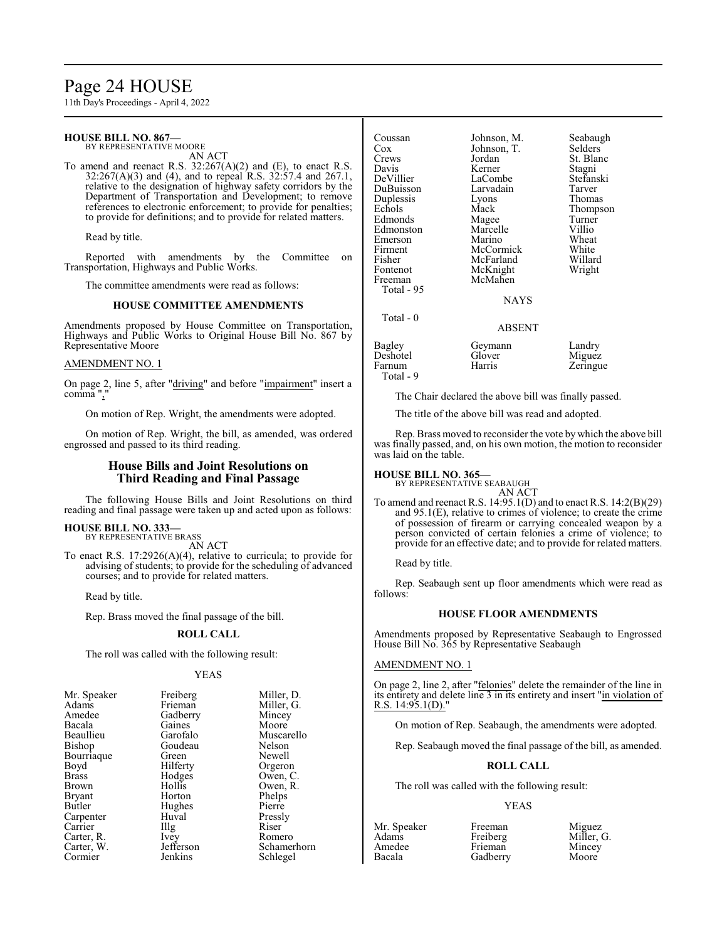# Page 24 HOUSE

11th Day's Proceedings - April 4, 2022

#### **HOUSE BILL NO. 867—** BY REPRESENTATIVE MOORE

AN ACT

To amend and reenact R.S. 32:267(A)(2) and (E), to enact R.S. 32:267(A)(3) and (4), and to repeal R.S. 32:57.4 and 267.1, relative to the designation of highway safety corridors by the Department of Transportation and Development; to remove references to electronic enforcement; to provide for penalties; to provide for definitions; and to provide for related matters.

Read by title.

Reported with amendments by the Committee on Transportation, Highways and Public Works.

The committee amendments were read as follows:

#### **HOUSE COMMITTEE AMENDMENTS**

Amendments proposed by House Committee on Transportation, Highways and Public Works to Original House Bill No. 867 by Representative Moore

#### AMENDMENT NO. 1

On page 2, line 5, after "driving" and before "impairment" insert a comma",

On motion of Rep. Wright, the amendments were adopted.

On motion of Rep. Wright, the bill, as amended, was ordered engrossed and passed to its third reading.

#### **House Bills and Joint Resolutions on Third Reading and Final Passage**

The following House Bills and Joint Resolutions on third reading and final passage were taken up and acted upon as follows:

**HOUSE BILL NO. 333—** BY REPRESENTATIVE BRASS

AN ACT

To enact R.S. 17:2926(A)(4), relative to curricula; to provide for advising of students; to provide for the scheduling of advanced courses; and to provide for related matters.

Read by title.

Rep. Brass moved the final passage of the bill.

### **ROLL CALL**

The roll was called with the following result:

#### YEAS

| Mr. Speaker | Freiberg          | Miller, |
|-------------|-------------------|---------|
| Adams       | Frieman           | Miller, |
| Amedee      | Gadberry          | Mincey  |
| Bacala      | Gaines            | Moore   |
| Beaullieu   | Garofalo          | Musca   |
| Bishop      | Goudeau           | Nelson  |
| Bourriaque  | Green             | Newel   |
| Boyd        | Hilferty          | Orgero  |
| Brass       | Hodges            | Owen,   |
| Brown       | Hollis            | Owen,   |
| Bryant      | Horton            | Phelps  |
| Butler      | Hughes            | Pierre  |
| Carpenter   | Huval             | Pressly |
| Carrier     | $\prod_{i=1}^{n}$ | Riser   |
| Carter, R.  | Ivey              | Romer   |
| Carter, W.  | Jefferson         | Scham   |
| Cormier     | Jenkins           | Schleg  |

Mr. Speaker Freiberg Miller, D. Miller, G. rry Mincey<br>Moore lo Muscarello<br>au Nelson Nelson Newell Orgeron s Owen, C. Owen, R. Phelps<br>Pierre Pressly<br>Riser External Romero<br>
Carter Schamer Schamerhorn Schlegel

| Coussan    | Johnson, M. | Seabaugh  |
|------------|-------------|-----------|
| $\cos$     | Johnson, T. | Selders   |
| Crews      | Jordan      | St. Blanc |
| Davis      | Kerner      | Stagni    |
| DeVillier  | LaCombe     | Stefanski |
| DuBuisson  | Larvadain   | Tarver    |
| Duplessis  | Lyons       | Thomas    |
| Echols     | Mack        | Thompson  |
| Edmonds    | Magee       | Turner    |
| Edmonston  | Marcelle    | Villio    |
| Emerson    | Marino      | Wheat     |
| Firment    | McCormick   | White     |
| Fisher     | McFarland   | Willard   |
| Fontenot   | McKnight    | Wright    |
| Freeman    | McMahen     |           |
| Total - 95 |             |           |
|            | NAYS        |           |
| Total - 0  |             |           |
|            | ABSENT      |           |
| Bagley     | Geymann     | Landry    |
| Deshotel   | Glover      | Miguez    |
| Farnum     | Harris      | Zeringue  |
| Total - 9  |             |           |

The Chair declared the above bill was finally passed.

The title of the above bill was read and adopted.

Rep. Brass moved to reconsider the vote by which the above bill was finally passed, and, on his own motion, the motion to reconsider was laid on the table.

Thomas Thompson Turner<br>Villio

**HOUSE BILL NO. 365—**

BY REPRESENTATIVE SEABAUGH AN ACT

To amend and reenact R.S. 14:95.1(D) and to enact R.S. 14:2(B)(29) and 95.1(E), relative to crimes of violence; to create the crime of possession of firearm or carrying concealed weapon by a person convicted of certain felonies a crime of violence; to provide for an effective date; and to provide for related matters.

Read by title.

Rep. Seabaugh sent up floor amendments which were read as follows:

#### **HOUSE FLOOR AMENDMENTS**

Amendments proposed by Representative Seabaugh to Engrossed House Bill No. 365 by Representative Seabaugh

#### AMENDMENT NO. 1

On page 2, line 2, after "felonies" delete the remainder of the line in its entirety and delete line 3 in its entirety and insert "in violation of R.S. 14:95.1(D)."

On motion of Rep. Seabaugh, the amendments were adopted.

Rep. Seabaugh moved the final passage of the bill, as amended.

#### **ROLL CALL**

The roll was called with the following result:

#### YEAS

Amedee Frieman<br>Bacala Gadberry

Mr. Speaker Freeman Miguez<br>Adams Freiberg Miller, Adams Freiberg Miller, G.<br>Amedee Frieman Mincey Gadberry Moore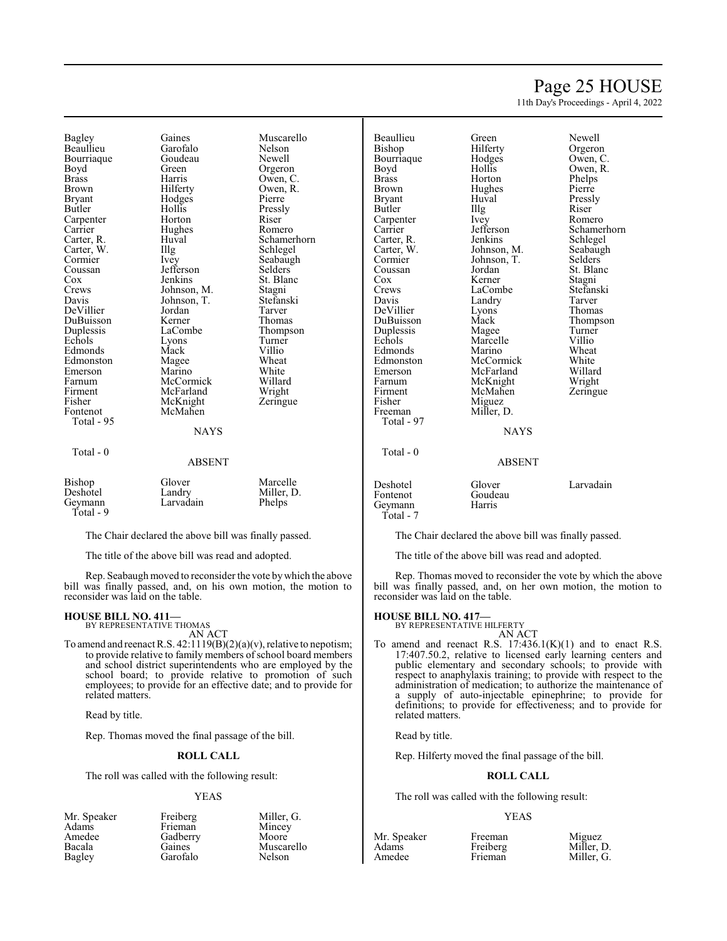# Page 25 HOUSE

11th Day's Proceedings - April 4, 2022

Bagley Gaines Muscarello Beaullieu Garofalo Nelson<br>Bourriaque Goudeau Newell Bourriaque Goude<br>Boyd Green Boyd Green Orgeron<br>Brass Harris Owen C Brass Harris Owen, C.<br>Brown Hilferty Owen, R. Brown Hilferty Owen, R.<br>Bryant Hodges Pierre Bryant Hodges Pierre Carpenter Horton Riser<br>
Carrier Hughes Romero Carrier Hughes<br>Carter, R. Huval Carter, W. Illg<br>Cormier Ivey Cormier Ivey Seabaugh<br>
Coussan Jefferson Selders Coussan Jefferson<br>Cox Jenkins Cox Jenkins St. Blanc<br>Crews Johnson M Stagni Crews Johnson, M. Stagni<br>
Davis Johnson, T. Stefanski DeVillier Jordan Tarver DuBuisson Kerner<br>Duplessis LaCombe Echols Lyons Turner<br>Edmonds Mack Villio Edmonds Mack Villio<br>Edmonston Magee Wheat Edmonston Magee Wheat<br>
Emerson Marino White Emerson Marino White<br>Farnum McCormick Willard Farnum McCormick Willard Firment McFarland Wright<br>
Fisher McKnight Zeringue Fisher McKnight<br>Fontenot McMahen Total - 95 Total - 0

Hollis Pressly<br>
Horton Riser Johnson, T. Stefans<br>Jordan Tarver LaCombe Thompson<br>Lyons Turner McMahen **NAYS** ABSENT

Huval Schamerhorn<br>
Illg Schlegel

| Bishop<br>Deshotel | Glover<br>Landry | Marcelle<br>Miller, D. |
|--------------------|------------------|------------------------|
| Geymann            | Larvadain        | Phelps                 |
| Total - 9          |                  |                        |

The Chair declared the above bill was finally passed.

The title of the above bill was read and adopted.

Rep. Seabaugh moved to reconsider the vote bywhich the above bill was finally passed, and, on his own motion, the motion to reconsider was laid on the table.

#### **HOUSE BILL NO. 411—**

BY REPRESENTATIVE THOMAS AN ACT

To amend and reenact R.S.  $42:1119(B)(2)(a)(v)$ , relative to nepotism; to provide relative to family members of school board members and school district superintendents who are employed by the school board; to provide relative to promotion of such employees; to provide for an effective date; and to provide for related matters.

Read by title.

Rep. Thomas moved the final passage of the bill.

#### **ROLL CALL**

The roll was called with the following result:

#### YEAS

Total - 97

Total - 0

Bourriaque Hodge<br>Boyd Hollis Brass Horton Phelps<br>Brown Hughes Pierre Hughes Bryant Huval Pressly<br>Butler Hlg Riser Butler IIIg Riser<br>Carpenter Ivey Romero Carpenter Ivey<br>Carrier Jefferson Carter, W. Johnson, M. Seabaughter<br>Cormier Johnson, T. Selders Cormier Johnson, T.<br>Coussan Jordan Cox Kerner Stagni DuBuisson Mack Thomp<br>
Duplessis Mage Turner Duplessis Magee Turner<br>
Echols Marcelle Villio Edmonds Marino Wheat<br>Edmonston McCormick White Edmonston McCormick White Emerson McFarland Willard<br>Farnum McKnight Wright Firment McMahen<br>Fisher Miguez Fisher Miguez<br>Freeman Miller. Miller, D.

# Beaullieu Green Newell Hilferty Orgeron<br>Hodges Owen, C. Boyd Hollis Owen, R.<br>Brass Horton Phelps Jefferson Schamerhorn<br>Jenkins Schlegel Carter, R. Jenkins Schlegel<br>Carter, W. Johnson, M. Seabaugh Coussan Jordan St. Blanc<br>
Cox Kerner Stagni Crews LaCombe Stefanski<br>
Davis Landry Tarver Landry Tarver<br>Lyons Thomas DeVillier Lyons Thomas Marcelle Villio<br>
Marino Wheat Farnum McKnight Wright<br>Firment McMahen Zeringue

#### ABSENT

**NAYS** 

| Deshotel<br>Fontenot<br>Geymann | Glover<br>Goudeau<br>Harris | Larvadain |
|---------------------------------|-----------------------------|-----------|
| Total - 7                       |                             |           |

The Chair declared the above bill was finally passed.

The title of the above bill was read and adopted.

Rep. Thomas moved to reconsider the vote by which the above bill was finally passed, and, on her own motion, the motion to reconsider was laid on the table.

#### **HOUSE BILL NO. 417—**

BY REPRESENTATIVE HILFERTY

AN ACT To amend and reenact R.S.  $17:436.1(K)(1)$  and to enact R.S. 17:407.50.2, relative to licensed early learning centers and public elementary and secondary schools; to provide with respect to anaphylaxis training; to provide with respect to the administration of medication; to authorize the maintenance of a supply of auto-injectable epinephrine; to provide for definitions; to provide for effectiveness; and to provide for related matters.

Read by title.

Rep. Hilferty moved the final passage of the bill.

#### **ROLL CALL**

The roll was called with the following result:

### YEAS

| Mr. Speaker<br>Adams | Freiberg<br>Frieman       | Miller. G.<br>Mincey |                 | YEAS                |                          |
|----------------------|---------------------------|----------------------|-----------------|---------------------|--------------------------|
| Amedee               | Gadberrv                  | Moore                | Mr. Speaker     | Freeman             | Miguez                   |
| Bacala<br>Bagley     | <b>Gaines</b><br>Garofalo | Muscarello<br>Nelson | Adams<br>Amedee | Freiberg<br>Frieman | Miller, D.<br>Miller, G. |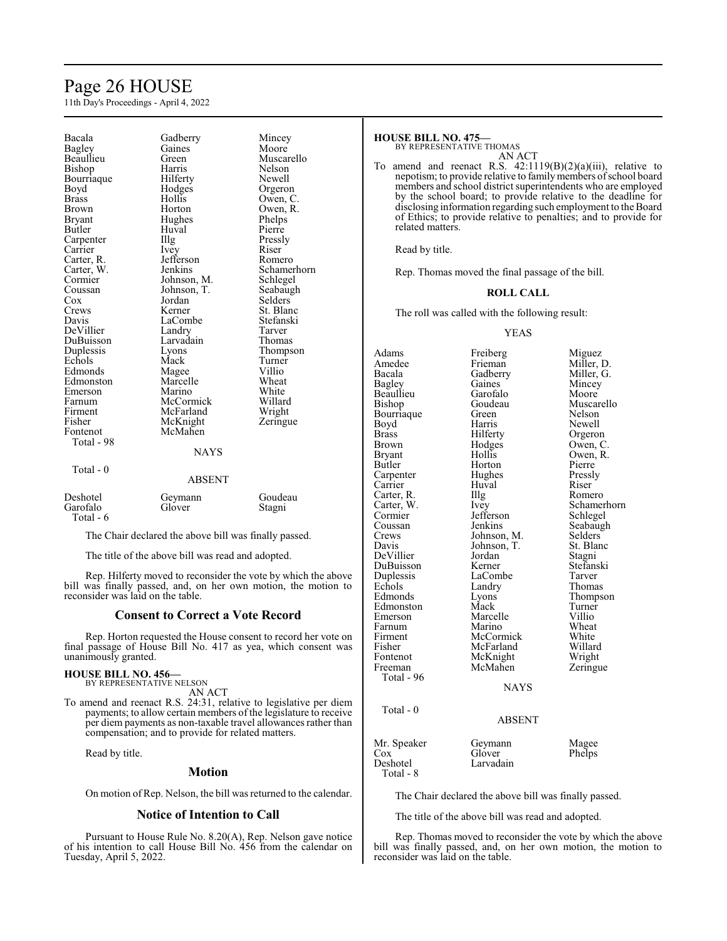# Page 26 HOUSE

11th Day's Proceedings - April 4, 2022

| Bacala       | Gadberry      | Mincey      |
|--------------|---------------|-------------|
| Bagley       | Gaines        | Moore       |
| Beaullieu    | Green         | Muscarello  |
| Bishop       | Harris        | Nelson      |
| Bourriaque   | Hilferty      | Newell      |
| Boyd         | Hodges        | Orgeron     |
| <b>Brass</b> | Hollis        | Owen, C.    |
| Brown        | Horton        | Owen, R.    |
| Bryant       | Hughes        | Phelps      |
| Butler       | Huval         | Pierre      |
| Carpenter    | Illg          | Pressly     |
| Carrier      | <i>lvey</i>   | Riser       |
| Carter, R.   | Jefferson     | Romero      |
| Carter, W.   | Jenkins       | Schamerhorn |
| Cormier      | Johnson, M.   | Schlegel    |
| Coussan      | Johnson, T.   | Seabaugh    |
| Cox          | Jordan        | Selders     |
| Crews        | Kerner        | St. Blanc   |
| Davis        | LaCombe       | Stefanski   |
| DeVillier    | Landry        | Tarver      |
| DuBuisson    | Larvadain     | Thomas      |
| Duplessis    | Lyons         | Thompson    |
| Echols       | Mack          | Turner      |
| Edmonds      | Magee         | Villio      |
| Edmonston    | Marcelle      | Wheat       |
| Emerson      | Marino        | White       |
| Farnum       | McCormick     | Willard     |
| Firment      | McFarland     | Wright      |
| Fisher       | McKnight      | Zeringue    |
| Fontenot     | McMahen       |             |
| Total - 98   |               |             |
|              | <b>NAYS</b>   |             |
| Total - 0    |               |             |
|              | <b>ABSENT</b> |             |
|              |               |             |
| Deshotel     | Geymann       | Goudeau     |
| Garofalo     | Glover        | Stagni      |
| Total - 6    |               |             |

The Chair declared the above bill was finally passed.

The title of the above bill was read and adopted.

Rep. Hilferty moved to reconsider the vote by which the above bill was finally passed, and, on her own motion, the motion to reconsider was laid on the table.

#### **Consent to Correct a Vote Record**

Rep. Horton requested the House consent to record her vote on final passage of House Bill No. 417 as yea, which consent was unanimously granted.

#### **HOUSE BILL NO. 456—** BY REPRESENTATIVE NELSON

AN ACT

To amend and reenact R.S. 24:31, relative to legislative per diem payments; to allow certain members of the legislature to receive per diem payments as non-taxable travel allowances rather than compensation; and to provide for related matters.

Read by title.

#### **Motion**

On motion of Rep. Nelson, the bill was returned to the calendar.

### **Notice of Intention to Call**

Pursuant to House Rule No. 8.20(A), Rep. Nelson gave notice of his intention to call House Bill No. 456 from the calendar on Tuesday, April 5, 2022.

#### **HOUSE BILL NO. 475—** BY REPRESENTATIVE THOMAS

AN ACT

To amend and reenact R.S.  $42:1119(B)(2)(a)(iii)$ , relative to nepotism; to provide relative to family members of school board members and school district superintendents who are employed by the school board; to provide relative to the deadline for disclosing information regarding such employment to the Board of Ethics; to provide relative to penalties; and to provide for related matters.

Read by title.

Rep. Thomas moved the final passage of the bill.

#### **ROLL CALL**

The roll was called with the following result:

#### YEAS

Adams Freiberg Miguez<br>Amedee Frieman Miller, l Amedee Frieman Miller, D.<br>Bacala Gadberry Miller, G. Bacala Gadberry Miller, G.<br>Bagley Gaines Mincey Gaines Mincey<br>Garofalo Moore Beaullieu Garofalo<br>Bishop Goudeau Goudeau Muscarello<br>Green Nelson Bourriaque Green Nelson<br>Boyd Harris Newell Boyd Harris Newell Brass Hilferty Orgeron Brown Hodges Owen, C.<br>Bryant Hollis Owen, R. Bryant Hollis Owen, R.<br>Butler Horton Pierre Horton Pierre<br>
Hughes Pressly Carpenter Hughes Pressl<br>Carrier Huval Riser Carrier Huval Riser<br>Carter, R. Illg Romero Carter, R. Illg<br>Carter, W. Ivey Carter, W. Ivey Schamerhorn<br>
Cormier Jefferson Schlegel Cormier Jefferson Schlegel<br>
Coussan Jenkins Seabaugl Coussan Jenkins Seabaugh<br>Crews Johnson, M. Selders Crews Johnson, M. Selders<br>Davis Johnson, T. St. Blanc Johnson, T. St. Bla<br>Jordan Stagni DeVillier Jordan Stagni<br>
DuBuisson Kerner Stefanski DuBuisson Kerner Stefans<br>
Duplessis LaCombe Tarver Duplessis LaCombe<br>
Echols Landry Echols Landry Thomas<br>Edmonds Lyons Thomps Lyons Thompson<br>
Mack Turner Edmonston Mack Turner<br>Emerson Marcelle Villio Marcelle Villio<br>
Marino Wheat Farnum Marino Wheat<br>
Firment McCormick White Firment McCormick White<br>
Fisher McFarland Willard Fisher McFarland Willard<br>Fontenot McKnight Wright Fontenot McKnight Wright<br>Freeman McMahen Zeringue McMahen Total - 96 NAYS Total - 0 ABSENT

| Mr. Speaker | Geymann   | Magee  |
|-------------|-----------|--------|
| Cox         | Glover    | Phelps |
| Deshotel    | Larvadain |        |
| Total - 8   |           |        |

The Chair declared the above bill was finally passed.

The title of the above bill was read and adopted.

Rep. Thomas moved to reconsider the vote by which the above bill was finally passed, and, on her own motion, the motion to reconsider was laid on the table.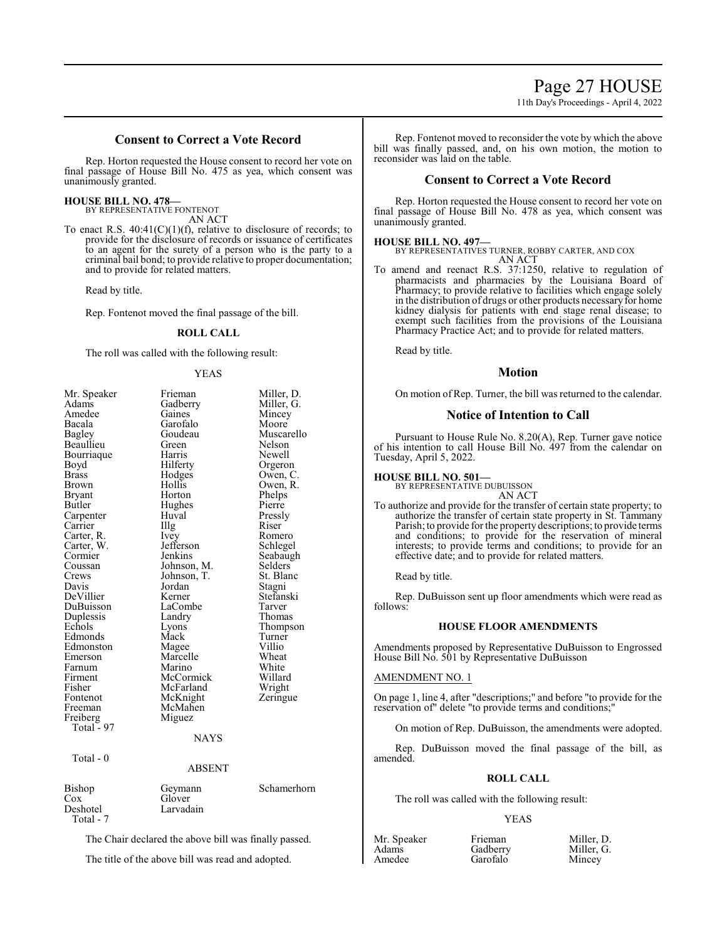# 11th Day's Proceedings - April 4, 2022

# **Consent to Correct a Vote Record**

Rep. Horton requested the House consent to record her vote on final passage of House Bill No. 475 as yea, which consent was unanimously granted.

# **HOUSE BILL NO. 478—**

BY REPRESENTATIVE FONTENOT AN ACT

To enact R.S.  $40:41(C)(1)(f)$ , relative to disclosure of records; to provide for the disclosure of records or issuance of certificates to an agent for the surety of a person who is the party to a criminal bail bond; to provide relative to proper documentation; and to provide for related matters.

Read by title.

Rep. Fontenot moved the final passage of the bill.

### **ROLL CALL**

The roll was called with the following result:

#### YEAS

| Mr. Speaker<br>Adams<br>Amedee<br>Bacala<br>Bagley<br>Beaullieu<br>Bourriaque<br>Boyd<br>Brass<br><b>Brown</b><br>Bryant<br>Butler<br>Carpenter<br>Carrier<br>Carter, R.<br>Carter, W.<br>Cormier<br>Coussan<br>Crews<br>Davis<br>DeVillier<br>DuBuisson<br>Duplessis<br>Echols<br>Edmonds<br>Edmonston<br>Emerson<br>Farnum | Frieman<br>Gadberry<br>Gaines<br>Garofalo<br>Goudeau<br>Green<br>Harris<br>Hilferty<br>Hodges<br>Hollis<br>Horton<br>Hughes<br>Huval<br>Illg<br><i>lvey</i><br>Jefferson<br>Jenkins<br>Johnson, M.<br>Johnson, T.<br>Jordan<br>Kerner<br>LaCombe<br>Landry<br>Lyons<br>Mack<br>Magee<br>Marcelle<br>Marino | Miller, D.<br>Miller, G.<br>Mincey<br>Moore<br>Muscarello<br>Nelson<br>Newell<br>Orgeron<br>Owen, C.<br>Owen, R.<br>Phelps<br>Pierre<br>Pressly<br>Riser<br>Romero<br>Schlegel<br>Seabaugh<br>Selders<br>St. Blanc<br>Stagni<br>Stefanski<br>Tarver<br>Thomas<br>Thompson<br>Turner<br>Villio<br>Wheat<br>White |
|------------------------------------------------------------------------------------------------------------------------------------------------------------------------------------------------------------------------------------------------------------------------------------------------------------------------------|------------------------------------------------------------------------------------------------------------------------------------------------------------------------------------------------------------------------------------------------------------------------------------------------------------|-----------------------------------------------------------------------------------------------------------------------------------------------------------------------------------------------------------------------------------------------------------------------------------------------------------------|
|                                                                                                                                                                                                                                                                                                                              |                                                                                                                                                                                                                                                                                                            |                                                                                                                                                                                                                                                                                                                 |
|                                                                                                                                                                                                                                                                                                                              |                                                                                                                                                                                                                                                                                                            |                                                                                                                                                                                                                                                                                                                 |
| Firment                                                                                                                                                                                                                                                                                                                      | McCormick                                                                                                                                                                                                                                                                                                  | Willard                                                                                                                                                                                                                                                                                                         |
| Fisher                                                                                                                                                                                                                                                                                                                       | McFarland                                                                                                                                                                                                                                                                                                  | Wright                                                                                                                                                                                                                                                                                                          |
| Fontenot                                                                                                                                                                                                                                                                                                                     | McKnight                                                                                                                                                                                                                                                                                                   | Zeringue                                                                                                                                                                                                                                                                                                        |
| Freeman                                                                                                                                                                                                                                                                                                                      | McMahen                                                                                                                                                                                                                                                                                                    |                                                                                                                                                                                                                                                                                                                 |
| Freiberg<br>Total - 97                                                                                                                                                                                                                                                                                                       | Miguez                                                                                                                                                                                                                                                                                                     |                                                                                                                                                                                                                                                                                                                 |
|                                                                                                                                                                                                                                                                                                                              | <b>NAYS</b>                                                                                                                                                                                                                                                                                                |                                                                                                                                                                                                                                                                                                                 |
| Total - 0                                                                                                                                                                                                                                                                                                                    |                                                                                                                                                                                                                                                                                                            |                                                                                                                                                                                                                                                                                                                 |
|                                                                                                                                                                                                                                                                                                                              | <b>ABSENT</b>                                                                                                                                                                                                                                                                                              |                                                                                                                                                                                                                                                                                                                 |
| Bishop<br>Cox<br>Deshotel<br>Total - 7                                                                                                                                                                                                                                                                                       | Geymann<br>Glover<br>Larvadain                                                                                                                                                                                                                                                                             | Schamerhorn                                                                                                                                                                                                                                                                                                     |

The Chair declared the above bill was finally passed.

The title of the above bill was read and adopted.

Rep. Fontenot moved to reconsider the vote by which the above bill was finally passed, and, on his own motion, the motion to reconsider was laid on the table.

### **Consent to Correct a Vote Record**

Rep. Horton requested the House consent to record her vote on final passage of House Bill No. 478 as yea, which consent was unanimously granted.

#### **HOUSE BILL NO. 497—**

BY REPRESENTATIVES TURNER, ROBBY CARTER, AND COX AN ACT

To amend and reenact R.S. 37:1250, relative to regulation of pharmacists and pharmacies by the Louisiana Board of Pharmacy; to provide relative to facilities which engage solely in the distribution of drugs or other products necessaryfor home kidney dialysis for patients with end stage renal disease; to exempt such facilities from the provisions of the Louisiana Pharmacy Practice Act; and to provide for related matters.

Read by title.

#### **Motion**

On motion of Rep. Turner, the bill was returned to the calendar.

#### **Notice of Intention to Call**

Pursuant to House Rule No. 8.20(A), Rep. Turner gave notice of his intention to call House Bill No. 497 from the calendar on Tuesday, April 5, 2022.

# **HOUSE BILL NO. 501—**

BY REPRESENTATIVE DUBUISSON AN ACT

To authorize and provide for the transfer of certain state property; to authorize the transfer of certain state property in St. Tammany Parish; to provide for the property descriptions; to provide terms and conditions; to provide for the reservation of mineral interests; to provide terms and conditions; to provide for an effective date; and to provide for related matters.

Read by title.

Rep. DuBuisson sent up floor amendments which were read as follows:

#### **HOUSE FLOOR AMENDMENTS**

Amendments proposed by Representative DuBuisson to Engrossed House Bill No. 501 by Representative DuBuisson

#### AMENDMENT NO. 1

On page 1, line 4, after "descriptions;" and before "to provide for the reservation of" delete "to provide terms and conditions;

On motion of Rep. DuBuisson, the amendments were adopted.

Rep. DuBuisson moved the final passage of the bill, as amended.

### **ROLL CALL**

The roll was called with the following result:

Garofalo

#### YEAS

Mr. Speaker Frieman Miller, D.<br>Adams Gadberry Miller, G. Adams Gadberry Miller, Mandee Garofalo Mincey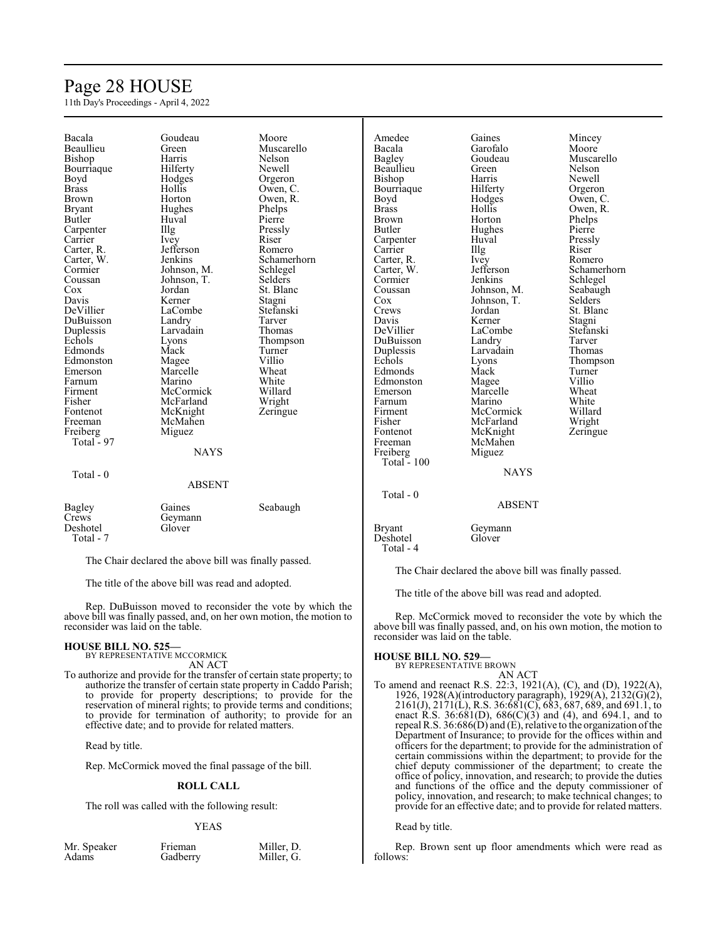# Page 28 HOUSE

11th Day's Proceedings - April 4, 2022

| Bacala        | Goudeau       | Moore       | Amedee        | Gaines        | Mincey      |
|---------------|---------------|-------------|---------------|---------------|-------------|
| Beaullieu     | Green         | Muscarello  | Bacala        | Garofalo      | Moore       |
| Bishop        | Harris        | Nelson      | Bagley        | Goudeau       | Muscarello  |
| Bourriaque    | Hilferty      | Newell      | Beaullieu     | Green         | Nelson      |
| Boyd          | Hodges        | Orgeron     | Bishop        | Harris        | Newell      |
| <b>Brass</b>  | Hollis        | Owen, C.    | Bourriaque    | Hilferty      | Orgeron     |
| Brown         | Horton        | Owen, R.    | Boyd          | Hodges        | Owen, C.    |
| <b>Bryant</b> | Hughes        | Phelps      | <b>Brass</b>  | Hollis        | Owen, R.    |
| Butler        | Huval         | Pierre      | <b>Brown</b>  | Horton        | Phelps      |
| Carpenter     | Illg          | Pressly     | Butler        | Hughes        | Pierre      |
| Carrier       | Ivey          | Riser       | Carpenter     | Huval         | Pressly     |
| Carter, R.    | Jefferson     | Romero      | Carrier       | Illg          | Riser       |
| Carter, W.    | Jenkins       | Schamerhorn | Carter, R.    | Ivey          | Romero      |
| Cormier       | Johnson, M.   | Schlegel    | Carter, W.    | Jefferson     | Schamerhorn |
| Coussan       | Johnson, T.   | Selders     | Cormier       | Jenkins       | Schlegel    |
| Cox           | Jordan        | St. Blanc   | Coussan       | Johnson, M.   | Seabaugh    |
| Davis         | Kerner        | Stagni      | Cox           | Johnson, T.   | Selders     |
| DeVillier     | LaCombe       | Stefanski   | Crews         | Jordan        | St. Blanc   |
| DuBuisson     | Landry        | Tarver      | Davis         | Kerner        | Stagni      |
| Duplessis     | Larvadain     | Thomas      | DeVillier     | LaCombe       | Stefanski   |
| Echols        | Lyons         | Thompson    | DuBuisson     | Landry        | Tarver      |
| Edmonds       | Mack          | Turner      | Duplessis     | Larvadain     | Thomas      |
| Edmonston     | Magee         | Villio      | Echols        | Lyons         | Thompson    |
| Emerson       | Marcelle      | Wheat       | Edmonds       | Mack          | Turner      |
| Farnum        | Marino        | White       | Edmonston     | Magee         | Villio      |
| Firment       | McCormick     | Willard     | Emerson       | Marcelle      | Wheat       |
| Fisher        | McFarland     | Wright      | Farnum        | Marino        | White       |
| Fontenot      | McKnight      | Zeringue    | Firment       | McCormick     | Willard     |
| Freeman       | McMahen       |             | Fisher        | McFarland     | Wright      |
| Freiberg      | Miguez        |             | Fontenot      | McKnight      | Zeringue    |
| Total - 97    |               |             | Freeman       | McMahen       |             |
|               | <b>NAYS</b>   |             | Freiberg      | Miguez        |             |
|               |               |             | Total - $100$ |               |             |
|               |               |             |               | <b>NAYS</b>   |             |
| Total - 0     | <b>ABSENT</b> |             |               |               |             |
|               |               |             | Total - 0     |               |             |
|               |               |             |               | <b>ABSENT</b> |             |
| <b>Bagley</b> | Gaines        | Seabaugh    |               |               |             |
| Crews         | Geymann       |             |               |               |             |
| Deshotel      | Glover        |             | <b>Bryant</b> | Geymann       |             |
| Total - 7     |               |             | Deshotel      | Glover        |             |
|               |               |             | Total - 4     |               |             |

The Chair declared the above bill was finally passed.

The title of the above bill was read and adopted.

Rep. DuBuisson moved to reconsider the vote by which the above bill was finally passed, and, on her own motion, the motion to reconsider was laid on the table.

# **HOUSE BILL NO. 525—** BY REPRESENTATIVE MCCORMICK

AN ACT

To authorize and provide for the transfer of certain state property; to authorize the transfer of certain state property in Caddo Parish; to provide for property descriptions; to provide for the reservation of mineral rights; to provide terms and conditions; to provide for termination of authority; to provide for an effective date; and to provide for related matters.

Read by title.

Rep. McCormick moved the final passage of the bill.

#### **ROLL CALL**

The roll was called with the following result:

#### YEAS

| Mr. Speaker | Frieman  | Miller, D. |
|-------------|----------|------------|
| Adams       | Gadberry | Miller, G. |

The Chair declared the above bill was finally passed.

The title of the above bill was read and adopted.

Rep. McCormick moved to reconsider the vote by which the above bill was finally passed, and, on his own motion, the motion to reconsider was laid on the table.

# **HOUSE BILL NO. 529—** BY REPRESENTATIVE BROWN

AN ACT To amend and reenact R.S. 22:3, 1921(A), (C), and (D), 1922(A), 1926, 1928(A)(introductory paragraph), 1929(A), 2132(G)(2), 2161(J), 2171(L), R.S. 36:681(C), 683, 687, 689, and 691.1, to enact R.S. 36:681(D), 686(C)(3) and (4), and 694.1, and to repeal R.S. 36:686(D) and (E), relative to the organization of the Department of Insurance; to provide for the offices within and officers for the department; to provide for the administration of certain commissions within the department; to provide for the chief deputy commissioner of the department; to create the office of policy, innovation, and research; to provide the duties and functions of the office and the deputy commissioner of policy, innovation, and research; to make technical changes; to provide for an effective date; and to provide for related matters.

#### Read by title.

Rep. Brown sent up floor amendments which were read as follows: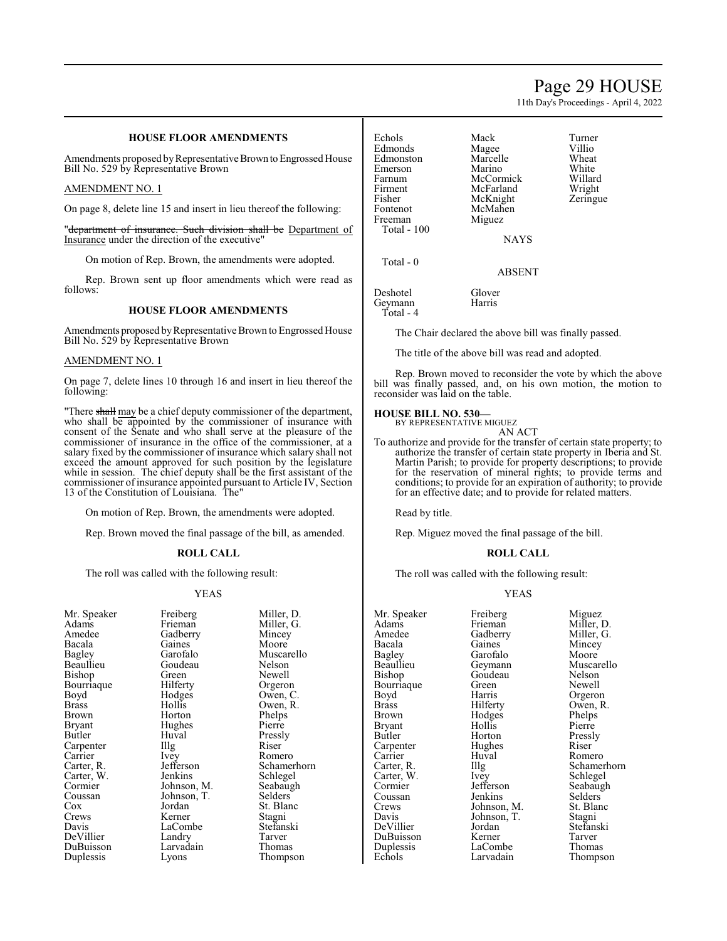# Page 29 HOUSE

11th Day's Proceedings - April 4, 2022

### **HOUSE FLOOR AMENDMENTS**

Amendments proposed by Representative Brown to Engrossed House Bill No. 529 by Representative Brown

#### AMENDMENT NO. 1

On page 8, delete line 15 and insert in lieu thereof the following:

"department of insurance. Such division shall be Department of Insurance under the direction of the executive"

On motion of Rep. Brown, the amendments were adopted.

Rep. Brown sent up floor amendments which were read as follows:

#### **HOUSE FLOOR AMENDMENTS**

Amendments proposed byRepresentative Brown to Engrossed House Bill No. 529 by Representative Brown

#### AMENDMENT NO. 1

On page 7, delete lines 10 through 16 and insert in lieu thereof the following:

"There shall may be a chief deputy commissioner of the department, who shall be appointed by the commissioner of insurance with consent of the Senate and who shall serve at the pleasure of the commissioner of insurance in the office of the commissioner, at a salary fixed by the commissioner of insurance which salary shall not exceed the amount approved for such position by the legislature while in session. The chief deputy shall be the first assistant of the commissioner of insurance appointed pursuant to Article IV, Section 13 of the Constitution of Louisiana. The"

On motion of Rep. Brown, the amendments were adopted.

Rep. Brown moved the final passage of the bill, as amended.

#### **ROLL CALL**

The roll was called with the following result:

#### YEAS

| Mr. Speaker | Freiberg             | Miller, |
|-------------|----------------------|---------|
| Adams       | Frieman              | Miller, |
| Amedee      | Gadberry             | Mincey  |
| Bacala      | Gaines               | Moore   |
| Bagley      | Garofalo             | Musca   |
| Beaullieu   | Goudeau              | Nelson  |
| Bishop      | Green                | Newel   |
| Bourriaque  | Hilferty             | Orgerc  |
| Boyd        | Hodges               | Owen,   |
| Brass       | Hollis               | Owen,   |
| Brown       | Horton               | Phelps  |
| Bryant      | Hughes               | Pierre  |
| Butler      | Huval                | Pressly |
| Carpenter   | $\prod$ <sup>g</sup> | Riser   |
| Carrier     | Ivey                 | Romer   |
| Carter, R.  | Jefferson            | Scham   |
| Carter, W.  | Jenkins              | Schleg  |
| Cormier     | Johnson, M.          | Seabau  |
| Coussan     | Johnson, T.          | Selder  |
| Cox         | Jordan               | St. Bla |
| Crews       | Kerner               | Stagni  |
| Davis       | LaCombe              | Stefan: |
| DeVillier   | Landry               | Tarver  |
| DuBuisson   | Larvadain            | Thoma   |
| Duplessis   | Lyons                | Thomp   |
|             |                      |         |

rg.<br>m. Speaker Miller, D.<br>Miller, G. Miller, G. Ty Mincey<br>Moore lo Muscarello<br>au Nelson Nelson Newell Orgeron Owen, C. Owen, R. Phelps Bryant Pierre Pressly<br>Riser External Romero<br>
Schamer Schamerhorn s Schlegel<br>n, M. Seabaugl n, M. Seabaugh<br>n, T. Selders Selders St. Blanc<br>Stagni 1be Stefanski n Tarver<br>Pain Thoma Thomas Thompson

Echols Mack Turner<br>
Edmonds Magee Villio Edmonds Magee Villio<br>Edmonston Marcelle Wheat Edmonston Marcelle Wheat<br>
Emerson Marino White Emerson Marino White<br>
Farnum McCormick Willard Farnum McCormick Willard Fisher McKnight Zeringue<br>Fontenot McMahen Freeman Total - 100

McFarland McMahen<br>Miguez

Deshotel Glover<br>Geymann Harris

Geymann Total - 4

Total - 0

The Chair declared the above bill was finally passed.

NAYS

ABSENT

The title of the above bill was read and adopted.

Rep. Brown moved to reconsider the vote by which the above bill was finally passed, and, on his own motion, the motion to reconsider was laid on the table.

#### **HOUSE BILL NO. 530—**

BY REPRESENTATIVE MIGUEZ AN ACT

To authorize and provide for the transfer of certain state property; to authorize the transfer of certain state property in Iberia and St. Martin Parish; to provide for property descriptions; to provide for the reservation of mineral rights; to provide terms and conditions; to provide for an expiration of authority; to provide for an effective date; and to provide for related matters.

Read by title.

Rep. Miguez moved the final passage of the bill.

#### **ROLL CALL**

The roll was called with the following result:

#### YEAS

| Mr. Speaker   | Freiberg    | Miguez      |
|---------------|-------------|-------------|
| Adams         | Frieman     | Miller, D.  |
| Amedee        | Gadberry    | Miller, G.  |
| Bacala        | Gaines      | Mincey      |
| Bagley        | Garofalo    | Moore       |
| Beaullieu     | Geymann     | Muscarello  |
| Bishop        | Goudeau     | Nelson      |
| Bourriaque    | Green       | Newell      |
| Boyd          | Harris      | Orgeron     |
| Brass         | Hilferty    | Owen, R.    |
| Brown         | Hodges      | Phelps      |
| <b>Bryant</b> | Hollis      | Pierre      |
| Butler        | Horton      | Pressly     |
| Carpenter     | Hughes      | Riser       |
| Carrier       | Huval       | Romero      |
| Carter, R.    | Illg        | Schamerhorn |
| Carter, W.    | <i>lvey</i> | Schlegel    |
| Cormier       | Jefferson   | Seabaugh    |
| Coussan       | Jenkins     | Selders     |
| Crews         | Johnson, M. | St. Blanc   |
| Davis         | Johnson, T. | Stagni      |
| DeVillier     | Jordan      | Stefanski   |
| DuBuisson     | Kerner      | Tarver      |
| Duplessis     | LaCombe     | Thomas      |
| Echols        | Larvadain   | Thompson    |
|               |             |             |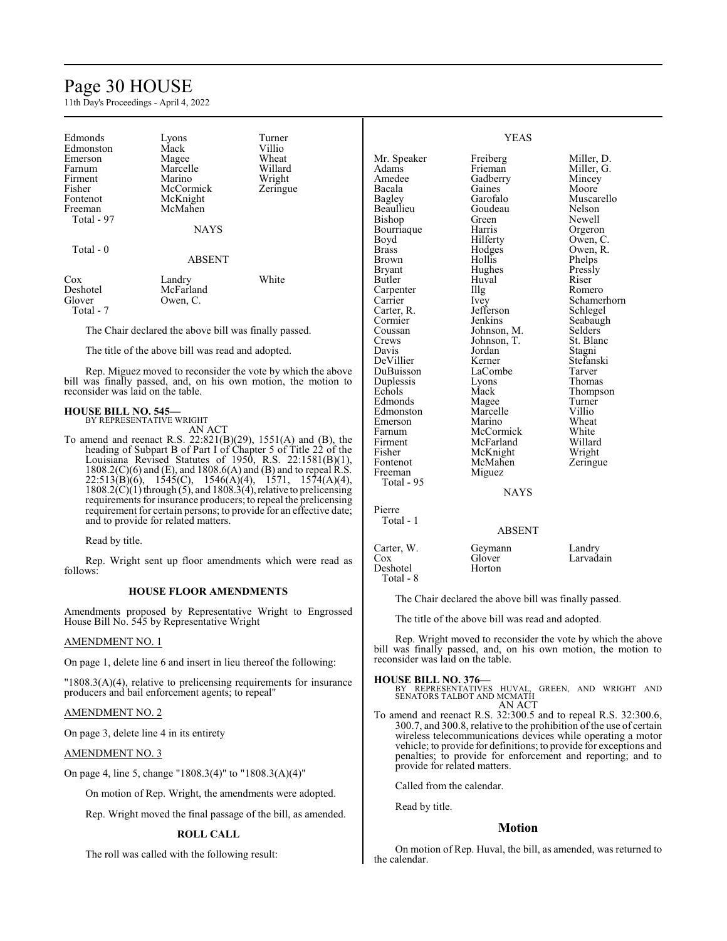# Page 30 HOUSE

11th Day's Proceedings - April 4, 2022

| Edmonds<br>Edmonston                                                                                       | Lyons<br>Mack | Turner<br>Villio                                                    |                  | <b>YEAS</b> |             |
|------------------------------------------------------------------------------------------------------------|---------------|---------------------------------------------------------------------|------------------|-------------|-------------|
| Emerson                                                                                                    | Magee         | Wheat                                                               | Mr. Speaker      | Freiberg    | Miller, D.  |
| Farnum                                                                                                     | Marcelle      | Willard                                                             | Adams            | Frieman     | Miller, G.  |
| Firment                                                                                                    | Marino        | Wright                                                              | Amedee           | Gadberry    | Mincey      |
| Fisher                                                                                                     | McCormick     | Zeringue                                                            | Bacala           | Gaines      | Moore       |
| Fontenot                                                                                                   | McKnight      |                                                                     | Bagley           | Garofalo    | Muscarello  |
| Freeman                                                                                                    | McMahen       |                                                                     | Beaullieu        | Goudeau     | Nelson      |
| Total - 97                                                                                                 |               |                                                                     | Bishop           | Green       | Newell      |
|                                                                                                            | <b>NAYS</b>   |                                                                     | Bourriaque       | Harris      | Orgeron     |
|                                                                                                            |               |                                                                     | Boyd             | Hilferty    | Owen, C.    |
| Total - 0                                                                                                  |               |                                                                     | <b>Brass</b>     | Hodges      | Owen, R.    |
|                                                                                                            | <b>ABSENT</b> |                                                                     | <b>Brown</b>     | Hollis      | Phelps      |
|                                                                                                            |               |                                                                     | <b>Bryant</b>    | Hughes      | Pressly     |
| Cox                                                                                                        | Landry        | White                                                               | <b>Butler</b>    | Huval       | Riser       |
| Deshotel                                                                                                   | McFarland     |                                                                     | Carpenter        | Illg        | Romero      |
| Glover                                                                                                     | Owen, C.      |                                                                     | Carrier          | Ivev        | Schamerhorn |
| Total - 7                                                                                                  |               |                                                                     | Carter, R.       | Jefferson   | Schlegel    |
|                                                                                                            |               |                                                                     | Cormier          | Jenkins     | Seabaugh    |
|                                                                                                            |               |                                                                     |                  | Johnson, M. | Selders     |
| The Chair declared the above bill was finally passed.<br>The title of the above bill was read and adopted. |               |                                                                     | Coussan<br>Crews | Johnson, T. | St. Blanc   |
|                                                                                                            |               |                                                                     | Davis            | Jordan      | Stagni      |
|                                                                                                            |               |                                                                     | DeVillier        | Kerner      | Stefanski   |
|                                                                                                            |               | Rep. Miguez moved to reconsider the vote by which the above         | DuBuisson        | LaCombe     | Tarver      |
|                                                                                                            |               | bill was finally passed, and, on his own motion, the motion to      | Duplessis        | Lyons       | Thomas      |
| reconsider was laid on the table.                                                                          |               |                                                                     | Echols           | Mack        | Thompson    |
|                                                                                                            |               |                                                                     | Edmonds          | Magee       | Turner      |
|                                                                                                            |               |                                                                     | Edmonston        | Marcelle    | Villio      |
| <b>HOUSE BILL NO. 545-</b><br>BY REPRESENTATIVE WRIGHT                                                     |               |                                                                     | Emerson          | Marino      | Wheat       |
|                                                                                                            | AN ACT        |                                                                     | Farnum           | McCormick   | White       |
|                                                                                                            |               | To amend and reenact R.S. $22:821(B)(29)$ , $1551(A)$ and (B), the  | Firment          | McFarland   | Willard     |
|                                                                                                            |               | heading of Subpart B of Part I of Chapter 5 of Title 22 of the      | Fisher           | McKnight    | Wright      |
|                                                                                                            |               | Louisiana Revised Statutes of 1950, R.S. $22:1581(B)(1)$ ,          | Fontenot         | McMahen     | Zeringue    |
|                                                                                                            |               | $1808.2(C)(6)$ and (E), and $1808.6(A)$ and (B) and to repeal R.S.  | Freeman          | Miguez      |             |
|                                                                                                            |               | $22:513(B)(6)$ , $1545(C)$ , $1546(A)(4)$ , $1571$ , $1574(A)(4)$ , | Total - 95       |             |             |

NAYS

Pierre Total - 1

Deshotel Total - 8 ABSENT

Carter, W. Geymann Landry<br>Cox Glover Larvad: Glover Larvadain<br>Horton

The Chair declared the above bill was finally passed.

The title of the above bill was read and adopted.

Rep. Wright moved to reconsider the vote by which the above bill was finally passed, and, on his own motion, the motion to reconsider was laid on the table.

**HOUSE BILL NO. 376—** BY REPRESENTATIVES HUVAL, GREEN, AND WRIGHT AND SENATORS TALBOT AND MCMATH AN ACT

To amend and reenact R.S. 32:300.5 and to repeal R.S. 32:300.6, 300.7, and 300.8, relative to the prohibition of the use of certain wireless telecommunications devices while operating a motor vehicle; to provide for definitions; to provide for exceptions and penalties; to provide for enforcement and reporting; and to provide for related matters.

Called from the calendar.

Read by title.

#### **Motion**

On motion of Rep. Huval, the bill, as amended, was returned to the calendar.

22:513(B)(6), 1545(C), 1546(A)(4), 1571, 1574(A)(4),  $1808.2(C)(1)$  through (5), and  $1808.3(4)$ , relative to prelicensing requirements for insurance producers; to repeal the prelicensing requirement for certain persons; to provide for an effective date; and to provide for related matters.

Read by title.

Rep. Wright sent up floor amendments which were read as follows:

#### **HOUSE FLOOR AMENDMENTS**

Amendments proposed by Representative Wright to Engrossed House Bill No. 545 by Representative Wright

#### AMENDMENT NO. 1

On page 1, delete line 6 and insert in lieu thereof the following:

"1808.3(A)(4), relative to prelicensing requirements for insurance producers and bail enforcement agents; to repeal"

#### AMENDMENT NO. 2

On page 3, delete line 4 in its entirety

#### AMENDMENT NO. 3

On page 4, line 5, change "1808.3(4)" to "1808.3(A)(4)"

On motion of Rep. Wright, the amendments were adopted.

Rep. Wright moved the final passage of the bill, as amended.

#### **ROLL CALL**

The roll was called with the following result: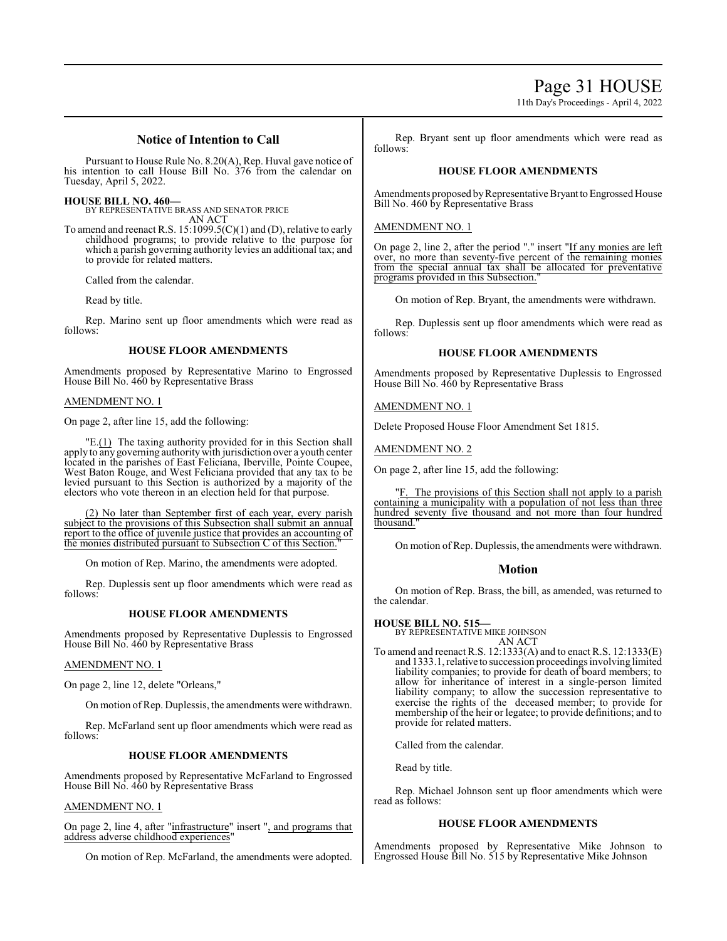Page 31 HOUSE

11th Day's Proceedings - April 4, 2022

# **Notice of Intention to Call**

Pursuant to House Rule No. 8.20(A), Rep. Huval gave notice of his intention to call House Bill No. 376 from the calendar on Tuesday, April 5, 2022.

**HOUSE BILL NO. 460—**

BY REPRESENTATIVE BRASS AND SENATOR PRICE AN ACT

To amend and reenact R.S. 15:1099.5(C)(1) and (D), relative to early childhood programs; to provide relative to the purpose for which a parish governing authority levies an additional tax; and to provide for related matters.

Called from the calendar.

Read by title.

Rep. Marino sent up floor amendments which were read as follows:

#### **HOUSE FLOOR AMENDMENTS**

Amendments proposed by Representative Marino to Engrossed House Bill No. 460 by Representative Brass

#### AMENDMENT NO. 1

On page 2, after line 15, add the following:

 $"E(1)$  The taxing authority provided for in this Section shall apply to any governing authoritywith jurisdiction over a youth center located in the parishes of East Feliciana, Iberville, Pointe Coupee, West Baton Rouge, and West Feliciana provided that any tax to be levied pursuant to this Section is authorized by a majority of the electors who vote thereon in an election held for that purpose.

(2) No later than September first of each year, every parish subject to the provisions of this Subsection shall submit an annual report to the office of juvenile justice that provides an accounting of the monies distributed pursuant to Subsection C of this Section.

On motion of Rep. Marino, the amendments were adopted.

Rep. Duplessis sent up floor amendments which were read as follows:

### **HOUSE FLOOR AMENDMENTS**

Amendments proposed by Representative Duplessis to Engrossed House Bill No. 460 by Representative Brass

### AMENDMENT NO. 1

On page 2, line 12, delete "Orleans,"

On motion ofRep. Duplessis, the amendments were withdrawn.

Rep. McFarland sent up floor amendments which were read as follows:

### **HOUSE FLOOR AMENDMENTS**

Amendments proposed by Representative McFarland to Engrossed House Bill No. 460 by Representative Brass

#### AMENDMENT NO. 1

On page 2, line 4, after "infrastructure" insert ", and programs that address adverse childhood experiences"

On motion of Rep. McFarland, the amendments were adopted.

Rep. Bryant sent up floor amendments which were read as follows:

### **HOUSE FLOOR AMENDMENTS**

Amendments proposed by Representative Bryant to Engrossed House Bill No. 460 by Representative Brass

#### AMENDMENT NO. 1

On page 2, line 2, after the period "." insert "If any monies are left over, no more than seventy-five percent of the remaining monies from the special annual tax shall be allocated for preventative programs provided in this Subsection.

On motion of Rep. Bryant, the amendments were withdrawn.

Rep. Duplessis sent up floor amendments which were read as follows:

#### **HOUSE FLOOR AMENDMENTS**

Amendments proposed by Representative Duplessis to Engrossed House Bill No. 460 by Representative Brass

AMENDMENT NO. 1

Delete Proposed House Floor Amendment Set 1815.

AMENDMENT NO. 2

On page 2, after line 15, add the following:

"F. The provisions of this Section shall not apply to a parish containing a municipality with a population of not less than three hundred seventy five thousand and not more than four hundred thousand.

On motion of Rep. Duplessis, the amendments were withdrawn.

### **Motion**

On motion of Rep. Brass, the bill, as amended, was returned to the calendar.

### **HOUSE BILL NO. 515—**

BY REPRESENTATIVE MIKE JOHNSON AN ACT

To amend and reenact R.S. 12:1333(A) and to enact R.S. 12:1333(E) and 1333.1, relative to succession proceedings involving limited liability companies; to provide for death of board members; to allow for inheritance of interest in a single-person limited liability company; to allow the succession representative to exercise the rights of the deceased member; to provide for membership of the heir or legatee; to provide definitions; and to provide for related matters.

Called from the calendar.

Read by title.

Rep. Michael Johnson sent up floor amendments which were read as follows:

### **HOUSE FLOOR AMENDMENTS**

Amendments proposed by Representative Mike Johnson to Engrossed House Bill No. 515 by Representative Mike Johnson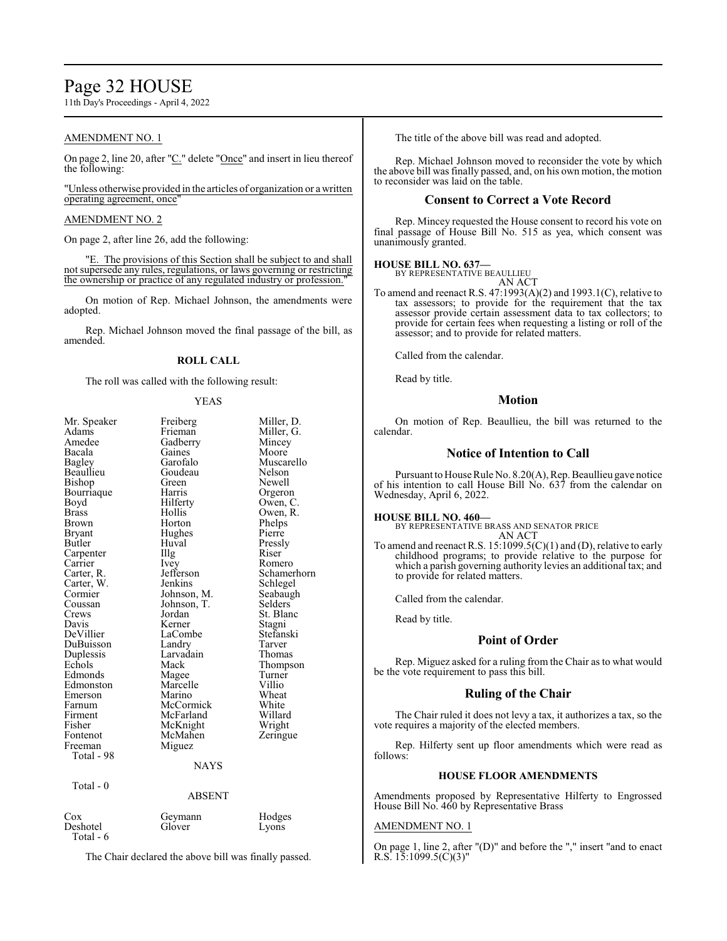# Page 32 HOUSE

11th Day's Proceedings - April 4, 2022

### AMENDMENT NO. 1

On page 2, line 20, after "C." delete "Once" and insert in lieu thereof the following:

"Unless otherwise provided in the articles of organization or a written operating agreement, once"

#### AMENDMENT NO. 2

On page 2, after line 26, add the following:

"E. The provisions of this Section shall be subject to and shall not supersede any rules, regulations, or laws governing or restricting the ownership or practice of any regulated industry or profession."

On motion of Rep. Michael Johnson, the amendments were adopted.

Rep. Michael Johnson moved the final passage of the bill, as amended.

### **ROLL CALL**

The roll was called with the following result:

#### YEAS

| Mr. Speaker<br>Adams<br>Amedee<br>Bacala<br>Bagley<br>Beaullieu<br>Bishop<br>Bourriaque<br>Boyd<br>Brass<br>Brown<br>Bryant<br>Butler<br>Carpenter<br>Carrier<br>Carter, R.<br>Carter, W.<br>Cormier<br>Coussan<br>Crews<br>Davis<br>DeVillier<br>DuBuisson<br>Duplessis<br>Echols<br>Edmonds<br>Edmonston<br>Emerson<br>Farnum<br>Firment | Freiberg<br>Frieman<br>Gadberry<br>Gaines<br>Garofalo<br>Goudeau<br>Green<br>Harris<br>Hilferty<br>Hollis<br>Horton<br>Hughes<br>Huval<br>Illg<br>Ivey<br>Jefferson<br>Jenkins<br>Johnson, M.<br>Johnson, T.<br>Jordan<br>Kerner<br>LaCombe<br>Landry<br>Larvadain<br>Mack<br>Magee<br>Marcelle<br>Marino<br>McCormick<br>McFarland | Miller, D.<br>Miller, G.<br>Mincey<br>Moore<br>Muscarello<br>Nelson<br>Newell<br>Orgeron<br>Owen, C.<br>Owen, R.<br>Phelps<br>Pierre<br>Pressly<br>Riser<br>Romero<br>Schamerhorn<br>Schlegel<br>Seabaugh<br>Selders<br>St. Blanc<br>Stagni<br>Stefanski<br>Tarver<br>Thomas<br>Thompson<br>Turner<br>Villio<br>Wheat<br>White<br>Willard |
|--------------------------------------------------------------------------------------------------------------------------------------------------------------------------------------------------------------------------------------------------------------------------------------------------------------------------------------------|-------------------------------------------------------------------------------------------------------------------------------------------------------------------------------------------------------------------------------------------------------------------------------------------------------------------------------------|-------------------------------------------------------------------------------------------------------------------------------------------------------------------------------------------------------------------------------------------------------------------------------------------------------------------------------------------|
|                                                                                                                                                                                                                                                                                                                                            |                                                                                                                                                                                                                                                                                                                                     |                                                                                                                                                                                                                                                                                                                                           |
| Fisher<br>Fontenot<br>Freeman<br>Total - 98                                                                                                                                                                                                                                                                                                | McKnight<br>McMahen<br>Miguez                                                                                                                                                                                                                                                                                                       | Wright<br>Zeringue                                                                                                                                                                                                                                                                                                                        |
|                                                                                                                                                                                                                                                                                                                                            | <b>NAYS</b>                                                                                                                                                                                                                                                                                                                         |                                                                                                                                                                                                                                                                                                                                           |
| Total - 0                                                                                                                                                                                                                                                                                                                                  | <b>ABSENT</b>                                                                                                                                                                                                                                                                                                                       |                                                                                                                                                                                                                                                                                                                                           |
| Cox<br>Deshotel<br>Total - 6                                                                                                                                                                                                                                                                                                               | Geymann<br>Glover                                                                                                                                                                                                                                                                                                                   | Hodges<br>Lyons                                                                                                                                                                                                                                                                                                                           |

The Chair declared the above bill was finally passed.

The title of the above bill was read and adopted.

Rep. Michael Johnson moved to reconsider the vote by which the above bill was finally passed, and, on his own motion, the motion to reconsider was laid on the table.

### **Consent to Correct a Vote Record**

Rep. Mincey requested the House consent to record his vote on final passage of House Bill No. 515 as yea, which consent was unanimously granted.

# **HOUSE BILL NO. 637—** BY REPRESENTATIVE BEAULLIEU

AN ACT

To amend and reenact R.S. 47:1993(A)(2) and 1993.1(C), relative to tax assessors; to provide for the requirement that the tax assessor provide certain assessment data to tax collectors; to provide for certain fees when requesting a listing or roll of the assessor; and to provide for related matters.

Called from the calendar.

Read by title.

#### **Motion**

On motion of Rep. Beaullieu, the bill was returned to the calendar.

#### **Notice of Intention to Call**

Pursuant to House Rule No. 8.20(A), Rep. Beaullieu gave notice of his intention to call House Bill No. 637 from the calendar on Wednesday, April 6, 2022.

#### **HOUSE BILL NO. 460—**

BY REPRESENTATIVE BRASS AND SENATOR PRICE AN ACT

To amend and reenact R.S. 15:1099.5(C)(1) and (D), relative to early childhood programs; to provide relative to the purpose for which a parish governing authority levies an additional tax; and to provide for related matters.

Called from the calendar.

Read by title.

# **Point of Order**

Rep. Miguez asked for a ruling from the Chair as to what would be the vote requirement to pass this bill.

# **Ruling of the Chair**

The Chair ruled it does not levy a tax, it authorizes a tax, so the vote requires a majority of the elected members.

Rep. Hilferty sent up floor amendments which were read as follows:

#### **HOUSE FLOOR AMENDMENTS**

Amendments proposed by Representative Hilferty to Engrossed House Bill No. 460 by Representative Brass

#### AMENDMENT NO. 1

On page 1, line 2, after "(D)" and before the "," insert "and to enact R.S.  $15:1099.5(C)(3)$ "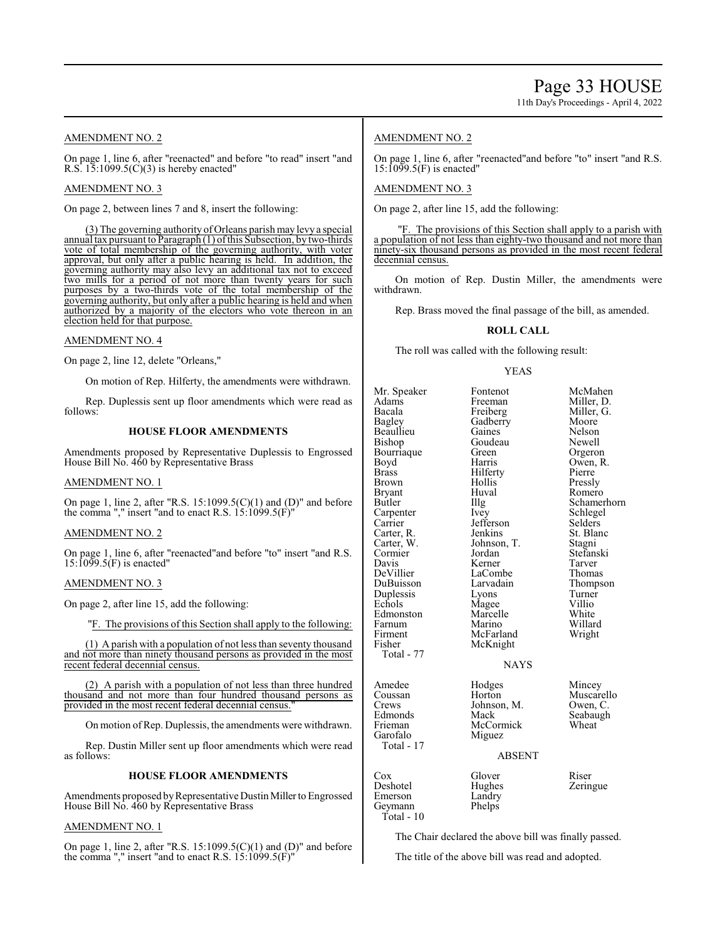#### AMENDMENT NO. 2

On page 1, line 6, after "reenacted" and before "to read" insert "and R.S.  $15:1099.5(C)(3)$  is hereby enacted"

#### AMENDMENT NO. 3

On page 2, between lines 7 and 8, insert the following:

(3) The governing authority of Orleans parish may levy a special annual tax pursuant to Paragraph (1) ofthis Subsection, by two-thirds vote of total membership of the governing authority, with voter approval, but only after a public hearing is held. In addition, the governing authority may also levy an additional tax not to exceed two mills for a period of not more than twenty years for such purposes by a two-thirds vote of the total membership of the governing authority, but only after a public hearing is held and when authorized by a majority of the electors who vote thereon in an election held for that purpose.

#### AMENDMENT NO. 4

On page 2, line 12, delete "Orleans,"

On motion of Rep. Hilferty, the amendments were withdrawn.

Rep. Duplessis sent up floor amendments which were read as follows:

#### **HOUSE FLOOR AMENDMENTS**

Amendments proposed by Representative Duplessis to Engrossed House Bill No. 460 by Representative Brass

#### AMENDMENT NO. 1

On page 1, line 2, after "R.S.  $15:1099.5(C)(1)$  and (D)" and before the comma "," insert "and to enact R.S.  $15:1099.5(F)$ "

#### AMENDMENT NO. 2

On page 1, line 6, after "reenacted"and before "to" insert "and R.S. 15:1099.5(F) is enacted"

#### AMENDMENT NO. 3

On page 2, after line 15, add the following:

"F. The provisions of this Section shall apply to the following:

(1) A parish with a population of not less than seventy thousand and not more than ninety thousand persons as provided in the most recent federal decennial census.

(2) A parish with a population of not less than three hundred thousand and not more than four hundred thousand persons as provided in the most recent federal decennial census.

On motion of Rep. Duplessis, the amendments were withdrawn.

Rep. Dustin Miller sent up floor amendments which were read as follows:

#### **HOUSE FLOOR AMENDMENTS**

Amendments proposed by Representative Dustin Miller to Engrossed House Bill No. 460 by Representative Brass

#### AMENDMENT NO. 1

On page 1, line 2, after "R.S.  $15:1099.5(C)(1)$  and (D)" and before the comma "," insert "and to enact R.S.  $15:1099.5(F)$ "

### AMENDMENT NO. 2

On page 1, line 6, after "reenacted"and before "to" insert "and R.S. 15:1099.5(F) is enacted"

#### AMENDMENT NO. 3

On page 2, after line 15, add the following:

"F. The provisions of this Section shall apply to a parish with a population of not less than eighty-two thousand and not more than ninety-six thousand persons as provided in the most recent federal decennial census.

On motion of Rep. Dustin Miller, the amendments were withdrawn.

Rep. Brass moved the final passage of the bill, as amended.

#### **ROLL CALL**

The roll was called with the following result:

#### YEAS

Mr. Speaker Fontenot McMahen<br>Adams Freeman Miller, D. Adams Freeman Miller, D.<br>Bacala Freiberg Miller, G. Bacala Freiberg Miller,<br>Bagley Gadberry Moore Beaullieu Gaines Nelson<br>Bishop Goudeau Newell Bourriaque Green<br>Boyd Harris Boyd Harris Owen, R. Brass Hilferty<br>Brown Hollis Brown Hollis Pressly<br>Bryant Huval Romerc Bryant Huval Romero<br>Butler IIIg Schamer Carpenter Ivey Schlege<br>Carrier Jefferson Selders Carrier Jefferson<br>Carter, R. Jenkins Carter, R. Jenkins St. Blanc<br>Carter, W. Johnson, T. Stagni Cormier Jordan<br>Davis Kerner Davis Kerner Tarver<br>DeVillier LaCombe Thomas DuBuisson Larvadain Thomp<br>Duplessis Lyons Turner Duplessis Lyons Turner<br>
Echols Magee Villio Edmonston Marcelle White<br>Farnum Marino Willard Farnum Marino Willard Firment McFarland<br>Fisher McKnight Total - 77 Amedee Hodges Mincey<br>Coussan Horton Muscare Coussan Muscarello<br>Crews Johnson, M. Owen, C. Crews Johnson, M.<br>Edmonds Mack Frieman McCormick<br>
Garofalo Miguez Total - 17

Gadberry Moore<br>Gaines Nelson Goudeau Newell<br>Green Orgeron Johnson, T. Stagni<br>Jordan Stefanski LaCombe Thomas<br>
Larvadain Thompson Magee Villio<br>
Marcelle White McKnight NAYS

Seabaugh<br>Wheat

Schamerhorn<br>Schlegel

#### ABSENT

| Cox<br>Deshotel<br>Emerson<br>Geymann | Glover<br>Hughes<br>Landry<br>Phelps | Riser<br>Zeringue |
|---------------------------------------|--------------------------------------|-------------------|
| Total - 10                            |                                      |                   |

Miguez

The Chair declared the above bill was finally passed.

The title of the above bill was read and adopted.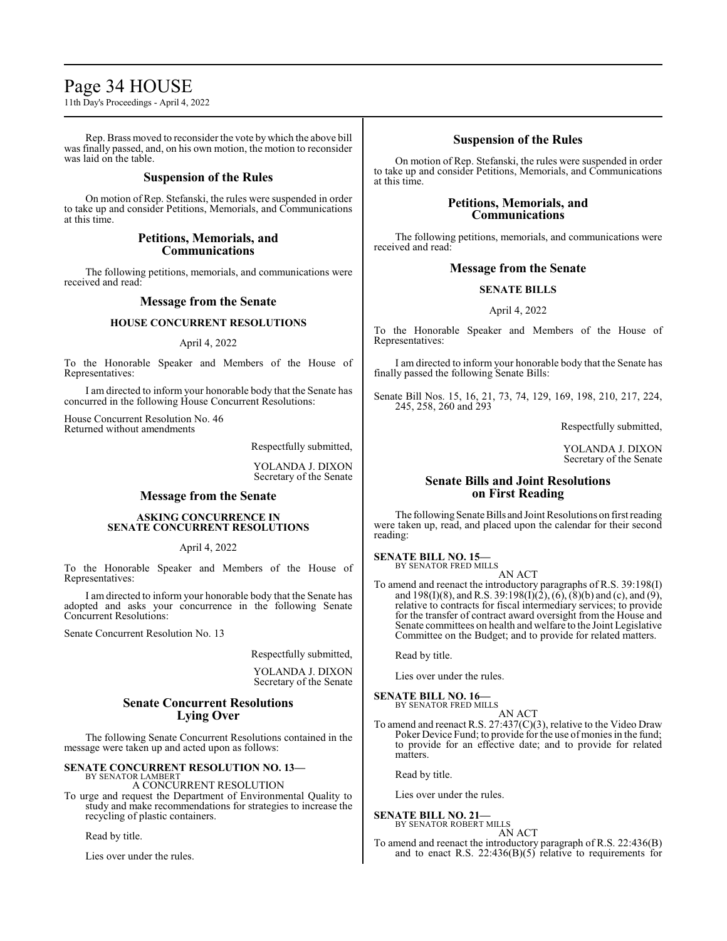# Page 34 HOUSE

11th Day's Proceedings - April 4, 2022

Rep. Brass moved to reconsider the vote by which the above bill was finally passed, and, on his own motion, the motion to reconsider was laid on the table.

### **Suspension of the Rules**

On motion of Rep. Stefanski, the rules were suspended in order to take up and consider Petitions, Memorials, and Communications at this time.

### **Petitions, Memorials, and Communications**

The following petitions, memorials, and communications were received and read:

## **Message from the Senate**

### **HOUSE CONCURRENT RESOLUTIONS**

#### April 4, 2022

To the Honorable Speaker and Members of the House of Representatives:

I am directed to inform your honorable body that the Senate has concurred in the following House Concurrent Resolutions:

House Concurrent Resolution No. 46 Returned without amendments

Respectfully submitted,

YOLANDA J. DIXON Secretary of the Senate

# **Message from the Senate**

#### **ASKING CONCURRENCE IN SENATE CONCURRENT RESOLUTIONS**

April 4, 2022

To the Honorable Speaker and Members of the House of Representatives:

I am directed to inform your honorable body that the Senate has adopted and asks your concurrence in the following Senate Concurrent Resolutions:

Senate Concurrent Resolution No. 13

Respectfully submitted,

YOLANDA J. DIXON Secretary of the Senate

# **Senate Concurrent Resolutions Lying Over**

The following Senate Concurrent Resolutions contained in the message were taken up and acted upon as follows:

**SENATE CONCURRENT RESOLUTION NO. 13—**

BY SENATOR LAMBERT A CONCURRENT RESOLUTION

To urge and request the Department of Environmental Quality to study and make recommendations for strategies to increase the recycling of plastic containers.

Read by title.

Lies over under the rules.

# **Suspension of the Rules**

On motion of Rep. Stefanski, the rules were suspended in order to take up and consider Petitions, Memorials, and Communications at this time.

## **Petitions, Memorials, and Communications**

The following petitions, memorials, and communications were received and read:

## **Message from the Senate**

### **SENATE BILLS**

#### April 4, 2022

To the Honorable Speaker and Members of the House of Representatives:

I am directed to inform your honorable body that the Senate has finally passed the following Senate Bills:

Senate Bill Nos. 15, 16, 21, 73, 74, 129, 169, 198, 210, 217, 224, 245, 258, 260 and 293

Respectfully submitted,

YOLANDA J. DIXON Secretary of the Senate

# **Senate Bills and Joint Resolutions on First Reading**

The following Senate Bills and Joint Resolutions on first reading were taken up, read, and placed upon the calendar for their second reading:

**SENATE BILL NO. 15—** BY SENATOR FRED MILLS

AN ACT To amend and reenact the introductory paragraphs of R.S. 39:198(I) and 198(I)(8), and R.S. 39:198(I)(2), (6), (8)(b) and (c), and (9), relative to contracts for fiscal intermediary services; to provide for the transfer of contract award oversight from the House and Senate committees on health and welfare to the Joint Legislative Committee on the Budget; and to provide for related matters.

Read by title.

Lies over under the rules.

#### **SENATE BILL NO. 16—** BY SENATOR FRED MILLS

AN ACT

To amend and reenact R.S. 27:437(C)(3), relative to the Video Draw Poker Device Fund; to provide for the use of monies in the fund; to provide for an effective date; and to provide for related matters.

Read by title.

Lies over under the rules.

# **SENATE BILL NO. 21—**

BY SENATOR ROBERT MILLS AN ACT

To amend and reenact the introductory paragraph of R.S. 22:436(B) and to enact R.S.  $22:436(B)(5)$  relative to requirements for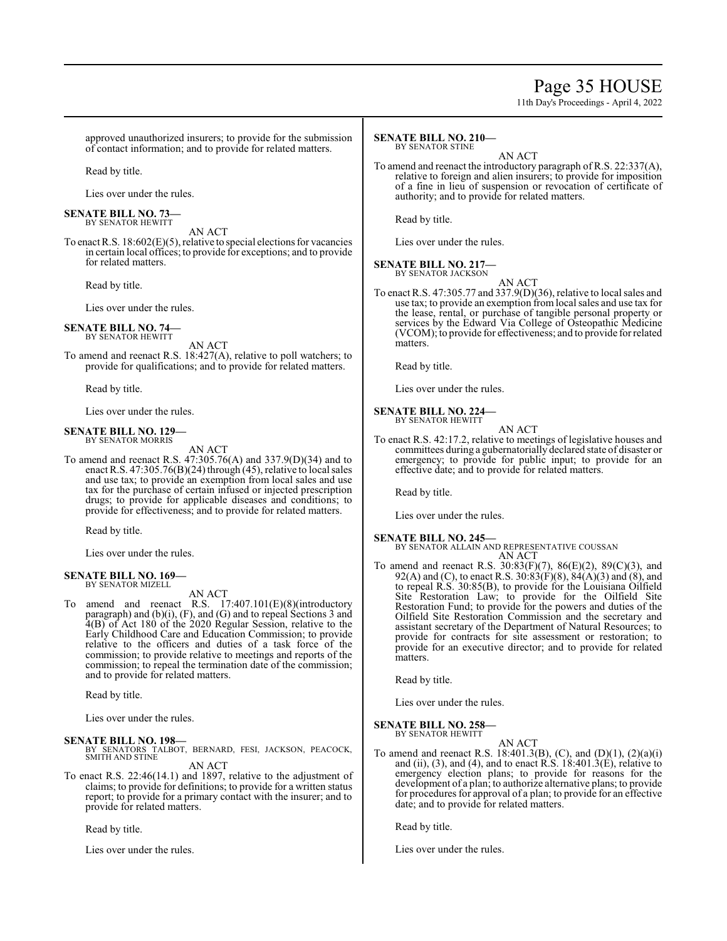# Page 35 HOUSE

11th Day's Proceedings - April 4, 2022

approved unauthorized insurers; to provide for the submission of contact information; and to provide for related matters.

Read by title.

Lies over under the rules.

**SENATE BILL NO. 73—** BY SENATOR HEWITT

AN ACT To enact R.S. 18:602(E)(5), relative to special elections for vacancies in certain local offices; to provide for exceptions; and to provide for related matters.

Read by title.

Lies over under the rules.

#### **SENATE BILL NO. 74—** BY SENATOR HEWITT

AN ACT

To amend and reenact R.S. 18:427(A), relative to poll watchers; to provide for qualifications; and to provide for related matters.

Read by title.

Lies over under the rules.

#### **SENATE BILL NO. 129—** BY SENATOR MORRIS

AN ACT

To amend and reenact R.S. 47:305.76(A) and 337.9(D)(34) and to enact R.S.  $47:305.76(B)(24)$  through (45), relative to local sales and use tax; to provide an exemption from local sales and use tax for the purchase of certain infused or injected prescription drugs; to provide for applicable diseases and conditions; to provide for effectiveness; and to provide for related matters.

Read by title.

Lies over under the rules.

#### **SENATE BILL NO. 169—** BY SENATOR MIZELL

AN ACT

To amend and reenact R.S. 17:407.101(E)(8)(introductory paragraph) and (b)(i), (F), and (G) and to repeal Sections 3 and 4(B) of Act 180 of the 2020 Regular Session, relative to the Early Childhood Care and Education Commission; to provide relative to the officers and duties of a task force of the commission; to provide relative to meetings and reports of the commission; to repeal the termination date of the commission; and to provide for related matters.

Read by title.

Lies over under the rules.

### **SENATE BILL NO. 198—**

BY SENATORS TALBOT, BERNARD, FESI, JACKSON, PEACOCK, SMITH AND STINE

AN ACT

To enact R.S. 22:46(14.1) and 1897, relative to the adjustment of claims; to provide for definitions; to provide for a written status report; to provide for a primary contact with the insurer; and to provide for related matters.

Read by title.

Lies over under the rules.

#### **SENATE BILL NO. 210—** BY SENATOR STINE

AN ACT

To amend and reenact the introductory paragraph of R.S. 22:337(A), relative to foreign and alien insurers; to provide for imposition of a fine in lieu of suspension or revocation of certificate of authority; and to provide for related matters.

Read by title.

Lies over under the rules.

#### **SENATE BILL NO. 217—** BY SENATOR JACKSON

AN ACT

To enact R.S. 47:305.77 and 337.9(D)(36), relative to local sales and use tax; to provide an exemption fromlocal sales and use tax for the lease, rental, or purchase of tangible personal property or services by the Edward Via College of Osteopathic Medicine (VCOM); to provide for effectiveness; and to provide for related matters.

Read by title.

Lies over under the rules.

#### **SENATE BILL NO. 224—** BY SENATOR HEWITT

AN ACT

To enact R.S. 42:17.2, relative to meetings of legislative houses and committees during a gubernatorially declared state of disaster or emergency; to provide for public input; to provide for an effective date; and to provide for related matters.

Read by title.

Lies over under the rules.

### **SENATE BILL NO. 245—**

BY SENATOR ALLAIN AND REPRESENTATIVE COUSSAN AN ACT

To amend and reenact R.S. 30:83(F)(7), 86(E)(2), 89(C)(3), and 92(A) and (C), to enact R.S.  $30:83(F)(8)$ ,  $84(A)(3)$  and  $(8)$ , and to repeal R.S. 30:85(B), to provide for the Louisiana Oilfield Site Restoration Law; to provide for the Oilfield Site Restoration Fund; to provide for the powers and duties of the Oilfield Site Restoration Commission and the secretary and assistant secretary of the Department of Natural Resources; to provide for contracts for site assessment or restoration; to provide for an executive director; and to provide for related **matters** 

Read by title.

Lies over under the rules.

**SENATE BILL NO. 258—** BY SENATOR HEWITT

AN ACT

To amend and reenact R.S. 18:401.3(B), (C), and (D)(1), (2)(a)(i) and (ii), (3), and (4), and to enact R.S.  $18:401.3(E)$ , relative to emergency election plans; to provide for reasons for the development of a plan; to authorize alternative plans; to provide for procedures for approval of a plan; to provide for an effective date; and to provide for related matters.

Read by title.

Lies over under the rules.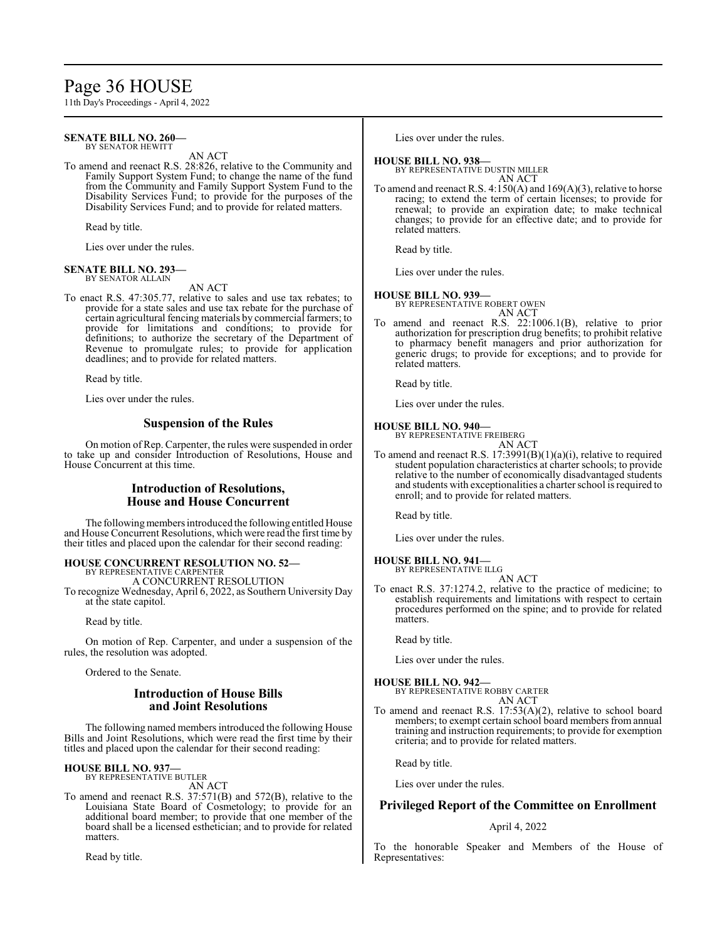# Page 36 HOUSE

11th Day's Proceedings - April 4, 2022

#### **SENATE BILL NO. 260—** BY SENATOR HEWITT

AN ACT

To amend and reenact R.S. 28:826, relative to the Community and Family Support System Fund; to change the name of the fund from the Community and Family Support System Fund to the Disability Services Fund; to provide for the purposes of the Disability Services Fund; and to provide for related matters.

Read by title.

Lies over under the rules.

#### **SENATE BILL NO. 293—** BY SENATOR ALLAIN

AN ACT

To enact R.S. 47:305.77, relative to sales and use tax rebates; to provide for a state sales and use tax rebate for the purchase of certain agricultural fencing materials by commercial farmers; to provide for limitations and conditions; to provide for definitions; to authorize the secretary of the Department of Revenue to promulgate rules; to provide for application deadlines; and to provide for related matters.

Read by title.

Lies over under the rules.

### **Suspension of the Rules**

On motion of Rep. Carpenter, the rules were suspended in order to take up and consider Introduction of Resolutions, House and House Concurrent at this time.

## **Introduction of Resolutions, House and House Concurrent**

The following members introduced the following entitled House and House Concurrent Resolutions, which were read the first time by their titles and placed upon the calendar for their second reading:

# **HOUSE CONCURRENT RESOLUTION NO. 52—** BY REPRESENTATIVE CARPENTER

A CONCURRENT RESOLUTION

To recognize Wednesday, April 6, 2022, as Southern University Day at the state capitol.

Read by title.

On motion of Rep. Carpenter, and under a suspension of the rules, the resolution was adopted.

Ordered to the Senate.

# **Introduction of House Bills and Joint Resolutions**

The following named members introduced the following House Bills and Joint Resolutions, which were read the first time by their titles and placed upon the calendar for their second reading:

#### **HOUSE BILL NO. 937—** BY REPRESENTATIVE BUTLER

AN ACT

To amend and reenact R.S. 37:571(B) and 572(B), relative to the Louisiana State Board of Cosmetology; to provide for an additional board member; to provide that one member of the board shall be a licensed esthetician; and to provide for related matters.

Read by title.

Lies over under the rules.

# **HOUSE BILL NO. 938—**

BY REPRESENTATIVE DUSTIN MILLER AN ACT

To amend and reenact R.S. 4:150(A) and 169(A)(3), relative to horse racing; to extend the term of certain licenses; to provide for renewal; to provide an expiration date; to make technical changes; to provide for an effective date; and to provide for related matters.

Read by title.

Lies over under the rules.

#### **HOUSE BILL NO. 939—**

BY REPRESENTATIVE ROBERT OWEN AN ACT

To amend and reenact R.S. 22:1006.1(B), relative to prior authorization for prescription drug benefits; to prohibit relative to pharmacy benefit managers and prior authorization for generic drugs; to provide for exceptions; and to provide for related matters.

Read by title.

Lies over under the rules.

#### **HOUSE BILL NO. 940—** BY REPRESENTATIVE FREIBERG

AN ACT

To amend and reenact R.S. 17:3991(B)(1)(a)(i), relative to required student population characteristics at charter schools; to provide relative to the number of economically disadvantaged students and students with exceptionalities a charter school is required to enroll; and to provide for related matters.

Read by title.

Lies over under the rules.

#### **HOUSE BILL NO. 941—**

BY REPRESENTATIVE ILLG AN ACT

To enact R.S. 37:1274.2, relative to the practice of medicine; to establish requirements and limitations with respect to certain procedures performed on the spine; and to provide for related matters.

Read by title.

Lies over under the rules.

### **HOUSE BILL NO. 942—**

BY REPRESENTATIVE ROBBY CARTER AN ACT

To amend and reenact R.S. 17:53(A)(2), relative to school board members; to exempt certain school board members from annual training and instruction requirements; to provide for exemption criteria; and to provide for related matters.

Read by title.

Lies over under the rules.

### **Privileged Report of the Committee on Enrollment**

#### April 4, 2022

To the honorable Speaker and Members of the House of Representatives: